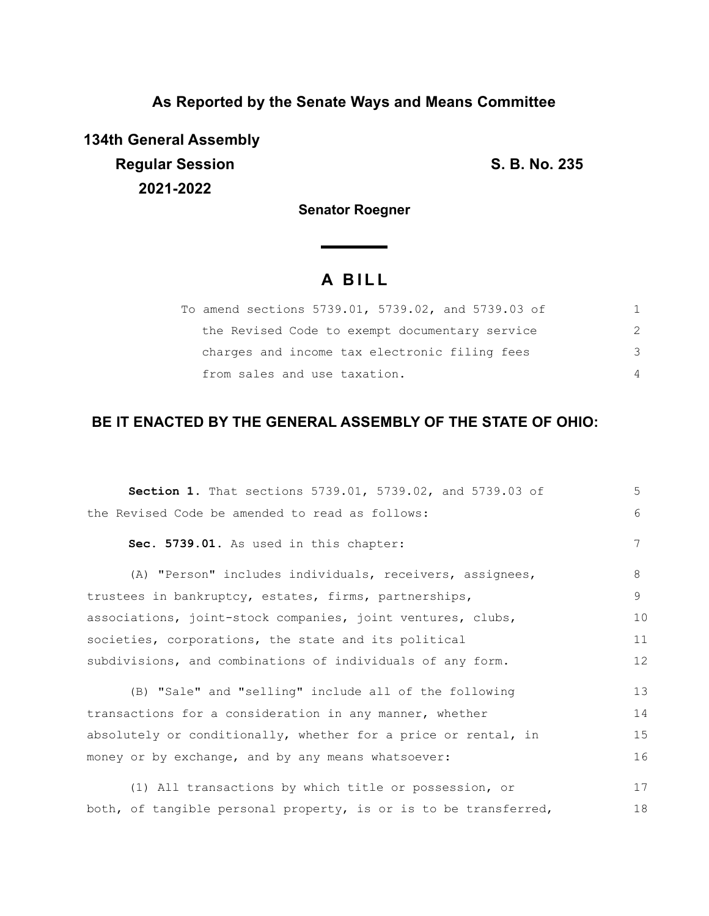## **As Reported by the Senate Ways and Means Committee**

**134th General Assembly Regular Session S. B. No. 235 2021-2022**

**Senator Roegner**

<u> a shekara t</u>

# **A B I L L**

| To amend sections 5739.01, 5739.02, and 5739.03 of |               |
|----------------------------------------------------|---------------|
| the Revised Code to exempt documentary service     | $\mathcal{P}$ |
| charges and income tax electronic filing fees      | 3             |
| from sales and use taxation.                       | $\Delta$      |

## **BE IT ENACTED BY THE GENERAL ASSEMBLY OF THE STATE OF OHIO:**

| Section 1. That sections 5739.01, 5739.02, and 5739.03 of        | 5  |
|------------------------------------------------------------------|----|
| the Revised Code be amended to read as follows:                  | 6  |
| Sec. 5739.01. As used in this chapter:                           | 7  |
| (A) "Person" includes individuals, receivers, assignees,         | 8  |
| trustees in bankruptcy, estates, firms, partnerships,            | 9  |
| associations, joint-stock companies, joint ventures, clubs,      | 10 |
| societies, corporations, the state and its political             | 11 |
| subdivisions, and combinations of individuals of any form.       | 12 |
| (B) "Sale" and "selling" include all of the following            | 13 |
| transactions for a consideration in any manner, whether          | 14 |
| absolutely or conditionally, whether for a price or rental, in   | 15 |
| money or by exchange, and by any means whatsoever:               | 16 |
| (1) All transactions by which title or possession, or            | 17 |
| both, of tangible personal property, is or is to be transferred, | 18 |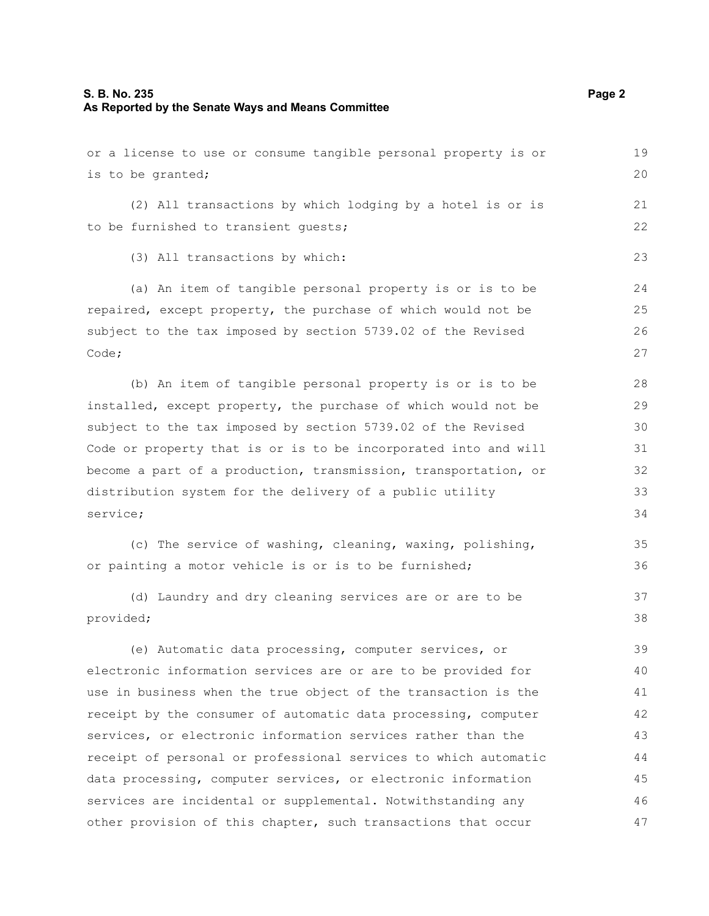## **S. B. No. 235 Page 2 As Reported by the Senate Ways and Means Committee**

| or a license to use or consume tangible personal property is or | 19 |
|-----------------------------------------------------------------|----|
| is to be granted;                                               | 20 |
| (2) All transactions by which lodging by a hotel is or is       | 21 |
| to be furnished to transient quests;                            | 22 |
| (3) All transactions by which:                                  | 23 |
| (a) An item of tangible personal property is or is to be        | 24 |
| repaired, except property, the purchase of which would not be   | 25 |
| subject to the tax imposed by section 5739.02 of the Revised    | 26 |
| Code;                                                           | 27 |
| (b) An item of tangible personal property is or is to be        | 28 |
| installed, except property, the purchase of which would not be  | 29 |
| subject to the tax imposed by section 5739.02 of the Revised    | 30 |
| Code or property that is or is to be incorporated into and will | 31 |
| become a part of a production, transmission, transportation, or | 32 |
| distribution system for the delivery of a public utility        | 33 |
| service;                                                        | 34 |
| (c) The service of washing, cleaning, waxing, polishing,        | 35 |
| or painting a motor vehicle is or is to be furnished;           | 36 |
| (d) Laundry and dry cleaning services are or are to be          | 37 |
| provided;                                                       | 38 |
| (e) Automatic data processing, computer services, or            | 39 |
| electronic information services are or are to be provided for   | 40 |
| use in business when the true object of the transaction is the  | 41 |
| receipt by the consumer of automatic data processing, computer  | 42 |
| services, or electronic information services rather than the    | 43 |
| receipt of personal or professional services to which automatic | 44 |
| data processing, computer services, or electronic information   | 45 |
| services are incidental or supplemental. Notwithstanding any    | 46 |
| other provision of this chapter, such transactions that occur   | 47 |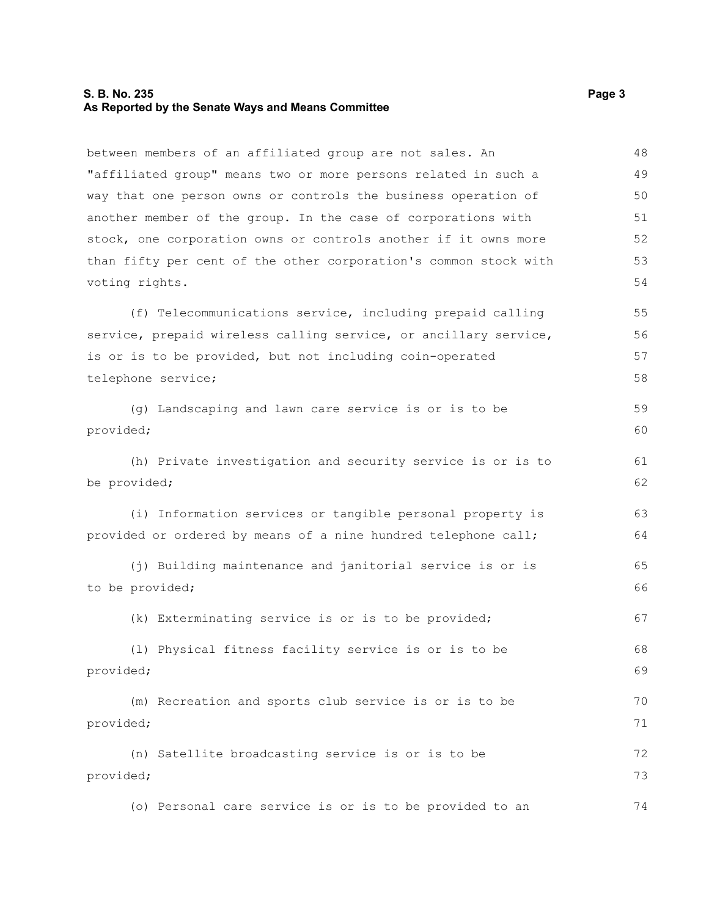#### **S. B. No. 235** Page 3 **As Reported by the Senate Ways and Means Committee**

between members of an affiliated group are not sales. An "affiliated group" means two or more persons related in such a way that one person owns or controls the business operation of another member of the group. In the case of corporations with stock, one corporation owns or controls another if it owns more than fifty per cent of the other corporation's common stock with voting rights. (f) Telecommunications service, including prepaid calling service, prepaid wireless calling service, or ancillary service, is or is to be provided, but not including coin-operated telephone service; (g) Landscaping and lawn care service is or is to be provided; (h) Private investigation and security service is or is to be provided; (i) Information services or tangible personal property is provided or ordered by means of a nine hundred telephone call; (j) Building maintenance and janitorial service is or is to be provided; (k) Exterminating service is or is to be provided; (l) Physical fitness facility service is or is to be provided; (m) Recreation and sports club service is or is to be provided; (n) Satellite broadcasting service is or is to be provided; (o) Personal care service is or is to be provided to an 48 49 50 51 52 53 54 55 56 57 58 59 60 61 62 63 64 65 66 67 68 69 70 71 72 73 74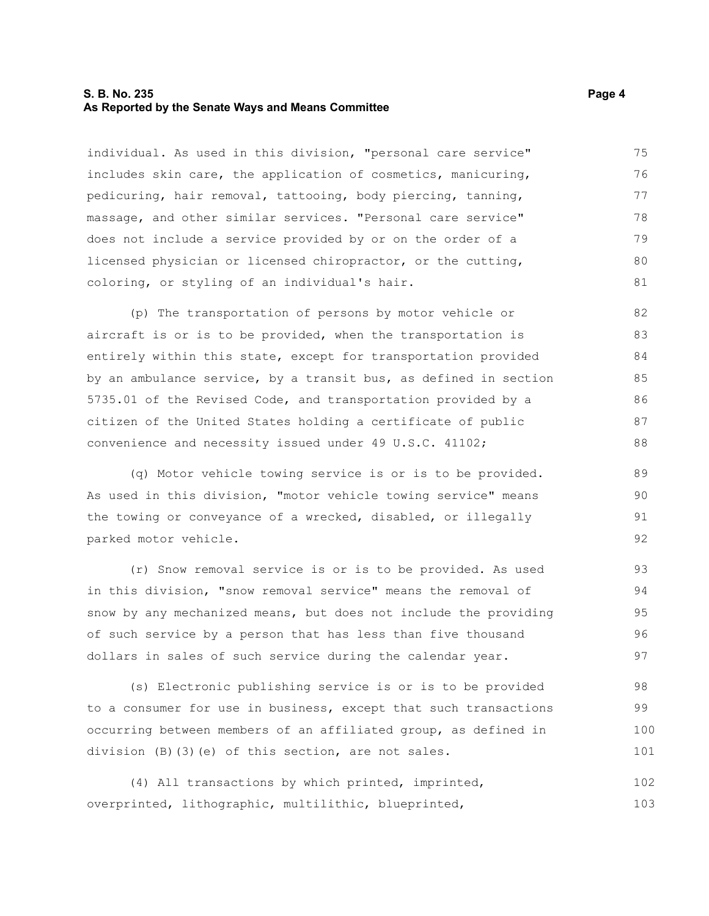#### **S. B. No. 235** Page 4 **As Reported by the Senate Ways and Means Committee**

individual. As used in this division, "personal care service" includes skin care, the application of cosmetics, manicuring, pedicuring, hair removal, tattooing, body piercing, tanning, massage, and other similar services. "Personal care service" does not include a service provided by or on the order of a licensed physician or licensed chiropractor, or the cutting, coloring, or styling of an individual's hair. 75 76 77 78 79 80 81

(p) The transportation of persons by motor vehicle or aircraft is or is to be provided, when the transportation is entirely within this state, except for transportation provided by an ambulance service, by a transit bus, as defined in section 5735.01 of the Revised Code, and transportation provided by a citizen of the United States holding a certificate of public convenience and necessity issued under 49 U.S.C. 41102; 82 83 84 85 86 87 88

(q) Motor vehicle towing service is or is to be provided. As used in this division, "motor vehicle towing service" means the towing or conveyance of a wrecked, disabled, or illegally parked motor vehicle.

(r) Snow removal service is or is to be provided. As used in this division, "snow removal service" means the removal of snow by any mechanized means, but does not include the providing of such service by a person that has less than five thousand dollars in sales of such service during the calendar year. 93 94 95 96 97

(s) Electronic publishing service is or is to be provided to a consumer for use in business, except that such transactions occurring between members of an affiliated group, as defined in division (B)(3)(e) of this section, are not sales. 98 99 100 101

(4) All transactions by which printed, imprinted, overprinted, lithographic, multilithic, blueprinted, 102 103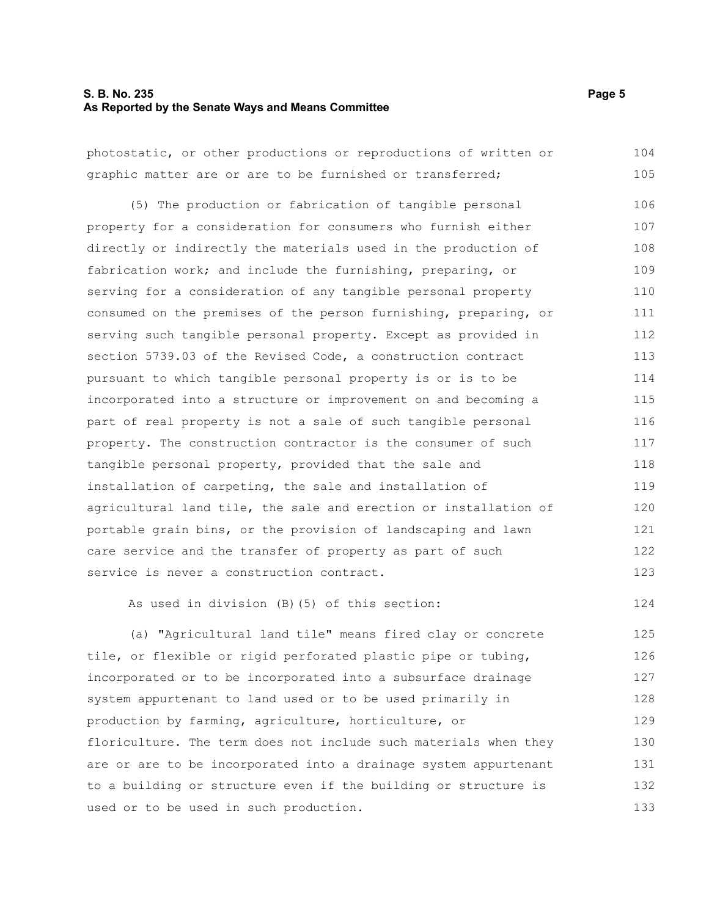#### **S. B. No. 235** Page 5 **As Reported by the Senate Ways and Means Committee**

photostatic, or other productions or reproductions of written or graphic matter are or are to be furnished or transferred; (5) The production or fabrication of tangible personal property for a consideration for consumers who furnish either directly or indirectly the materials used in the production of fabrication work; and include the furnishing, preparing, or serving for a consideration of any tangible personal property consumed on the premises of the person furnishing, preparing, or serving such tangible personal property. Except as provided in section 5739.03 of the Revised Code, a construction contract pursuant to which tangible personal property is or is to be incorporated into a structure or improvement on and becoming a part of real property is not a sale of such tangible personal property. The construction contractor is the consumer of such tangible personal property, provided that the sale and installation of carpeting, the sale and installation of agricultural land tile, the sale and erection or installation of portable grain bins, or the provision of landscaping and lawn care service and the transfer of property as part of such service is never a construction contract. As used in division (B)(5) of this section: 104 105 106 107 108 109 110 111 112 113 114 115 116 117 118 119 120 121 122 123 124

(a) "Agricultural land tile" means fired clay or concrete tile, or flexible or rigid perforated plastic pipe or tubing, incorporated or to be incorporated into a subsurface drainage system appurtenant to land used or to be used primarily in production by farming, agriculture, horticulture, or floriculture. The term does not include such materials when they are or are to be incorporated into a drainage system appurtenant to a building or structure even if the building or structure is used or to be used in such production. 125 126 127 128 129 130 131 132 133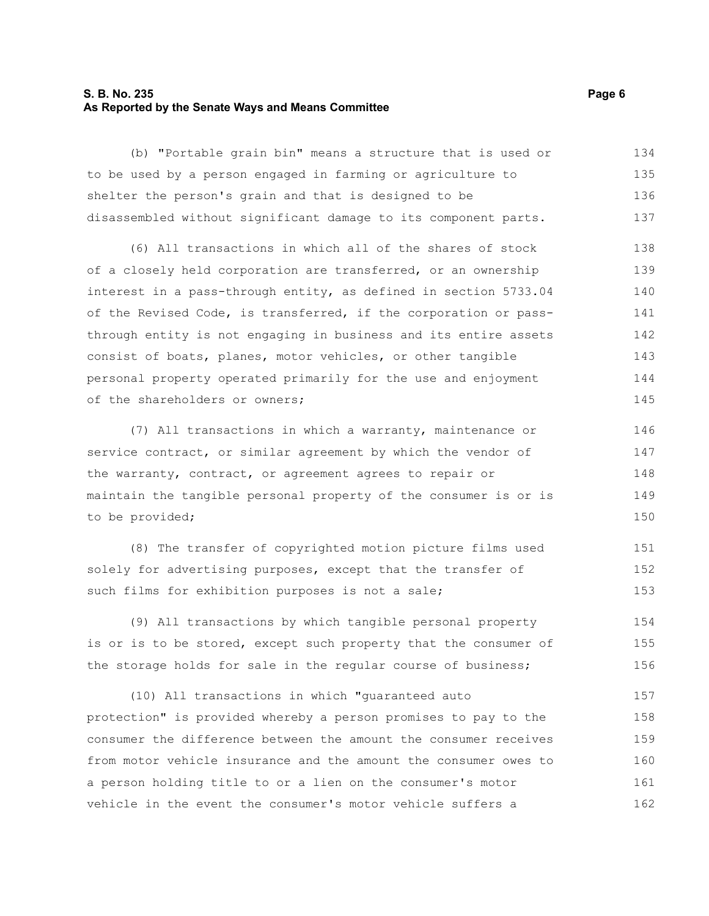#### **S. B. No. 235** Page 6 **As Reported by the Senate Ways and Means Committee**

(b) "Portable grain bin" means a structure that is used or to be used by a person engaged in farming or agriculture to shelter the person's grain and that is designed to be disassembled without significant damage to its component parts. 134 135 136 137

(6) All transactions in which all of the shares of stock of a closely held corporation are transferred, or an ownership interest in a pass-through entity, as defined in section 5733.04 of the Revised Code, is transferred, if the corporation or passthrough entity is not engaging in business and its entire assets consist of boats, planes, motor vehicles, or other tangible personal property operated primarily for the use and enjoyment of the shareholders or owners; 138 139 140 141 142 143 144 145

(7) All transactions in which a warranty, maintenance or service contract, or similar agreement by which the vendor of the warranty, contract, or agreement agrees to repair or maintain the tangible personal property of the consumer is or is to be provided;

(8) The transfer of copyrighted motion picture films used solely for advertising purposes, except that the transfer of such films for exhibition purposes is not a sale; 151 152 153

(9) All transactions by which tangible personal property is or is to be stored, except such property that the consumer of the storage holds for sale in the regular course of business; 154 155 156

(10) All transactions in which "guaranteed auto protection" is provided whereby a person promises to pay to the consumer the difference between the amount the consumer receives from motor vehicle insurance and the amount the consumer owes to a person holding title to or a lien on the consumer's motor vehicle in the event the consumer's motor vehicle suffers a 157 158 159 160 161 162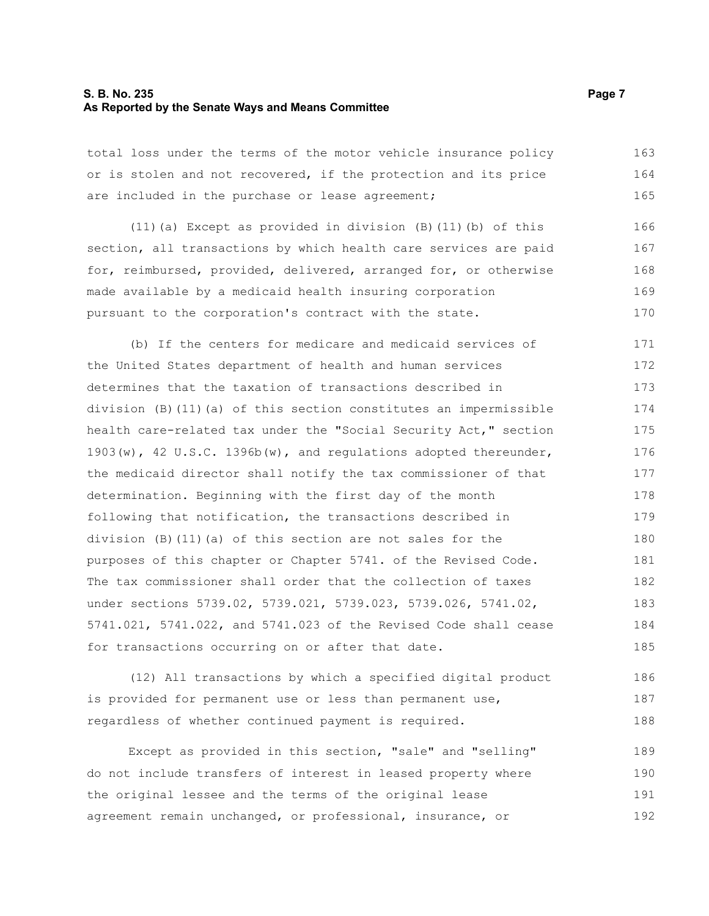#### **S. B. No. 235** Page 7 **As Reported by the Senate Ways and Means Committee**

total loss under the terms of the motor vehicle insurance policy or is stolen and not recovered, if the protection and its price are included in the purchase or lease agreement; 163 164 165

(11)(a) Except as provided in division (B)(11)(b) of this section, all transactions by which health care services are paid for, reimbursed, provided, delivered, arranged for, or otherwise made available by a medicaid health insuring corporation pursuant to the corporation's contract with the state. 166 167 168 169 170

(b) If the centers for medicare and medicaid services of the United States department of health and human services determines that the taxation of transactions described in division (B)(11)(a) of this section constitutes an impermissible health care-related tax under the "Social Security Act," section 1903(w), 42 U.S.C. 1396b(w), and regulations adopted thereunder, the medicaid director shall notify the tax commissioner of that determination. Beginning with the first day of the month following that notification, the transactions described in division (B)(11)(a) of this section are not sales for the purposes of this chapter or Chapter 5741. of the Revised Code. The tax commissioner shall order that the collection of taxes under sections 5739.02, 5739.021, 5739.023, 5739.026, 5741.02, 5741.021, 5741.022, and 5741.023 of the Revised Code shall cease for transactions occurring on or after that date. 171 172 173 174 175 176 177 178 179 180 181 182 183 184 185

(12) All transactions by which a specified digital product is provided for permanent use or less than permanent use, regardless of whether continued payment is required. 186 187 188

Except as provided in this section, "sale" and "selling" do not include transfers of interest in leased property where the original lessee and the terms of the original lease agreement remain unchanged, or professional, insurance, or 189 190 191 192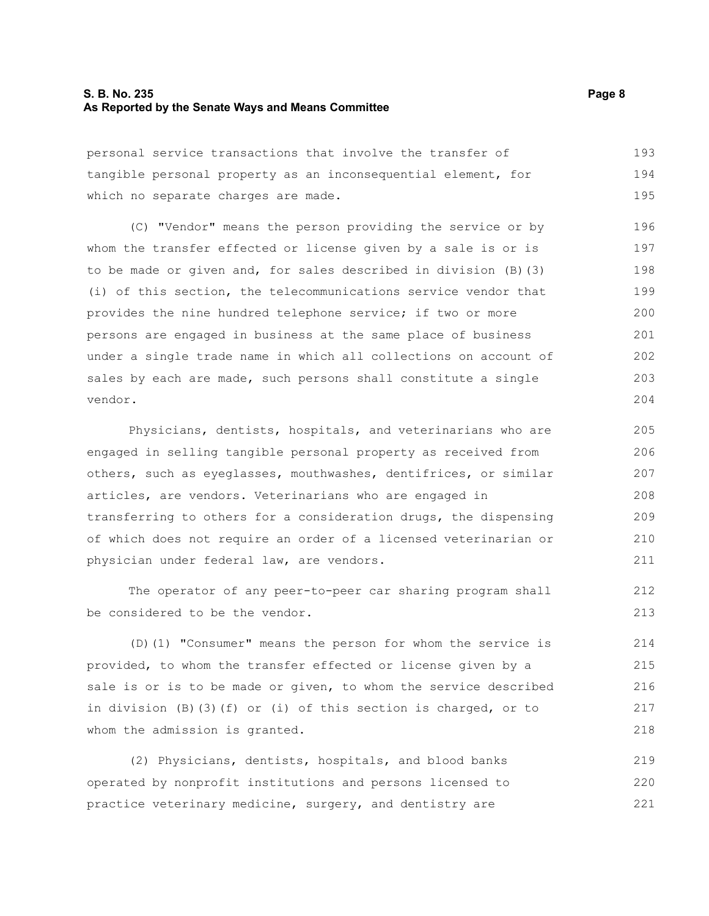#### **S. B. No. 235** Page 8 **As Reported by the Senate Ways and Means Committee**

personal service transactions that involve the transfer of tangible personal property as an inconsequential element, for which no separate charges are made. 193 194 195

(C) "Vendor" means the person providing the service or by whom the transfer effected or license given by a sale is or is to be made or given and, for sales described in division (B)(3) (i) of this section, the telecommunications service vendor that provides the nine hundred telephone service; if two or more persons are engaged in business at the same place of business under a single trade name in which all collections on account of sales by each are made, such persons shall constitute a single vendor. 196 197 198 199 200 201 202 203 204

Physicians, dentists, hospitals, and veterinarians who are engaged in selling tangible personal property as received from others, such as eyeglasses, mouthwashes, dentifrices, or similar articles, are vendors. Veterinarians who are engaged in transferring to others for a consideration drugs, the dispensing of which does not require an order of a licensed veterinarian or physician under federal law, are vendors. 205 206 207 208 209 210 211

The operator of any peer-to-peer car sharing program shall be considered to be the vendor.

(D)(1) "Consumer" means the person for whom the service is provided, to whom the transfer effected or license given by a sale is or is to be made or given, to whom the service described in division (B)(3)(f) or (i) of this section is charged, or to whom the admission is granted. 214 215 216 217 218

(2) Physicians, dentists, hospitals, and blood banks operated by nonprofit institutions and persons licensed to practice veterinary medicine, surgery, and dentistry are 219 220 221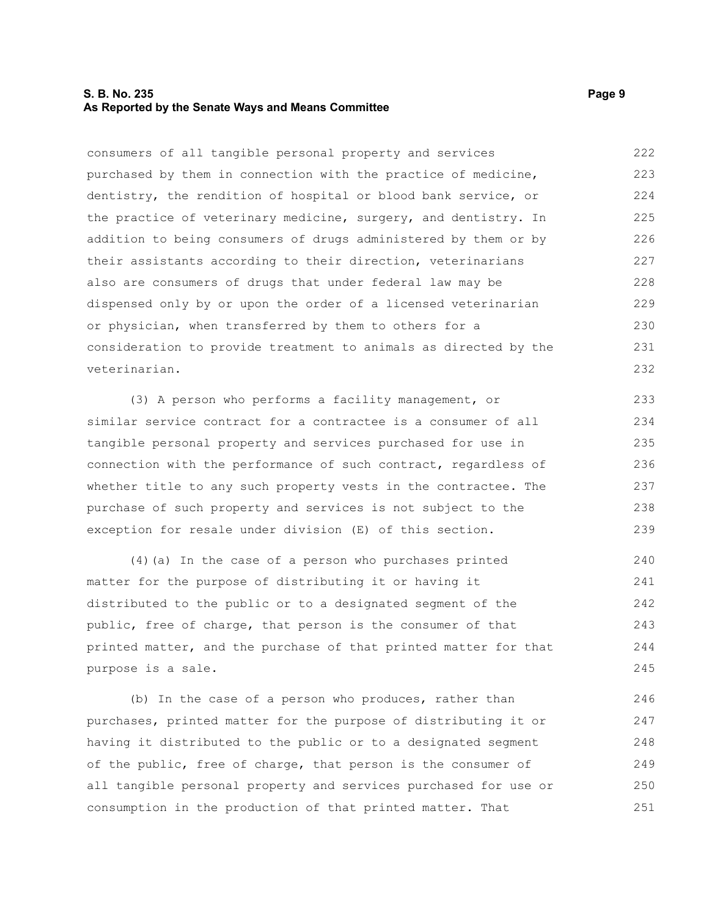#### **S. B. No. 235** Page 9 **As Reported by the Senate Ways and Means Committee**

consumers of all tangible personal property and services purchased by them in connection with the practice of medicine, dentistry, the rendition of hospital or blood bank service, or the practice of veterinary medicine, surgery, and dentistry. In addition to being consumers of drugs administered by them or by their assistants according to their direction, veterinarians also are consumers of drugs that under federal law may be dispensed only by or upon the order of a licensed veterinarian or physician, when transferred by them to others for a consideration to provide treatment to animals as directed by the veterinarian. 222 223 224 225 226 227 228 229 230 231 232

(3) A person who performs a facility management, or similar service contract for a contractee is a consumer of all tangible personal property and services purchased for use in connection with the performance of such contract, regardless of whether title to any such property vests in the contractee. The purchase of such property and services is not subject to the exception for resale under division (E) of this section.

(4)(a) In the case of a person who purchases printed matter for the purpose of distributing it or having it distributed to the public or to a designated segment of the public, free of charge, that person is the consumer of that printed matter, and the purchase of that printed matter for that purpose is a sale. 240 241 242 243 244 245

(b) In the case of a person who produces, rather than purchases, printed matter for the purpose of distributing it or having it distributed to the public or to a designated segment of the public, free of charge, that person is the consumer of all tangible personal property and services purchased for use or consumption in the production of that printed matter. That 246 247 248 249 250 251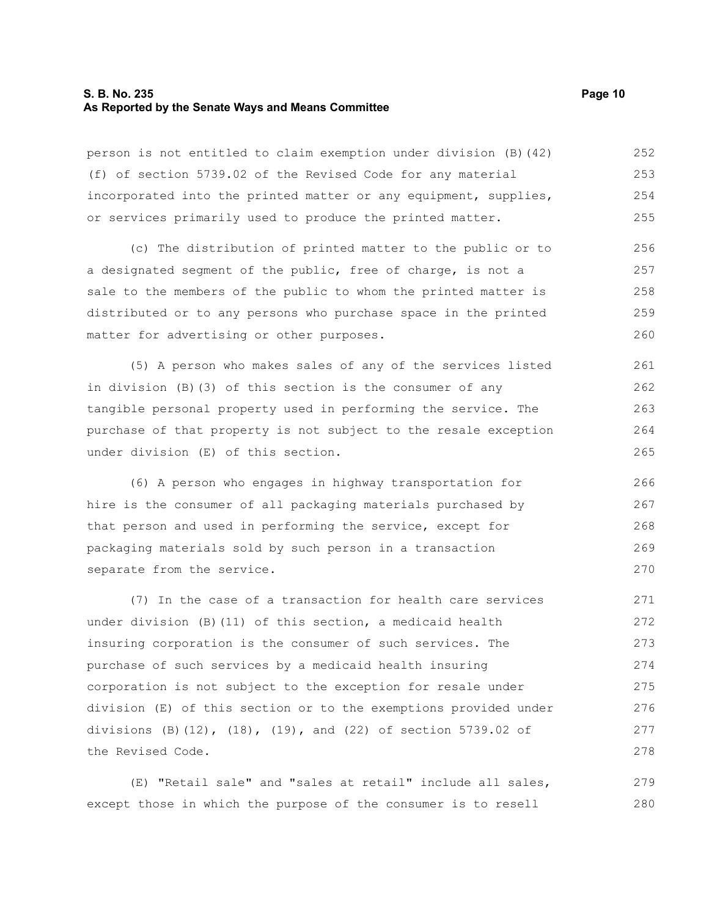#### **S. B. No. 235 Page 10 As Reported by the Senate Ways and Means Committee**

person is not entitled to claim exemption under division (B)(42) (f) of section 5739.02 of the Revised Code for any material incorporated into the printed matter or any equipment, supplies, or services primarily used to produce the printed matter. 252 253 254 255

(c) The distribution of printed matter to the public or to a designated segment of the public, free of charge, is not a sale to the members of the public to whom the printed matter is distributed or to any persons who purchase space in the printed matter for advertising or other purposes. 256 257 258 259 260

(5) A person who makes sales of any of the services listed in division (B)(3) of this section is the consumer of any tangible personal property used in performing the service. The purchase of that property is not subject to the resale exception under division (E) of this section. 261 262 263 264 265

(6) A person who engages in highway transportation for hire is the consumer of all packaging materials purchased by that person and used in performing the service, except for packaging materials sold by such person in a transaction separate from the service. 266 267 268 269 270

(7) In the case of a transaction for health care services under division (B)(11) of this section, a medicaid health insuring corporation is the consumer of such services. The purchase of such services by a medicaid health insuring corporation is not subject to the exception for resale under division (E) of this section or to the exemptions provided under divisions (B)(12), (18), (19), and (22) of section 5739.02 of the Revised Code. 271 272 273 274 275 276 277 278

(E) "Retail sale" and "sales at retail" include all sales, except those in which the purpose of the consumer is to resell 279 280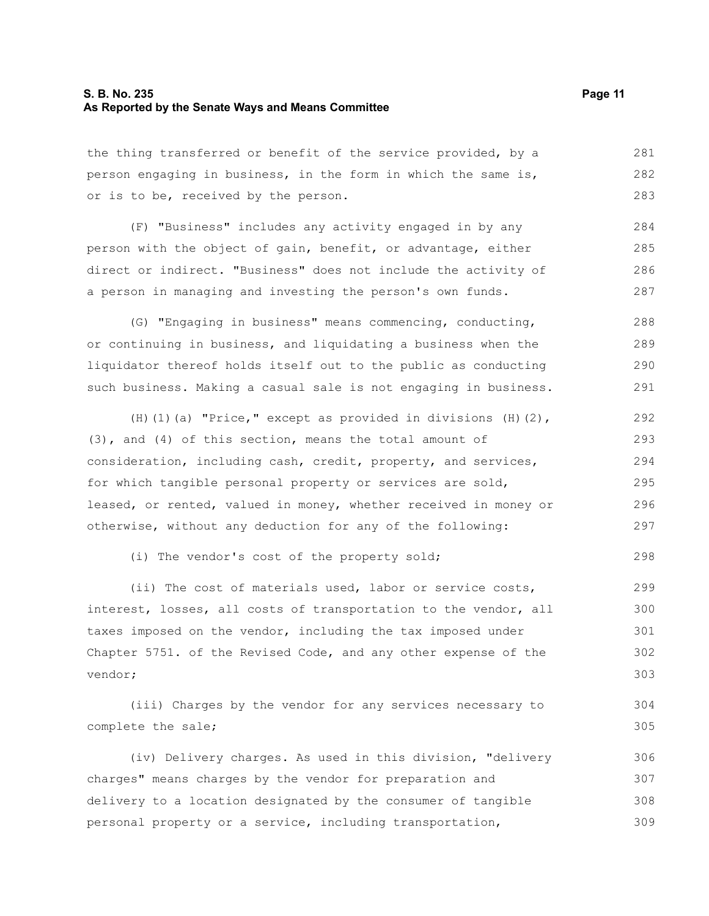#### **S. B. No. 235 Page 11 As Reported by the Senate Ways and Means Committee**

the thing transferred or benefit of the service provided, by a person engaging in business, in the form in which the same is, or is to be, received by the person. 281 282 283

(F) "Business" includes any activity engaged in by any person with the object of gain, benefit, or advantage, either direct or indirect. "Business" does not include the activity of a person in managing and investing the person's own funds. 284 285 286 287

(G) "Engaging in business" means commencing, conducting, or continuing in business, and liquidating a business when the liquidator thereof holds itself out to the public as conducting such business. Making a casual sale is not engaging in business. 288 289 290 291

(H)(1)(a) "Price," except as provided in divisions  $(H)(2)$ , (3), and (4) of this section, means the total amount of consideration, including cash, credit, property, and services, for which tangible personal property or services are sold, leased, or rented, valued in money, whether received in money or otherwise, without any deduction for any of the following: 292 293 294 295 296 297

(i) The vendor's cost of the property sold;

(ii) The cost of materials used, labor or service costs, interest, losses, all costs of transportation to the vendor, all taxes imposed on the vendor, including the tax imposed under Chapter 5751. of the Revised Code, and any other expense of the vendor; 299 300 301 302 303

(iii) Charges by the vendor for any services necessary to complete the sale; 304 305

(iv) Delivery charges. As used in this division, "delivery charges" means charges by the vendor for preparation and delivery to a location designated by the consumer of tangible personal property or a service, including transportation, 306 307 308 309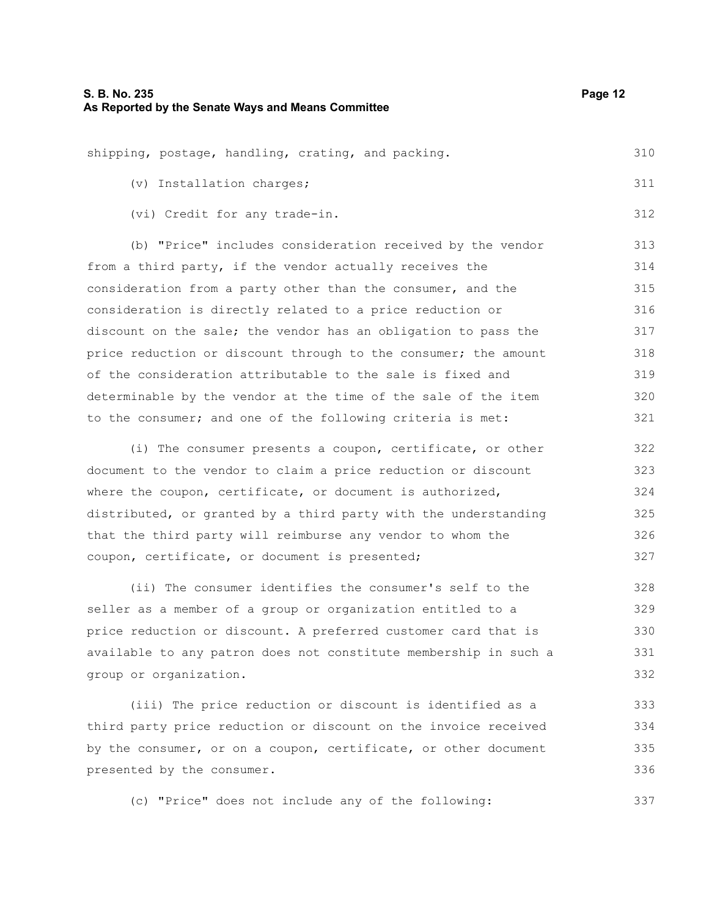|  |                           | shipping, postage, handling, crating, and packing. | 310 |
|--|---------------------------|----------------------------------------------------|-----|
|  | (v) Installation charges; |                                                    | 311 |

(vi) Credit for any trade-in.

(b) "Price" includes consideration received by the vendor from a third party, if the vendor actually receives the consideration from a party other than the consumer, and the consideration is directly related to a price reduction or discount on the sale; the vendor has an obligation to pass the price reduction or discount through to the consumer; the amount of the consideration attributable to the sale is fixed and determinable by the vendor at the time of the sale of the item to the consumer; and one of the following criteria is met: 313 314 315 316 317 318 319 320 321

(i) The consumer presents a coupon, certificate, or other document to the vendor to claim a price reduction or discount where the coupon, certificate, or document is authorized, distributed, or granted by a third party with the understanding that the third party will reimburse any vendor to whom the coupon, certificate, or document is presented; 322 323 324 325 326 327

(ii) The consumer identifies the consumer's self to the seller as a member of a group or organization entitled to a price reduction or discount. A preferred customer card that is available to any patron does not constitute membership in such a group or organization. 328 329 330 331 332

(iii) The price reduction or discount is identified as a third party price reduction or discount on the invoice received by the consumer, or on a coupon, certificate, or other document presented by the consumer. 333 334 335 336

(c) "Price" does not include any of the following:

312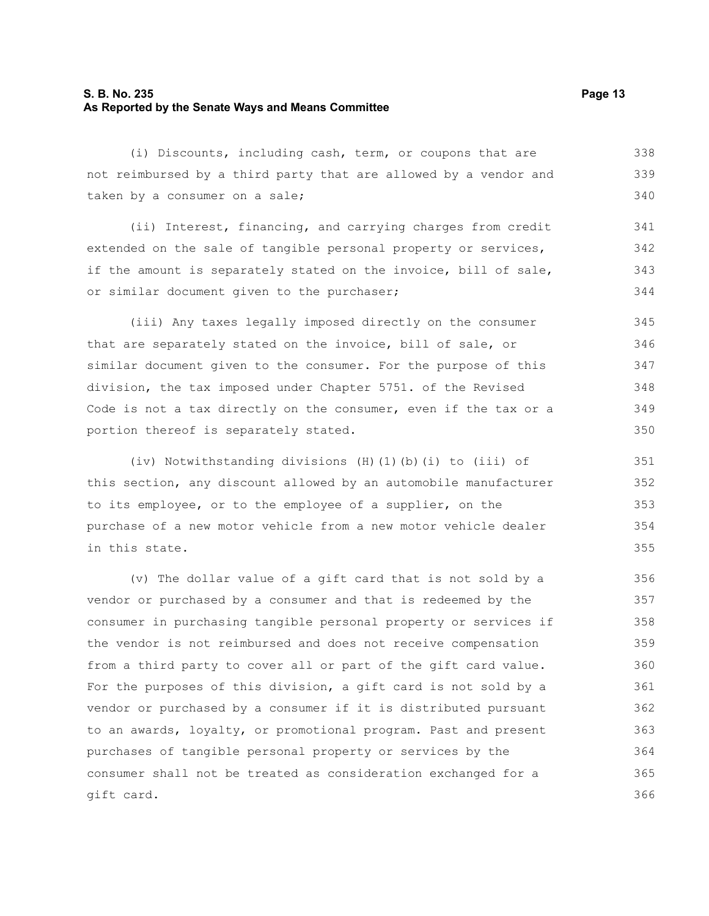#### **S. B. No. 235 Page 13 As Reported by the Senate Ways and Means Committee**

(i) Discounts, including cash, term, or coupons that are not reimbursed by a third party that are allowed by a vendor and taken by a consumer on a sale; 338 339 340

(ii) Interest, financing, and carrying charges from credit extended on the sale of tangible personal property or services, if the amount is separately stated on the invoice, bill of sale, or similar document given to the purchaser; 341 342 343 344

(iii) Any taxes legally imposed directly on the consumer that are separately stated on the invoice, bill of sale, or similar document given to the consumer. For the purpose of this division, the tax imposed under Chapter 5751. of the Revised Code is not a tax directly on the consumer, even if the tax or a portion thereof is separately stated. 345 346 347 348 349 350

(iv) Notwithstanding divisions (H)(1)(b)(i) to (iii) of this section, any discount allowed by an automobile manufacturer to its employee, or to the employee of a supplier, on the purchase of a new motor vehicle from a new motor vehicle dealer in this state.

(v) The dollar value of a gift card that is not sold by a vendor or purchased by a consumer and that is redeemed by the consumer in purchasing tangible personal property or services if the vendor is not reimbursed and does not receive compensation from a third party to cover all or part of the gift card value. For the purposes of this division, a gift card is not sold by a vendor or purchased by a consumer if it is distributed pursuant to an awards, loyalty, or promotional program. Past and present purchases of tangible personal property or services by the consumer shall not be treated as consideration exchanged for a gift card. 356 357 358 359 360 361 362 363 364 365 366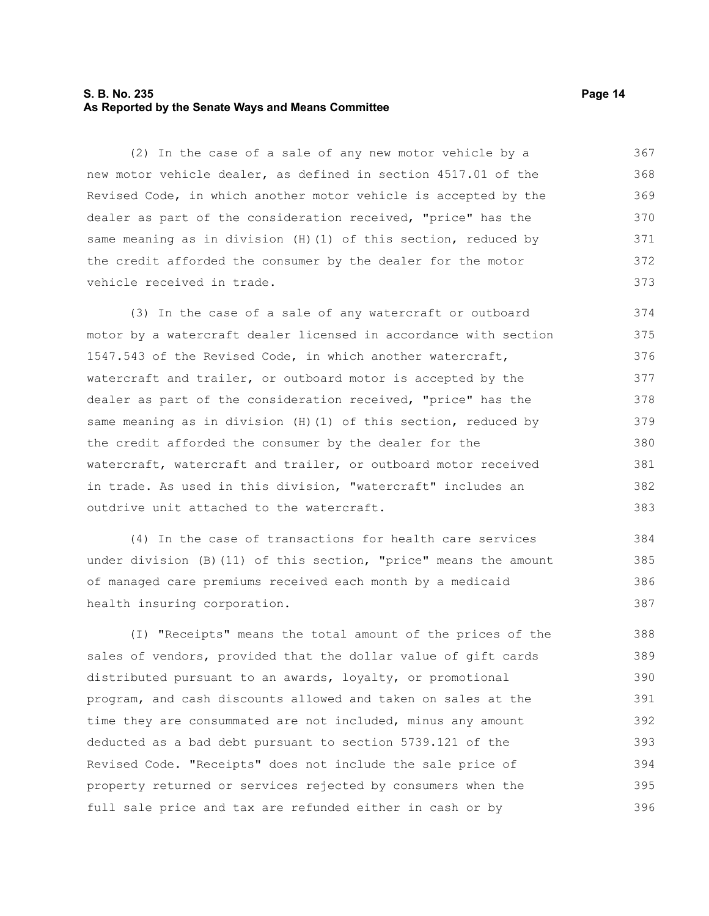#### **S. B. No. 235 Page 14 As Reported by the Senate Ways and Means Committee**

(2) In the case of a sale of any new motor vehicle by a new motor vehicle dealer, as defined in section 4517.01 of the Revised Code, in which another motor vehicle is accepted by the dealer as part of the consideration received, "price" has the same meaning as in division (H)(1) of this section, reduced by the credit afforded the consumer by the dealer for the motor vehicle received in trade. 367 368 369 370 371 372 373

(3) In the case of a sale of any watercraft or outboard motor by a watercraft dealer licensed in accordance with section 1547.543 of the Revised Code, in which another watercraft, watercraft and trailer, or outboard motor is accepted by the dealer as part of the consideration received, "price" has the same meaning as in division (H)(1) of this section, reduced by the credit afforded the consumer by the dealer for the watercraft, watercraft and trailer, or outboard motor received in trade. As used in this division, "watercraft" includes an outdrive unit attached to the watercraft. 374 375 376 377 378 379 380 381 382 383

(4) In the case of transactions for health care services under division (B)(11) of this section, "price" means the amount of managed care premiums received each month by a medicaid health insuring corporation. 384 385 386 387

(I) "Receipts" means the total amount of the prices of the sales of vendors, provided that the dollar value of gift cards distributed pursuant to an awards, loyalty, or promotional program, and cash discounts allowed and taken on sales at the time they are consummated are not included, minus any amount deducted as a bad debt pursuant to section 5739.121 of the Revised Code. "Receipts" does not include the sale price of property returned or services rejected by consumers when the full sale price and tax are refunded either in cash or by 388 389 390 391 392 393 394 395 396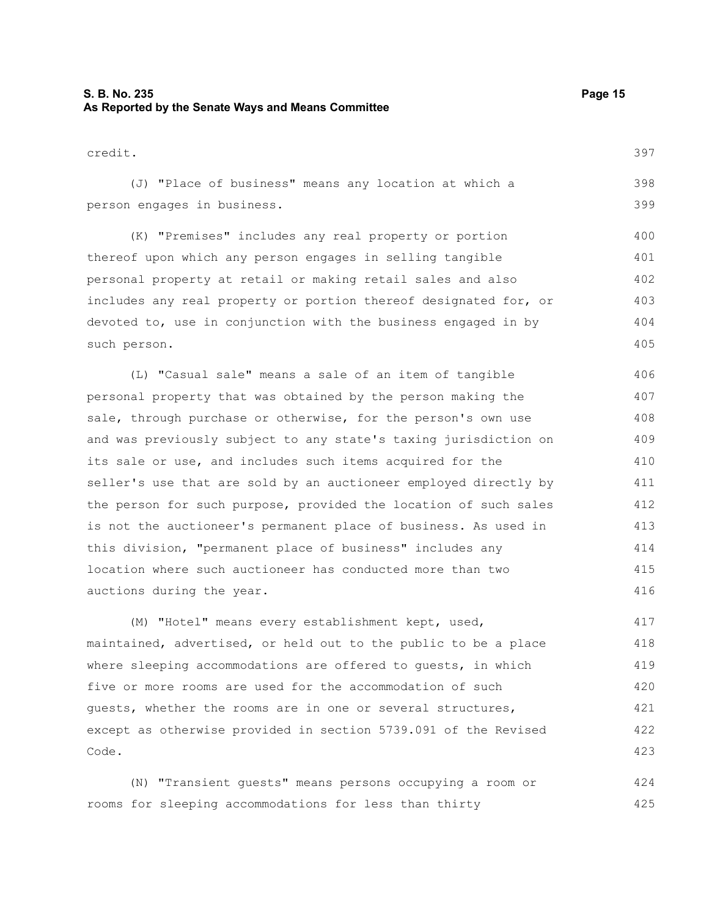#### **S. B. No. 235 Page 15 As Reported by the Senate Ways and Means Committee**

| credit.                                                          | 397 |
|------------------------------------------------------------------|-----|
| (J) "Place of business" means any location at which a            | 398 |
| person engages in business.                                      | 399 |
| (K) "Premises" includes any real property or portion             | 400 |
| thereof upon which any person engages in selling tangible        | 401 |
| personal property at retail or making retail sales and also      | 402 |
| includes any real property or portion thereof designated for, or | 403 |
| devoted to, use in conjunction with the business engaged in by   | 404 |
| such person.                                                     | 405 |

(L) "Casual sale" means a sale of an item of tangible personal property that was obtained by the person making the sale, through purchase or otherwise, for the person's own use and was previously subject to any state's taxing jurisdiction on its sale or use, and includes such items acquired for the seller's use that are sold by an auctioneer employed directly by the person for such purpose, provided the location of such sales is not the auctioneer's permanent place of business. As used in this division, "permanent place of business" includes any location where such auctioneer has conducted more than two auctions during the year. 406 407 408 409 410 411 412 413 414 415 416

(M) "Hotel" means every establishment kept, used, maintained, advertised, or held out to the public to be a place where sleeping accommodations are offered to quests, in which five or more rooms are used for the accommodation of such guests, whether the rooms are in one or several structures, except as otherwise provided in section 5739.091 of the Revised Code. 417 418 419 420 421 422 423

(N) "Transient guests" means persons occupying a room or rooms for sleeping accommodations for less than thirty 424 425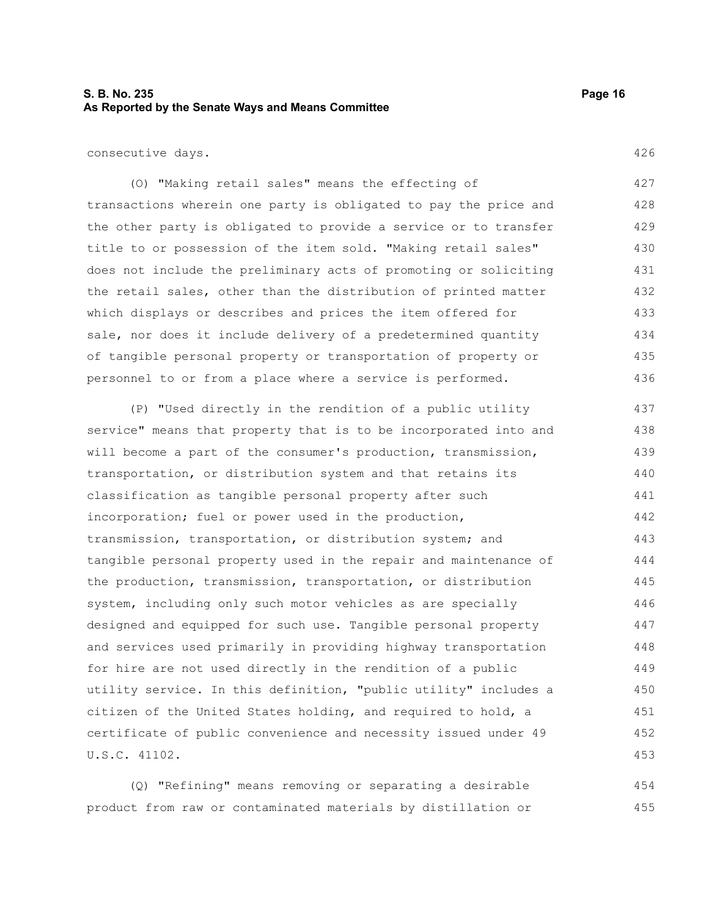#### **S. B. No. 235 Page 16 As Reported by the Senate Ways and Means Committee**

consecutive days.

(O) "Making retail sales" means the effecting of transactions wherein one party is obligated to pay the price and the other party is obligated to provide a service or to transfer title to or possession of the item sold. "Making retail sales" does not include the preliminary acts of promoting or soliciting the retail sales, other than the distribution of printed matter which displays or describes and prices the item offered for sale, nor does it include delivery of a predetermined quantity of tangible personal property or transportation of property or personnel to or from a place where a service is performed. 427 428 429 430 431 432 433 434 435 436

(P) "Used directly in the rendition of a public utility service" means that property that is to be incorporated into and will become a part of the consumer's production, transmission, transportation, or distribution system and that retains its classification as tangible personal property after such incorporation; fuel or power used in the production, transmission, transportation, or distribution system; and tangible personal property used in the repair and maintenance of the production, transmission, transportation, or distribution system, including only such motor vehicles as are specially designed and equipped for such use. Tangible personal property and services used primarily in providing highway transportation for hire are not used directly in the rendition of a public utility service. In this definition, "public utility" includes a citizen of the United States holding, and required to hold, a certificate of public convenience and necessity issued under 49 U.S.C. 41102. 437 438 439 440 441 442 443 444 445 446 447 448 449 450 451 452 453

(Q) "Refining" means removing or separating a desirable product from raw or contaminated materials by distillation or 454 455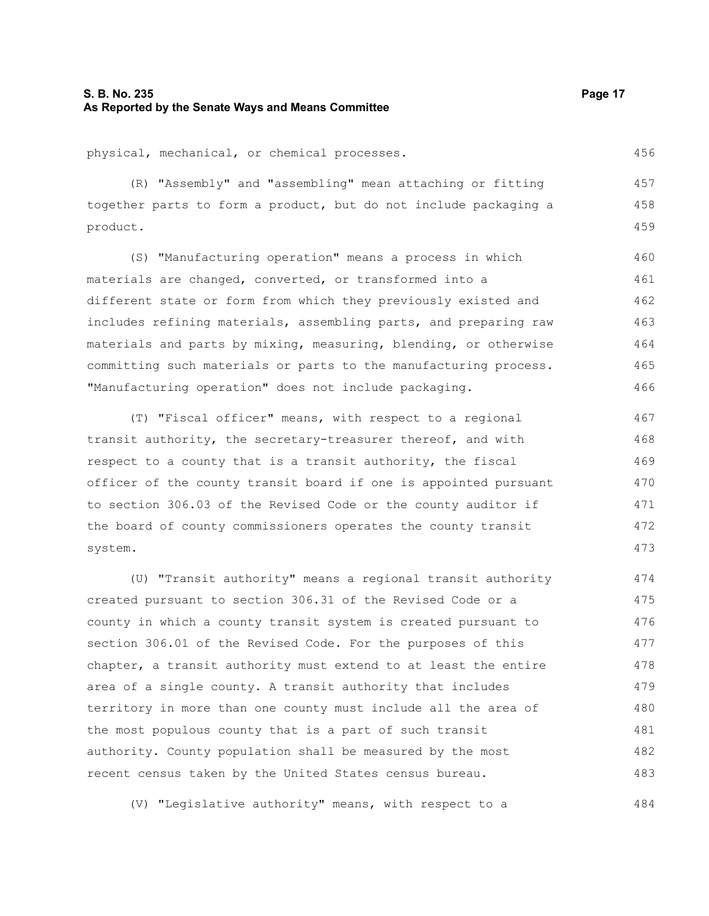#### **S. B. No. 235 Page 17 As Reported by the Senate Ways and Means Committee**

physical, mechanical, or chemical processes.

(R) "Assembly" and "assembling" mean attaching or fitting together parts to form a product, but do not include packaging a product. 457 458 459

(S) "Manufacturing operation" means a process in which materials are changed, converted, or transformed into a different state or form from which they previously existed and includes refining materials, assembling parts, and preparing raw materials and parts by mixing, measuring, blending, or otherwise committing such materials or parts to the manufacturing process. "Manufacturing operation" does not include packaging. 460 461 462 463 464 465 466

(T) "Fiscal officer" means, with respect to a regional transit authority, the secretary-treasurer thereof, and with respect to a county that is a transit authority, the fiscal officer of the county transit board if one is appointed pursuant to section 306.03 of the Revised Code or the county auditor if the board of county commissioners operates the county transit system.

(U) "Transit authority" means a regional transit authority created pursuant to section 306.31 of the Revised Code or a county in which a county transit system is created pursuant to section 306.01 of the Revised Code. For the purposes of this chapter, a transit authority must extend to at least the entire area of a single county. A transit authority that includes territory in more than one county must include all the area of the most populous county that is a part of such transit authority. County population shall be measured by the most recent census taken by the United States census bureau. 474 475 476 477 478 479 480 481 482 483

(V) "Legislative authority" means, with respect to a

456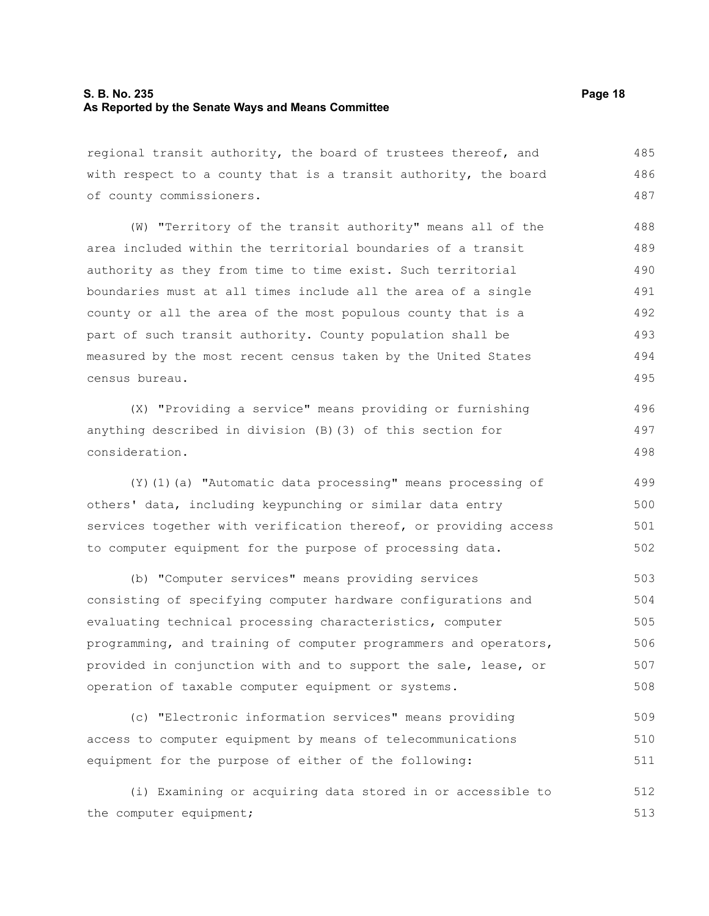#### **S. B. No. 235 Page 18 As Reported by the Senate Ways and Means Committee**

regional transit authority, the board of trustees thereof, and with respect to a county that is a transit authority, the board of county commissioners. 485 486 487

(W) "Territory of the transit authority" means all of the area included within the territorial boundaries of a transit authority as they from time to time exist. Such territorial boundaries must at all times include all the area of a single county or all the area of the most populous county that is a part of such transit authority. County population shall be measured by the most recent census taken by the United States census bureau. 488 489 490 491 492 493 494 495

(X) "Providing a service" means providing or furnishing anything described in division (B)(3) of this section for consideration. 496 497 498

(Y)(1)(a) "Automatic data processing" means processing of others' data, including keypunching or similar data entry services together with verification thereof, or providing access to computer equipment for the purpose of processing data. 499 500 501 502

(b) "Computer services" means providing services consisting of specifying computer hardware configurations and evaluating technical processing characteristics, computer programming, and training of computer programmers and operators, provided in conjunction with and to support the sale, lease, or operation of taxable computer equipment or systems. 503 504 505 506 507 508

(c) "Electronic information services" means providing access to computer equipment by means of telecommunications equipment for the purpose of either of the following: 509 510 511

(i) Examining or acquiring data stored in or accessible to the computer equipment; 512 513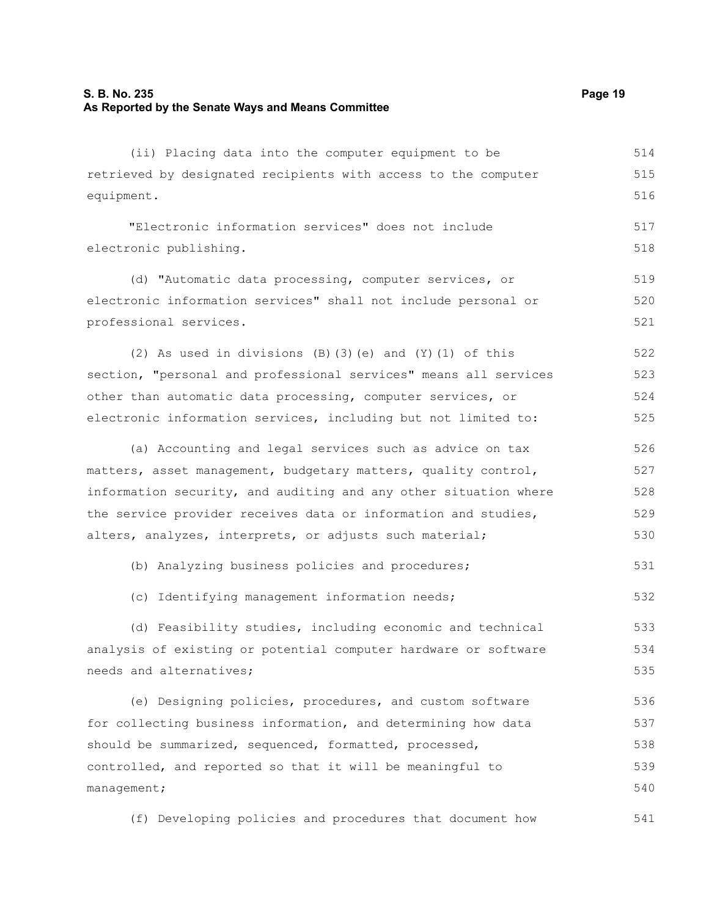#### **S. B. No. 235 Page 19 As Reported by the Senate Ways and Means Committee**

(ii) Placing data into the computer equipment to be retrieved by designated recipients with access to the computer equipment. 514 515 516

"Electronic information services" does not include electronic publishing.

(d) "Automatic data processing, computer services, or electronic information services" shall not include personal or professional services. 519 520 521

(2) As used in divisions (B)(3)(e) and (Y)(1) of this section, "personal and professional services" means all services other than automatic data processing, computer services, or electronic information services, including but not limited to: 522 523 524 525

(a) Accounting and legal services such as advice on tax matters, asset management, budgetary matters, quality control, information security, and auditing and any other situation where the service provider receives data or information and studies, alters, analyzes, interprets, or adjusts such material; 526 527 528 529 530

(b) Analyzing business policies and procedures; 531

(c) Identifying management information needs; 532

(d) Feasibility studies, including economic and technical analysis of existing or potential computer hardware or software needs and alternatives; 533 534 535

(e) Designing policies, procedures, and custom software for collecting business information, and determining how data should be summarized, sequenced, formatted, processed, controlled, and reported so that it will be meaningful to management; 536 537 538 539 540

(f) Developing policies and procedures that document how 541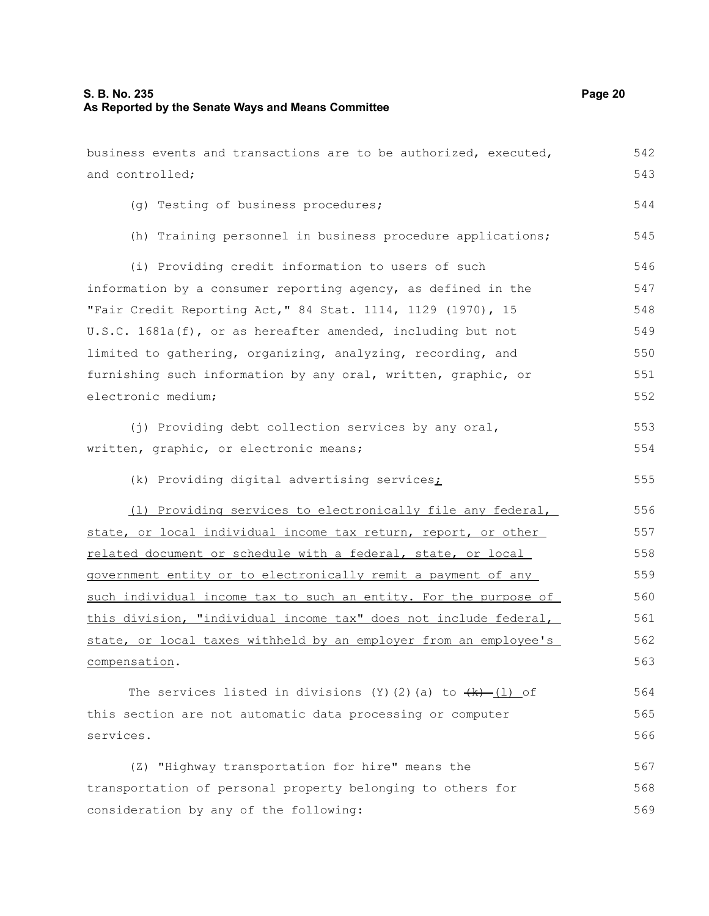business events and transactions are to be authorized, executed, and controlled; (g) Testing of business procedures; (h) Training personnel in business procedure applications; (i) Providing credit information to users of such information by a consumer reporting agency, as defined in the "Fair Credit Reporting Act," 84 Stat. 1114, 1129 (1970), 15 U.S.C. 1681a(f), or as hereafter amended, including but not limited to gathering, organizing, analyzing, recording, and furnishing such information by any oral, written, graphic, or electronic medium; (j) Providing debt collection services by any oral, written, graphic, or electronic means; (k) Providing digital advertising services; (l) Providing services to electronically file any federal, state, or local individual income tax return, report, or other related document or schedule with a federal, state, or local government entity or to electronically remit a payment of any such individual income tax to such an entity. For the purpose of this division, "individual income tax" does not include federal, state, or local taxes withheld by an employer from an employee's compensation. The services listed in divisions (Y)(2)(a) to  $(k)$  (l) of this section are not automatic data processing or computer services. (Z) "Highway transportation for hire" means the transportation of personal property belonging to others for consideration by any of the following: 542 543 544 545 546 547 548 549 550 551 552 553 554 555 556 557 558 559 560 561 562 563 564 565 566 567 568 569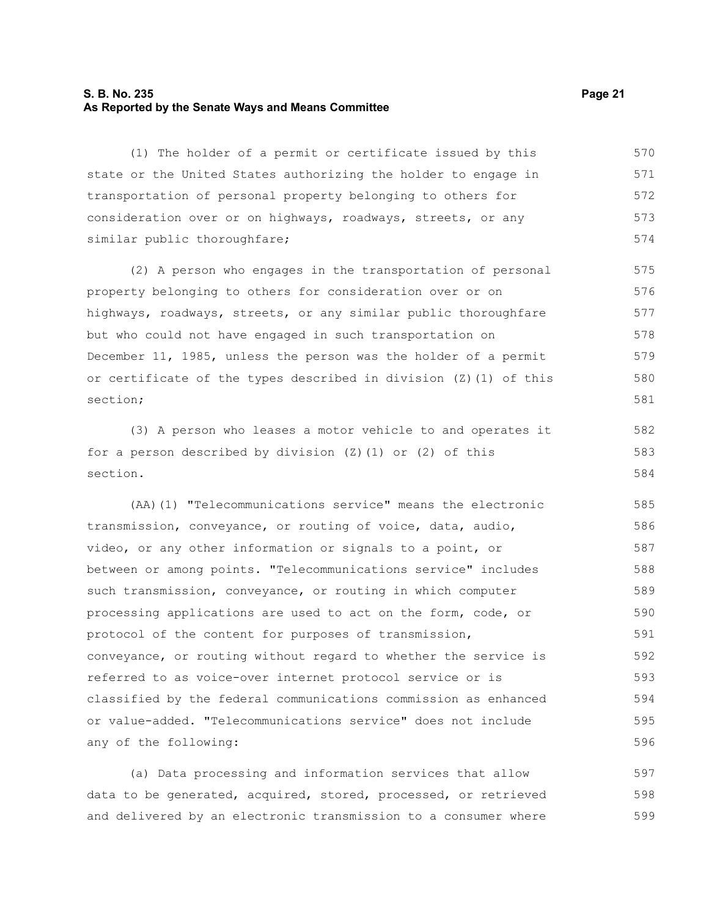#### **S. B. No. 235 Page 21 As Reported by the Senate Ways and Means Committee**

(1) The holder of a permit or certificate issued by this state or the United States authorizing the holder to engage in transportation of personal property belonging to others for consideration over or on highways, roadways, streets, or any similar public thoroughfare; 570 571 572 573 574

(2) A person who engages in the transportation of personal property belonging to others for consideration over or on highways, roadways, streets, or any similar public thoroughfare but who could not have engaged in such transportation on December 11, 1985, unless the person was the holder of a permit or certificate of the types described in division (Z)(1) of this section; 575 576 577 578 579 580 581

(3) A person who leases a motor vehicle to and operates it for a person described by division  $(Z)$  (1) or  $(2)$  of this section.

(AA)(1) "Telecommunications service" means the electronic transmission, conveyance, or routing of voice, data, audio, video, or any other information or signals to a point, or between or among points. "Telecommunications service" includes such transmission, conveyance, or routing in which computer processing applications are used to act on the form, code, or protocol of the content for purposes of transmission, conveyance, or routing without regard to whether the service is referred to as voice-over internet protocol service or is classified by the federal communications commission as enhanced or value-added. "Telecommunications service" does not include any of the following: 585 586 587 588 589 590 591 592 593 594 595 596

(a) Data processing and information services that allow data to be generated, acquired, stored, processed, or retrieved and delivered by an electronic transmission to a consumer where 597 598 599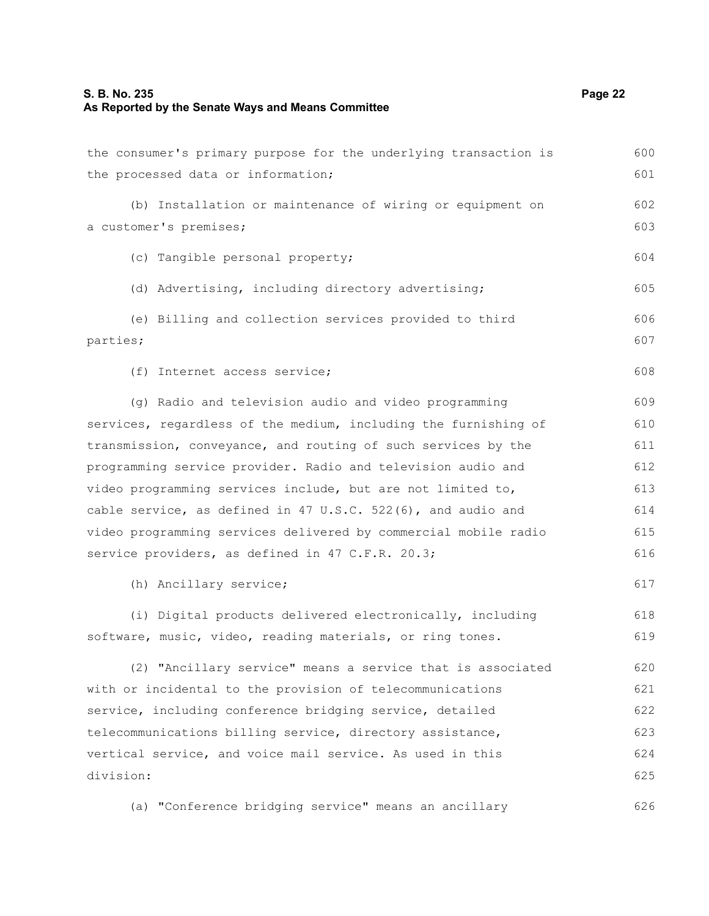### **S. B. No. 235 Page 22 As Reported by the Senate Ways and Means Committee**

| the consumer's primary purpose for the underlying transaction is | 600 |
|------------------------------------------------------------------|-----|
| the processed data or information;                               | 601 |
| (b) Installation or maintenance of wiring or equipment on        | 602 |
| a customer's premises;                                           | 603 |
|                                                                  |     |
| (c) Tangible personal property;                                  | 604 |
| (d) Advertising, including directory advertising;                | 605 |
| (e) Billing and collection services provided to third            | 606 |
| parties;                                                         | 607 |
| (f) Internet access service;                                     | 608 |
|                                                                  |     |
| (g) Radio and television audio and video programming             | 609 |
| services, regardless of the medium, including the furnishing of  | 610 |
| transmission, conveyance, and routing of such services by the    | 611 |
| programming service provider. Radio and television audio and     | 612 |
| video programming services include, but are not limited to,      | 613 |
| cable service, as defined in 47 U.S.C. 522(6), and audio and     | 614 |
| video programming services delivered by commercial mobile radio  | 615 |
| service providers, as defined in 47 C.F.R. 20.3;                 | 616 |
| (h) Ancillary service;                                           | 617 |
| (i) Digital products delivered electronically, including         | 618 |
| software, music, video, reading materials, or ring tones.        | 619 |
| (2) "Ancillary service" means a service that is associated       | 620 |
| with or incidental to the provision of telecommunications        | 621 |
| service, including conference bridging service, detailed         | 622 |
| telecommunications billing service, directory assistance,        | 623 |
| vertical service, and voice mail service. As used in this        | 624 |
| division:                                                        | 625 |
| (a) "Conference bridging service" means an ancillary             | 626 |
|                                                                  |     |

(a) "Conference bridging service" means an ancillary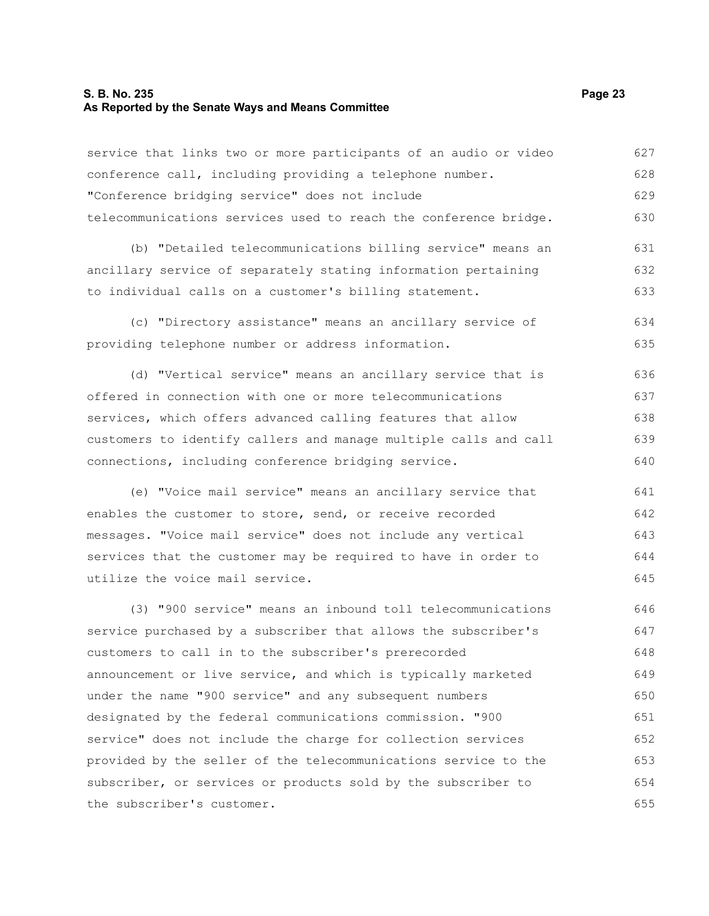#### **S. B. No. 235 Page 23 As Reported by the Senate Ways and Means Committee**

service that links two or more participants of an audio or video conference call, including providing a telephone number. "Conference bridging service" does not include telecommunications services used to reach the conference bridge. (b) "Detailed telecommunications billing service" means an ancillary service of separately stating information pertaining to individual calls on a customer's billing statement. (c) "Directory assistance" means an ancillary service of providing telephone number or address information. (d) "Vertical service" means an ancillary service that is offered in connection with one or more telecommunications services, which offers advanced calling features that allow customers to identify callers and manage multiple calls and call connections, including conference bridging service. (e) "Voice mail service" means an ancillary service that enables the customer to store, send, or receive recorded messages. "Voice mail service" does not include any vertical services that the customer may be required to have in order to utilize the voice mail service. (3) "900 service" means an inbound toll telecommunications service purchased by a subscriber that allows the subscriber's customers to call in to the subscriber's prerecorded announcement or live service, and which is typically marketed under the name "900 service" and any subsequent numbers designated by the federal communications commission. "900 service" does not include the charge for collection services 627 628 629 630 631 632 633 634 635 636 637 638 639 640 641 642 643 644 645 646 647 648 649 650 651 652

provided by the seller of the telecommunications service to the subscriber, or services or products sold by the subscriber to the subscriber's customer. 653 654 655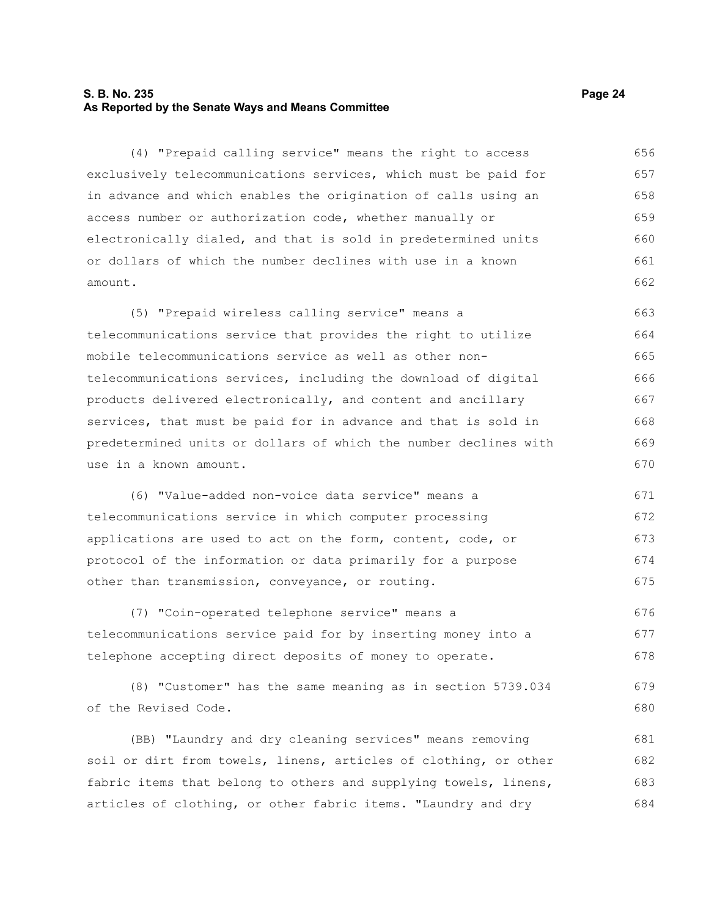#### **S. B. No. 235 Page 24 As Reported by the Senate Ways and Means Committee**

(4) "Prepaid calling service" means the right to access exclusively telecommunications services, which must be paid for in advance and which enables the origination of calls using an access number or authorization code, whether manually or electronically dialed, and that is sold in predetermined units or dollars of which the number declines with use in a known amount. 656 657 658 659 660 661 662

(5) "Prepaid wireless calling service" means a telecommunications service that provides the right to utilize mobile telecommunications service as well as other nontelecommunications services, including the download of digital products delivered electronically, and content and ancillary services, that must be paid for in advance and that is sold in predetermined units or dollars of which the number declines with use in a known amount. 663 664 665 666 667 668 669 670

(6) "Value-added non-voice data service" means a telecommunications service in which computer processing applications are used to act on the form, content, code, or protocol of the information or data primarily for a purpose other than transmission, conveyance, or routing. 671 672 673 674 675

(7) "Coin-operated telephone service" means a telecommunications service paid for by inserting money into a telephone accepting direct deposits of money to operate. 676 677 678

(8) "Customer" has the same meaning as in section 5739.034 of the Revised Code. 679 680

(BB) "Laundry and dry cleaning services" means removing soil or dirt from towels, linens, articles of clothing, or other fabric items that belong to others and supplying towels, linens, articles of clothing, or other fabric items. "Laundry and dry 681 682 683 684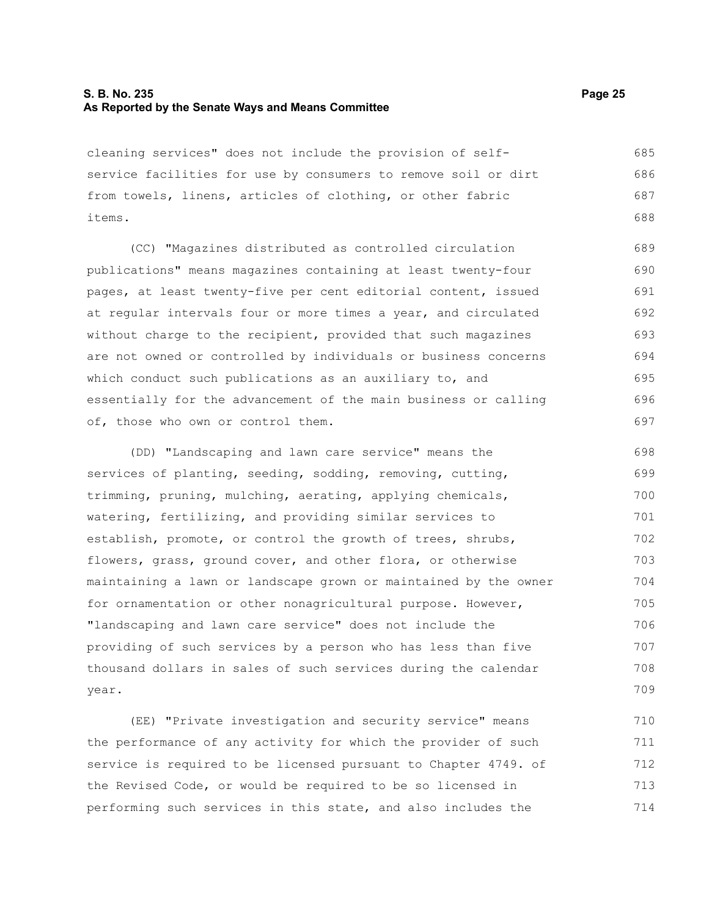#### **S. B. No. 235 Page 25 As Reported by the Senate Ways and Means Committee**

cleaning services" does not include the provision of selfservice facilities for use by consumers to remove soil or dirt from towels, linens, articles of clothing, or other fabric items. 685 686 687 688

(CC) "Magazines distributed as controlled circulation publications" means magazines containing at least twenty-four pages, at least twenty-five per cent editorial content, issued at regular intervals four or more times a year, and circulated without charge to the recipient, provided that such magazines are not owned or controlled by individuals or business concerns which conduct such publications as an auxiliary to, and essentially for the advancement of the main business or calling of, those who own or control them. 693 695 696

(DD) "Landscaping and lawn care service" means the services of planting, seeding, sodding, removing, cutting, trimming, pruning, mulching, aerating, applying chemicals, watering, fertilizing, and providing similar services to establish, promote, or control the growth of trees, shrubs, flowers, grass, ground cover, and other flora, or otherwise maintaining a lawn or landscape grown or maintained by the owner for ornamentation or other nonagricultural purpose. However, "landscaping and lawn care service" does not include the providing of such services by a person who has less than five thousand dollars in sales of such services during the calendar year. 698 699 700 701 702 703 704 705 706 707 708 709

(EE) "Private investigation and security service" means the performance of any activity for which the provider of such service is required to be licensed pursuant to Chapter 4749. of the Revised Code, or would be required to be so licensed in performing such services in this state, and also includes the 710 711 712 713 714

694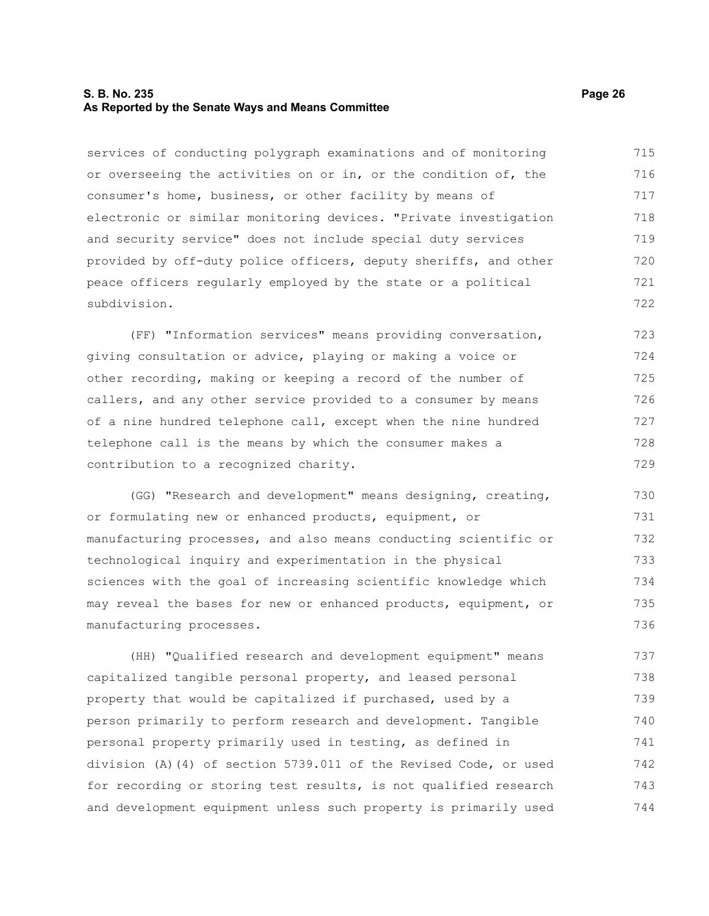#### **S. B. No. 235 Page 26 As Reported by the Senate Ways and Means Committee**

services of conducting polygraph examinations and of monitoring or overseeing the activities on or in, or the condition of, the consumer's home, business, or other facility by means of electronic or similar monitoring devices. "Private investigation and security service" does not include special duty services provided by off-duty police officers, deputy sheriffs, and other peace officers regularly employed by the state or a political subdivision. 715 716 717 718 719 720 721 722

(FF) "Information services" means providing conversation, giving consultation or advice, playing or making a voice or other recording, making or keeping a record of the number of callers, and any other service provided to a consumer by means of a nine hundred telephone call, except when the nine hundred telephone call is the means by which the consumer makes a contribution to a recognized charity. 723 724 725 726 727 728 729

(GG) "Research and development" means designing, creating, or formulating new or enhanced products, equipment, or manufacturing processes, and also means conducting scientific or technological inquiry and experimentation in the physical sciences with the goal of increasing scientific knowledge which may reveal the bases for new or enhanced products, equipment, or manufacturing processes. 730 731 732 733 734 735 736

(HH) "Qualified research and development equipment" means capitalized tangible personal property, and leased personal property that would be capitalized if purchased, used by a person primarily to perform research and development. Tangible personal property primarily used in testing, as defined in division (A)(4) of section 5739.011 of the Revised Code, or used for recording or storing test results, is not qualified research and development equipment unless such property is primarily used 737 738 739 740 741 742 743 744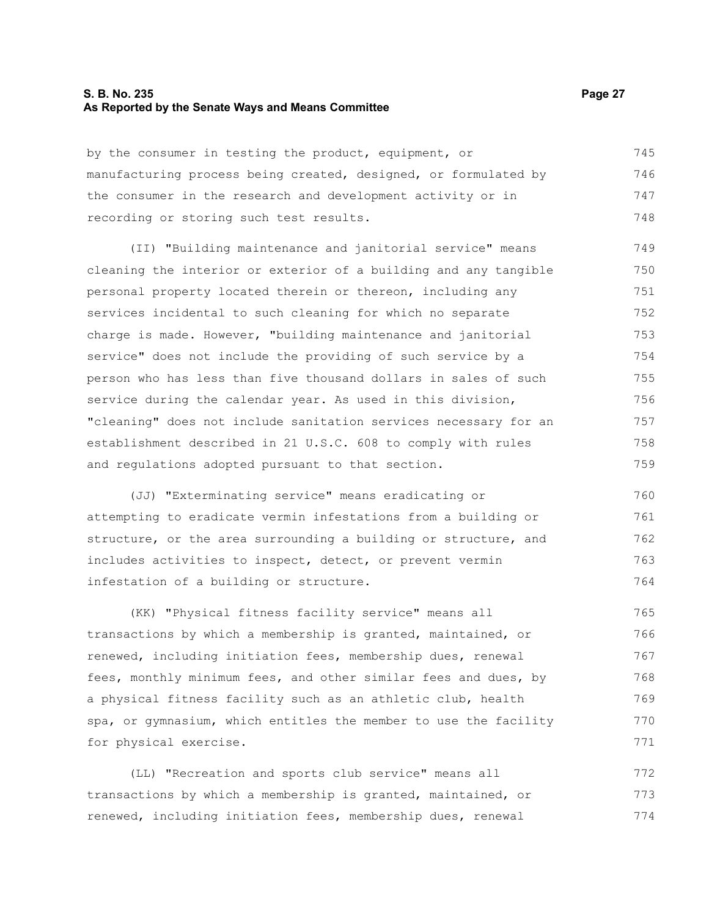#### **S. B. No. 235 Page 27 As Reported by the Senate Ways and Means Committee**

by the consumer in testing the product, equipment, or manufacturing process being created, designed, or formulated by the consumer in the research and development activity or in recording or storing such test results. 745 746 747 748

(II) "Building maintenance and janitorial service" means cleaning the interior or exterior of a building and any tangible personal property located therein or thereon, including any services incidental to such cleaning for which no separate charge is made. However, "building maintenance and janitorial service" does not include the providing of such service by a person who has less than five thousand dollars in sales of such service during the calendar year. As used in this division, "cleaning" does not include sanitation services necessary for an establishment described in 21 U.S.C. 608 to comply with rules and regulations adopted pursuant to that section. 749 750 751 752 753 754 755 756 757 758 759

(JJ) "Exterminating service" means eradicating or attempting to eradicate vermin infestations from a building or structure, or the area surrounding a building or structure, and includes activities to inspect, detect, or prevent vermin infestation of a building or structure. 760 761 762 763 764

(KK) "Physical fitness facility service" means all transactions by which a membership is granted, maintained, or renewed, including initiation fees, membership dues, renewal fees, monthly minimum fees, and other similar fees and dues, by a physical fitness facility such as an athletic club, health spa, or gymnasium, which entitles the member to use the facility for physical exercise. 765 766 767 768 769 770 771

(LL) "Recreation and sports club service" means all transactions by which a membership is granted, maintained, or renewed, including initiation fees, membership dues, renewal 772 773 774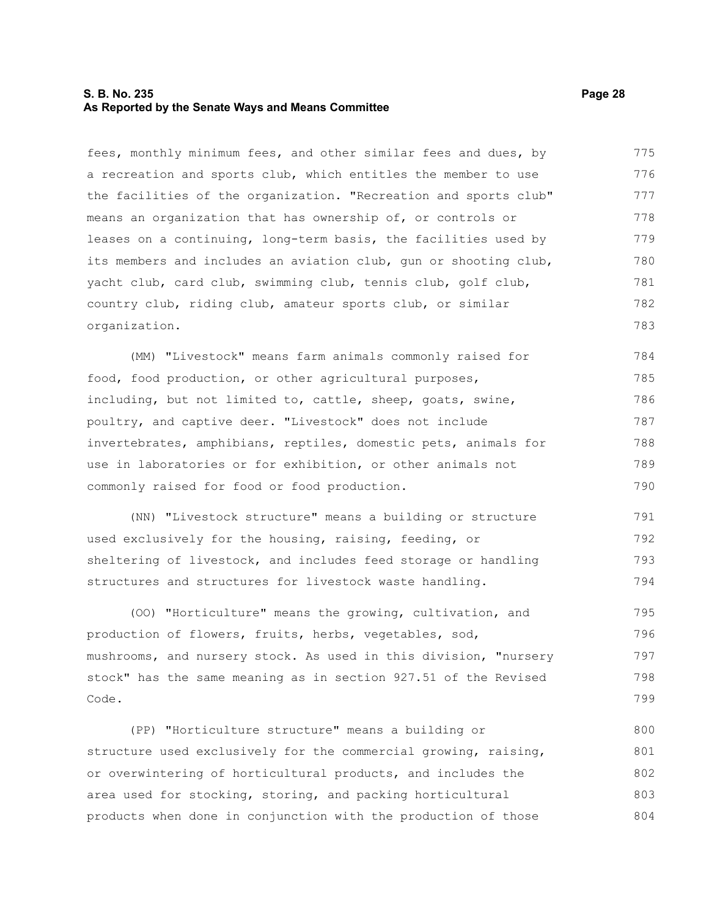#### **S. B. No. 235 Page 28 As Reported by the Senate Ways and Means Committee**

fees, monthly minimum fees, and other similar fees and dues, by a recreation and sports club, which entitles the member to use the facilities of the organization. "Recreation and sports club" means an organization that has ownership of, or controls or leases on a continuing, long-term basis, the facilities used by its members and includes an aviation club, gun or shooting club, yacht club, card club, swimming club, tennis club, golf club, country club, riding club, amateur sports club, or similar organization. 775 776 777 778 779 780 781 782 783

(MM) "Livestock" means farm animals commonly raised for food, food production, or other agricultural purposes, including, but not limited to, cattle, sheep, goats, swine, poultry, and captive deer. "Livestock" does not include invertebrates, amphibians, reptiles, domestic pets, animals for use in laboratories or for exhibition, or other animals not commonly raised for food or food production. 784 785 786 787 788 789 790

(NN) "Livestock structure" means a building or structure used exclusively for the housing, raising, feeding, or sheltering of livestock, and includes feed storage or handling structures and structures for livestock waste handling. 791 792 793 794

(OO) "Horticulture" means the growing, cultivation, and production of flowers, fruits, herbs, vegetables, sod, mushrooms, and nursery stock. As used in this division, "nursery stock" has the same meaning as in section 927.51 of the Revised Code. 795 796 797 798 799

(PP) "Horticulture structure" means a building or structure used exclusively for the commercial growing, raising, or overwintering of horticultural products, and includes the area used for stocking, storing, and packing horticultural products when done in conjunction with the production of those 800 801 802 803 804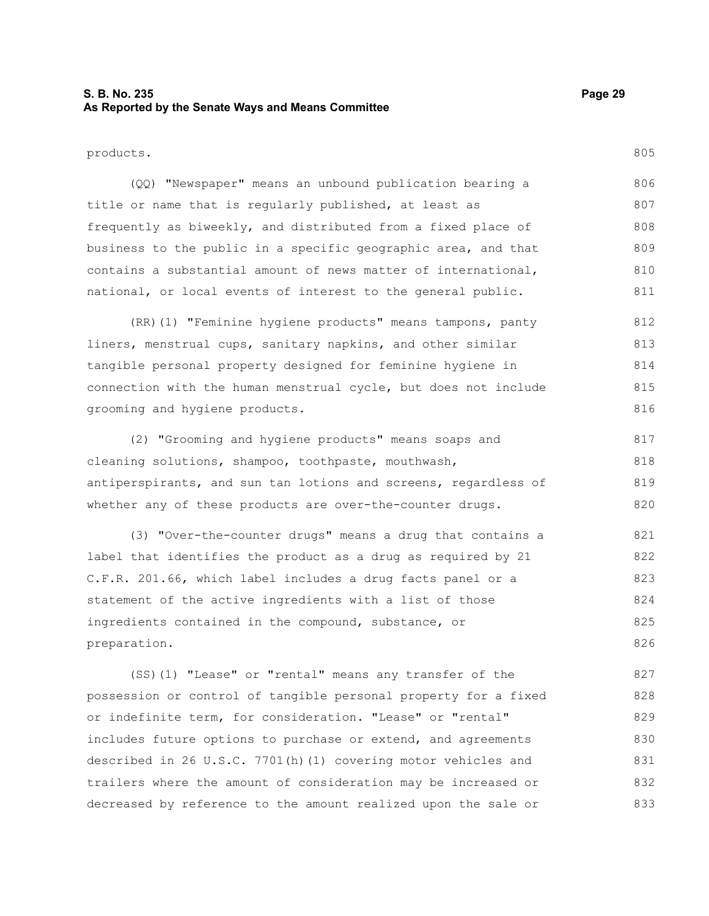#### **S. B. No. 235 Page 29 As Reported by the Senate Ways and Means Committee**

805

products.

(QQ) "Newspaper" means an unbound publication bearing a title or name that is regularly published, at least as frequently as biweekly, and distributed from a fixed place of business to the public in a specific geographic area, and that contains a substantial amount of news matter of international, national, or local events of interest to the general public. 806 807 808 809 810 811

(RR)(1) "Feminine hygiene products" means tampons, panty liners, menstrual cups, sanitary napkins, and other similar tangible personal property designed for feminine hygiene in connection with the human menstrual cycle, but does not include grooming and hygiene products. 812 813 814 815 816

(2) "Grooming and hygiene products" means soaps and cleaning solutions, shampoo, toothpaste, mouthwash, antiperspirants, and sun tan lotions and screens, regardless of whether any of these products are over-the-counter drugs. 817 818 819 820

(3) "Over-the-counter drugs" means a drug that contains a label that identifies the product as a drug as required by 21 C.F.R. 201.66, which label includes a drug facts panel or a statement of the active ingredients with a list of those ingredients contained in the compound, substance, or preparation. 821 822 823 824 825 826

(SS)(1) "Lease" or "rental" means any transfer of the possession or control of tangible personal property for a fixed or indefinite term, for consideration. "Lease" or "rental" includes future options to purchase or extend, and agreements described in 26 U.S.C. 7701(h)(1) covering motor vehicles and trailers where the amount of consideration may be increased or decreased by reference to the amount realized upon the sale or 827 828 829 830 831 832 833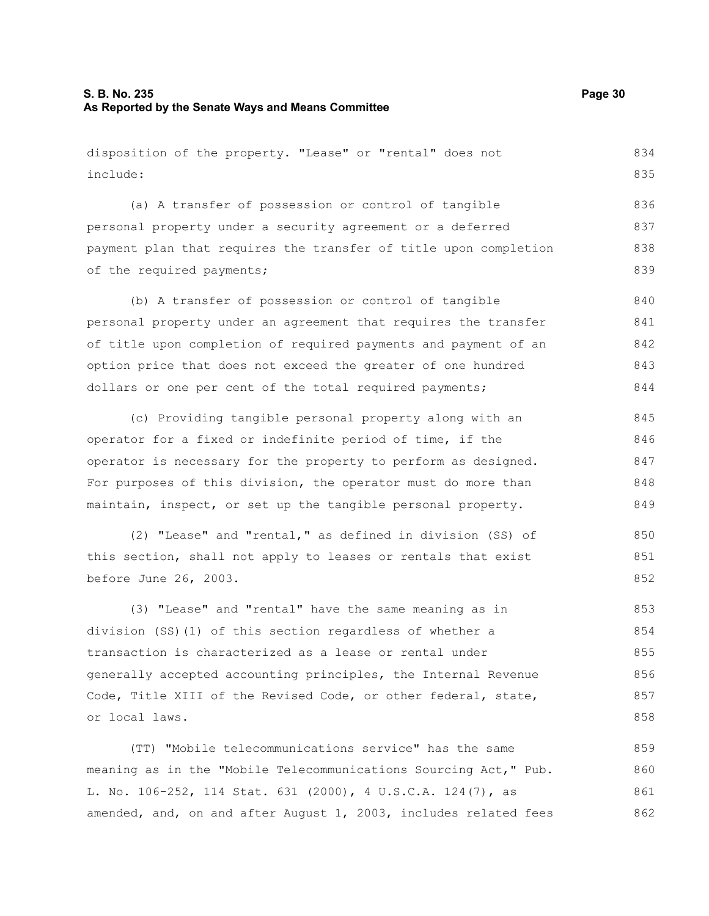disposition of the property. "Lease" or "rental" does not include: (a) A transfer of possession or control of tangible personal property under a security agreement or a deferred payment plan that requires the transfer of title upon completion of the required payments; (b) A transfer of possession or control of tangible personal property under an agreement that requires the transfer of title upon completion of required payments and payment of an option price that does not exceed the greater of one hundred dollars or one per cent of the total required payments; (c) Providing tangible personal property along with an operator for a fixed or indefinite period of time, if the operator is necessary for the property to perform as designed. For purposes of this division, the operator must do more than maintain, inspect, or set up the tangible personal property. (2) "Lease" and "rental," as defined in division (SS) of this section, shall not apply to leases or rentals that exist before June 26, 2003. (3) "Lease" and "rental" have the same meaning as in 834 835 836 837 838 839 840 841 842 843 844 845 846 847 848 849 850 851 852 853

division (SS)(1) of this section regardless of whether a transaction is characterized as a lease or rental under generally accepted accounting principles, the Internal Revenue Code, Title XIII of the Revised Code, or other federal, state, or local laws. 854 855 856 857 858

(TT) "Mobile telecommunications service" has the same meaning as in the "Mobile Telecommunications Sourcing Act," Pub. L. No. 106-252, 114 Stat. 631 (2000), 4 U.S.C.A. 124(7), as amended, and, on and after August 1, 2003, includes related fees 859 860 861 862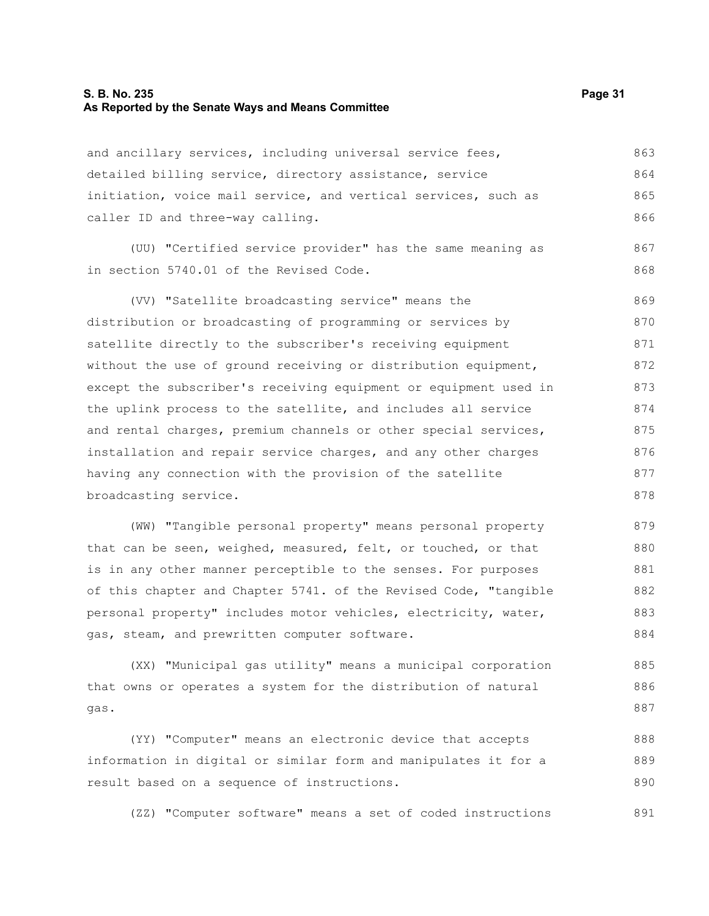#### **S. B. No. 235 Page 31 As Reported by the Senate Ways and Means Committee**

gas.

and ancillary services, including universal service fees, detailed billing service, directory assistance, service initiation, voice mail service, and vertical services, such as caller ID and three-way calling. (UU) "Certified service provider" has the same meaning as in section 5740.01 of the Revised Code. (VV) "Satellite broadcasting service" means the distribution or broadcasting of programming or services by satellite directly to the subscriber's receiving equipment without the use of ground receiving or distribution equipment, except the subscriber's receiving equipment or equipment used in the uplink process to the satellite, and includes all service and rental charges, premium channels or other special services, installation and repair service charges, and any other charges having any connection with the provision of the satellite broadcasting service. (WW) "Tangible personal property" means personal property that can be seen, weighed, measured, felt, or touched, or that is in any other manner perceptible to the senses. For purposes of this chapter and Chapter 5741. of the Revised Code, "tangible personal property" includes motor vehicles, electricity, water, 863 864 865 866 867 868 869 870 871 872 873 874 875 876 877 878 879 880 881 882 883

gas, steam, and prewritten computer software. (XX) "Municipal gas utility" means a municipal corporation that owns or operates a system for the distribution of natural 884 885 886

(YY) "Computer" means an electronic device that accepts information in digital or similar form and manipulates it for a result based on a sequence of instructions. 888 889 890

(ZZ) "Computer software" means a set of coded instructions 891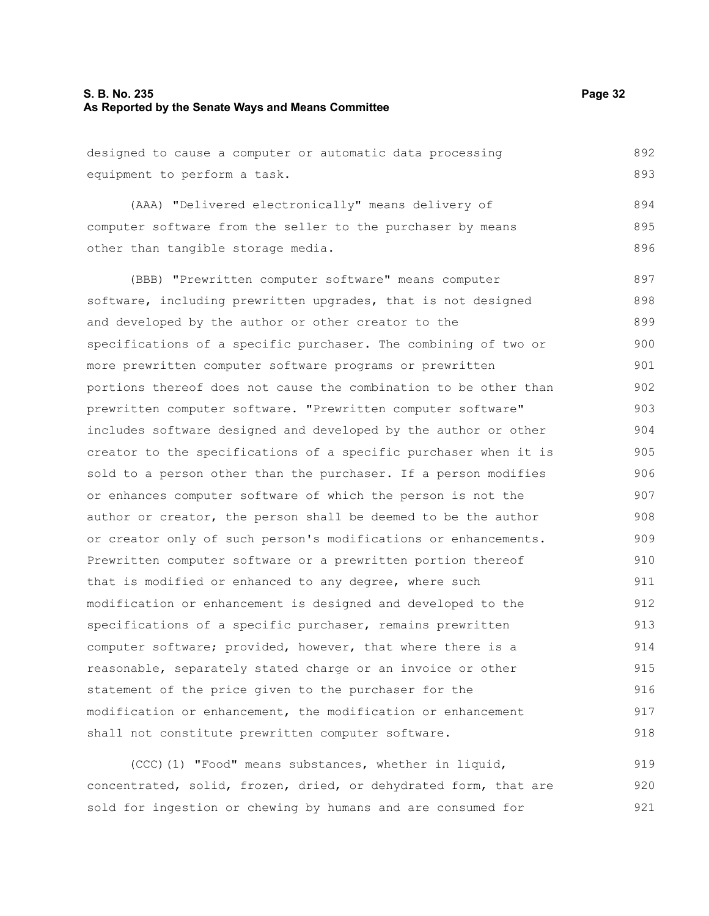#### **S. B. No. 235 Page 32 As Reported by the Senate Ways and Means Committee**

designed to cause a computer or automatic data processing equipment to perform a task. 892 893

(AAA) "Delivered electronically" means delivery of computer software from the seller to the purchaser by means other than tangible storage media. 894 895 896

(BBB) "Prewritten computer software" means computer software, including prewritten upgrades, that is not designed and developed by the author or other creator to the specifications of a specific purchaser. The combining of two or more prewritten computer software programs or prewritten portions thereof does not cause the combination to be other than prewritten computer software. "Prewritten computer software" includes software designed and developed by the author or other creator to the specifications of a specific purchaser when it is sold to a person other than the purchaser. If a person modifies or enhances computer software of which the person is not the author or creator, the person shall be deemed to be the author or creator only of such person's modifications or enhancements. Prewritten computer software or a prewritten portion thereof that is modified or enhanced to any degree, where such modification or enhancement is designed and developed to the specifications of a specific purchaser, remains prewritten computer software; provided, however, that where there is a reasonable, separately stated charge or an invoice or other statement of the price given to the purchaser for the modification or enhancement, the modification or enhancement shall not constitute prewritten computer software. 897 898 899 900 901 902 903 904 905 906 907 908 909 910 911 912 913 914 915 916 917 918

(CCC)(1) "Food" means substances, whether in liquid, concentrated, solid, frozen, dried, or dehydrated form, that are sold for ingestion or chewing by humans and are consumed for 919 920 921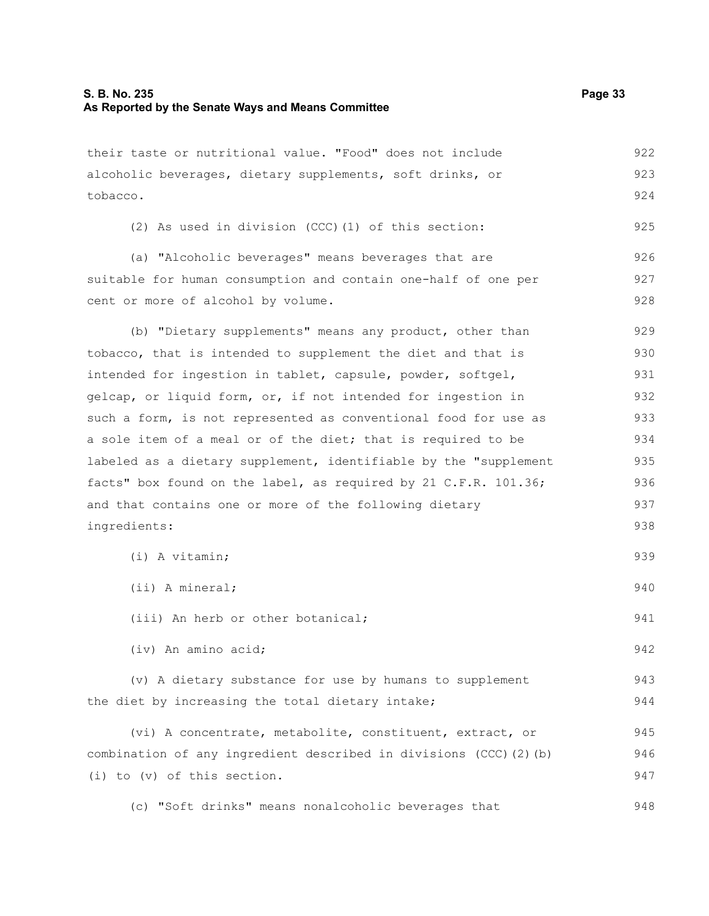their taste or nutritional value. "Food" does not include

alcoholic beverages, dietary supplements, soft drinks, or tobacco. (2) As used in division (CCC)(1) of this section: (a) "Alcoholic beverages" means beverages that are suitable for human consumption and contain one-half of one per cent or more of alcohol by volume. (b) "Dietary supplements" means any product, other than tobacco, that is intended to supplement the diet and that is intended for ingestion in tablet, capsule, powder, softgel, gelcap, or liquid form, or, if not intended for ingestion in such a form, is not represented as conventional food for use as a sole item of a meal or of the diet; that is required to be labeled as a dietary supplement, identifiable by the "supplement facts" box found on the label, as required by 21 C.F.R. 101.36; and that contains one or more of the following dietary ingredients: (i) A vitamin; (ii) A mineral; (iii) An herb or other botanical; (iv) An amino acid; (v) A dietary substance for use by humans to supplement the diet by increasing the total dietary intake; (vi) A concentrate, metabolite, constituent, extract, or combination of any ingredient described in divisions (CCC)(2)(b) (i) to (v) of this section. (c) "Soft drinks" means nonalcoholic beverages that 923 924 925 926 927 928 929 930 931 932 933 934 935 936 937 938 939 940 941 942 943 944 945 946 947 948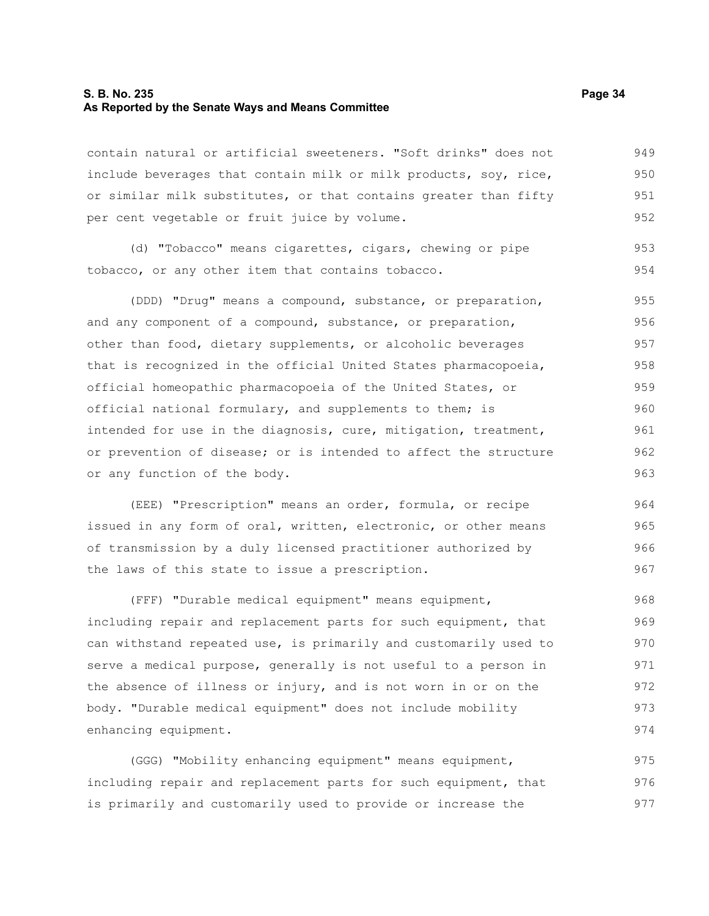#### **S. B. No. 235 Page 34 As Reported by the Senate Ways and Means Committee**

contain natural or artificial sweeteners. "Soft drinks" does not include beverages that contain milk or milk products, soy, rice, or similar milk substitutes, or that contains greater than fifty per cent vegetable or fruit juice by volume. 949 950 951 952

(d) "Tobacco" means cigarettes, cigars, chewing or pipe tobacco, or any other item that contains tobacco. 953 954

(DDD) "Drug" means a compound, substance, or preparation, and any component of a compound, substance, or preparation, other than food, dietary supplements, or alcoholic beverages that is recognized in the official United States pharmacopoeia, official homeopathic pharmacopoeia of the United States, or official national formulary, and supplements to them; is intended for use in the diagnosis, cure, mitigation, treatment, or prevention of disease; or is intended to affect the structure or any function of the body. 955 956 957 958 959 960 961 962 963

(EEE) "Prescription" means an order, formula, or recipe issued in any form of oral, written, electronic, or other means of transmission by a duly licensed practitioner authorized by the laws of this state to issue a prescription.

(FFF) "Durable medical equipment" means equipment, including repair and replacement parts for such equipment, that can withstand repeated use, is primarily and customarily used to serve a medical purpose, generally is not useful to a person in the absence of illness or injury, and is not worn in or on the body. "Durable medical equipment" does not include mobility enhancing equipment. 968 969 970 971 972 973 974

(GGG) "Mobility enhancing equipment" means equipment, including repair and replacement parts for such equipment, that is primarily and customarily used to provide or increase the 975 976 977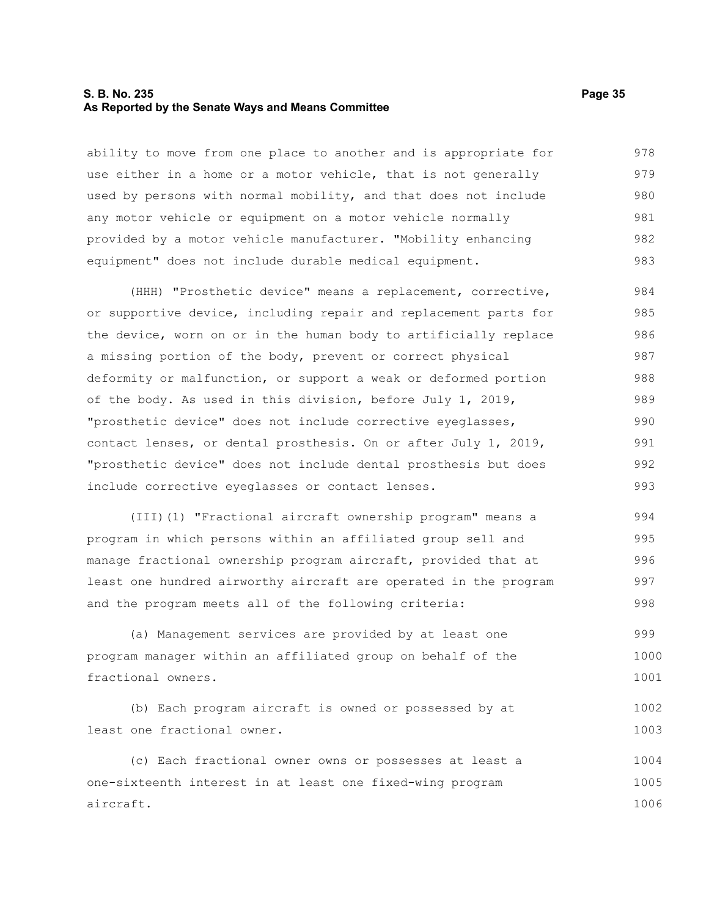#### **S. B. No. 235 Page 35 As Reported by the Senate Ways and Means Committee**

ability to move from one place to another and is appropriate for use either in a home or a motor vehicle, that is not generally used by persons with normal mobility, and that does not include any motor vehicle or equipment on a motor vehicle normally provided by a motor vehicle manufacturer. "Mobility enhancing equipment" does not include durable medical equipment. 978 979 980 981 982 983

(HHH) "Prosthetic device" means a replacement, corrective, or supportive device, including repair and replacement parts for the device, worn on or in the human body to artificially replace a missing portion of the body, prevent or correct physical deformity or malfunction, or support a weak or deformed portion of the body. As used in this division, before July 1, 2019, "prosthetic device" does not include corrective eyeglasses, contact lenses, or dental prosthesis. On or after July 1, 2019, "prosthetic device" does not include dental prosthesis but does include corrective eyeglasses or contact lenses. 984 985 986 987 988 989 990 991 992 993

(III)(1) "Fractional aircraft ownership program" means a program in which persons within an affiliated group sell and manage fractional ownership program aircraft, provided that at least one hundred airworthy aircraft are operated in the program and the program meets all of the following criteria: 994 995 996 997 998

(a) Management services are provided by at least one program manager within an affiliated group on behalf of the fractional owners. 999 1000 1001

```
(b) Each program aircraft is owned or possessed by at
least one fractional owner. 
                                                                             1002
                                                                             1003
```
(c) Each fractional owner owns or possesses at least a one-sixteenth interest in at least one fixed-wing program aircraft. 1004 1005 1006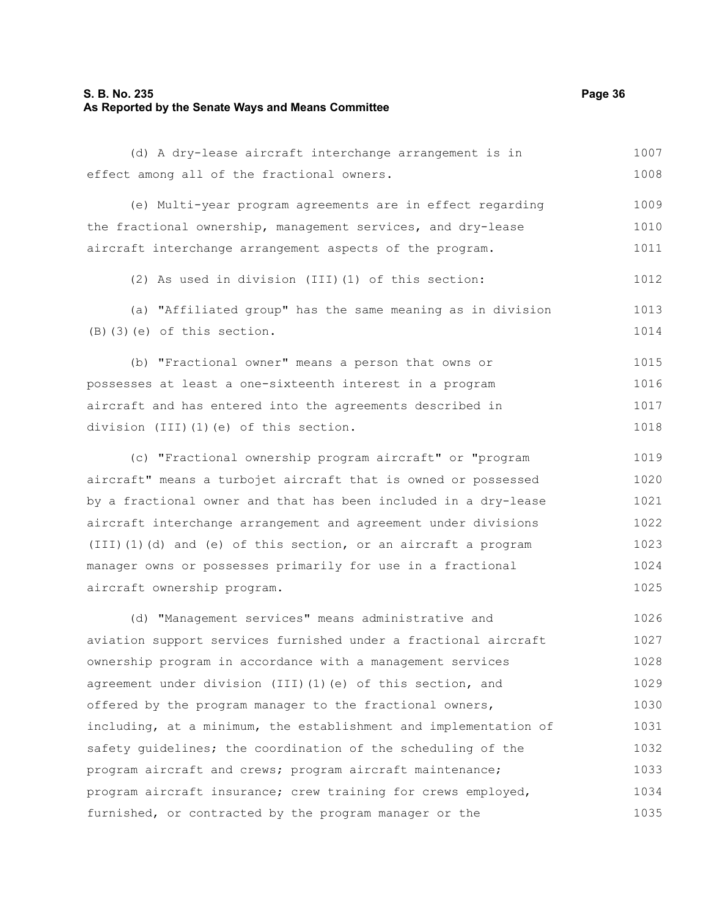#### **S. B. No. 235 Page 36 As Reported by the Senate Ways and Means Committee**

(d) A dry-lease aircraft interchange arrangement is in effect among all of the fractional owners. 1007 1008

(e) Multi-year program agreements are in effect regarding the fractional ownership, management services, and dry-lease aircraft interchange arrangement aspects of the program. 1009 1010 1011

(2) As used in division (III)(1) of this section: 1012

(a) "Affiliated group" has the same meaning as in division (B)(3)(e) of this section. 1013 1014

(b) "Fractional owner" means a person that owns or possesses at least a one-sixteenth interest in a program aircraft and has entered into the agreements described in division (III)(1)(e) of this section. 1015 1016 1017 1018

(c) "Fractional ownership program aircraft" or "program aircraft" means a turbojet aircraft that is owned or possessed by a fractional owner and that has been included in a dry-lease aircraft interchange arrangement and agreement under divisions (III)(1)(d) and (e) of this section, or an aircraft a program manager owns or possesses primarily for use in a fractional aircraft ownership program. 1019 1020 1021 1022 1023 1024 1025

(d) "Management services" means administrative and aviation support services furnished under a fractional aircraft ownership program in accordance with a management services agreement under division (III)(1)(e) of this section, and offered by the program manager to the fractional owners, including, at a minimum, the establishment and implementation of safety guidelines; the coordination of the scheduling of the program aircraft and crews; program aircraft maintenance; program aircraft insurance; crew training for crews employed, furnished, or contracted by the program manager or the 1026 1027 1028 1029 1030 1031 1032 1033 1034 1035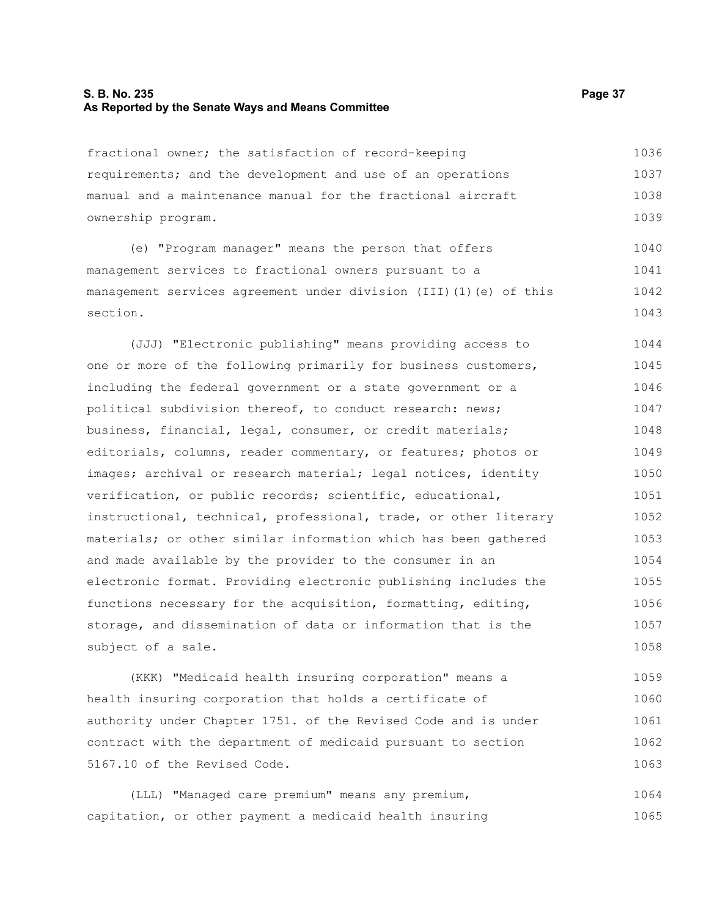### **S. B. No. 235 Page 37 As Reported by the Senate Ways and Means Committee**

fractional owner; the satisfaction of record-keeping requirements; and the development and use of an operations manual and a maintenance manual for the fractional aircraft ownership program. 1036 1037 1038 1039

(e) "Program manager" means the person that offers management services to fractional owners pursuant to a management services agreement under division (III)(1)(e) of this section. 1040 1041 1042 1043

(JJJ) "Electronic publishing" means providing access to one or more of the following primarily for business customers, including the federal government or a state government or a political subdivision thereof, to conduct research: news; business, financial, legal, consumer, or credit materials; editorials, columns, reader commentary, or features; photos or images; archival or research material; legal notices, identity verification, or public records; scientific, educational, instructional, technical, professional, trade, or other literary materials; or other similar information which has been gathered and made available by the provider to the consumer in an electronic format. Providing electronic publishing includes the functions necessary for the acquisition, formatting, editing, storage, and dissemination of data or information that is the subject of a sale. 1044 1045 1046 1047 1048 1049 1050 1051 1052 1053 1054 1055 1056 1057 1058

(KKK) "Medicaid health insuring corporation" means a health insuring corporation that holds a certificate of authority under Chapter 1751. of the Revised Code and is under contract with the department of medicaid pursuant to section 5167.10 of the Revised Code. 1059 1060 1061 1062 1063

(LLL) "Managed care premium" means any premium, capitation, or other payment a medicaid health insuring 1064 1065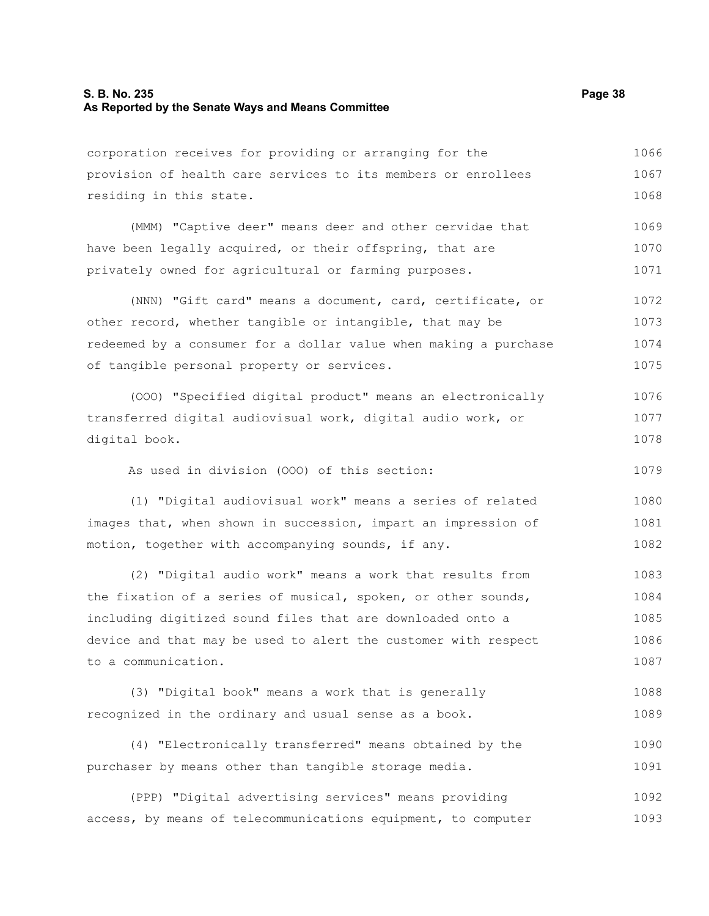#### **S. B. No. 235 Page 38 As Reported by the Senate Ways and Means Committee**

corporation receives for providing or arranging for the provision of health care services to its members or enrollees residing in this state. 1066 1067 1068

(MMM) "Captive deer" means deer and other cervidae that have been legally acquired, or their offspring, that are privately owned for agricultural or farming purposes. 1069 1070 1071

(NNN) "Gift card" means a document, card, certificate, or other record, whether tangible or intangible, that may be redeemed by a consumer for a dollar value when making a purchase of tangible personal property or services. 1072 1073 1074 1075

(OOO) "Specified digital product" means an electronically transferred digital audiovisual work, digital audio work, or digital book. 1076 1077 1078

As used in division (OOO) of this section:

(1) "Digital audiovisual work" means a series of related images that, when shown in succession, impart an impression of motion, together with accompanying sounds, if any. 1080 1081 1082

(2) "Digital audio work" means a work that results from the fixation of a series of musical, spoken, or other sounds, including digitized sound files that are downloaded onto a device and that may be used to alert the customer with respect to a communication. 1083 1084 1085 1086 1087

(3) "Digital book" means a work that is generally recognized in the ordinary and usual sense as a book. 1088 1089

(4) "Electronically transferred" means obtained by the purchaser by means other than tangible storage media. 1090 1091

(PPP) "Digital advertising services" means providing access, by means of telecommunications equipment, to computer 1092 1093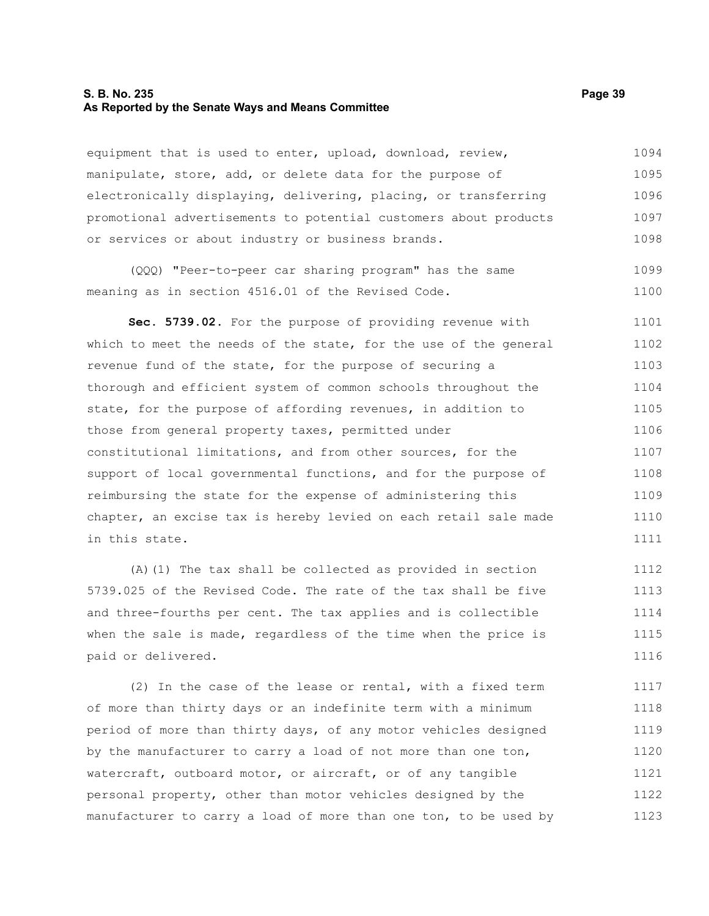#### **S. B. No. 235 Page 39 As Reported by the Senate Ways and Means Committee**

equipment that is used to enter, upload, download, review, manipulate, store, add, or delete data for the purpose of electronically displaying, delivering, placing, or transferring promotional advertisements to potential customers about products or services or about industry or business brands. 1094 1095 1096 1097 1098

(QQQ) "Peer-to-peer car sharing program" has the same meaning as in section 4516.01 of the Revised Code. 1099 1100

**Sec. 5739.02.** For the purpose of providing revenue with which to meet the needs of the state, for the use of the general revenue fund of the state, for the purpose of securing a thorough and efficient system of common schools throughout the state, for the purpose of affording revenues, in addition to those from general property taxes, permitted under constitutional limitations, and from other sources, for the support of local governmental functions, and for the purpose of reimbursing the state for the expense of administering this chapter, an excise tax is hereby levied on each retail sale made in this state. 1101 1102 1103 1104 1105 1106 1107 1108 1109 1110 1111

(A)(1) The tax shall be collected as provided in section 5739.025 of the Revised Code. The rate of the tax shall be five and three-fourths per cent. The tax applies and is collectible when the sale is made, regardless of the time when the price is paid or delivered. 1112 1113 1114 1115 1116

(2) In the case of the lease or rental, with a fixed term of more than thirty days or an indefinite term with a minimum period of more than thirty days, of any motor vehicles designed by the manufacturer to carry a load of not more than one ton, watercraft, outboard motor, or aircraft, or of any tangible personal property, other than motor vehicles designed by the manufacturer to carry a load of more than one ton, to be used by 1117 1118 1119 1120 1121 1122 1123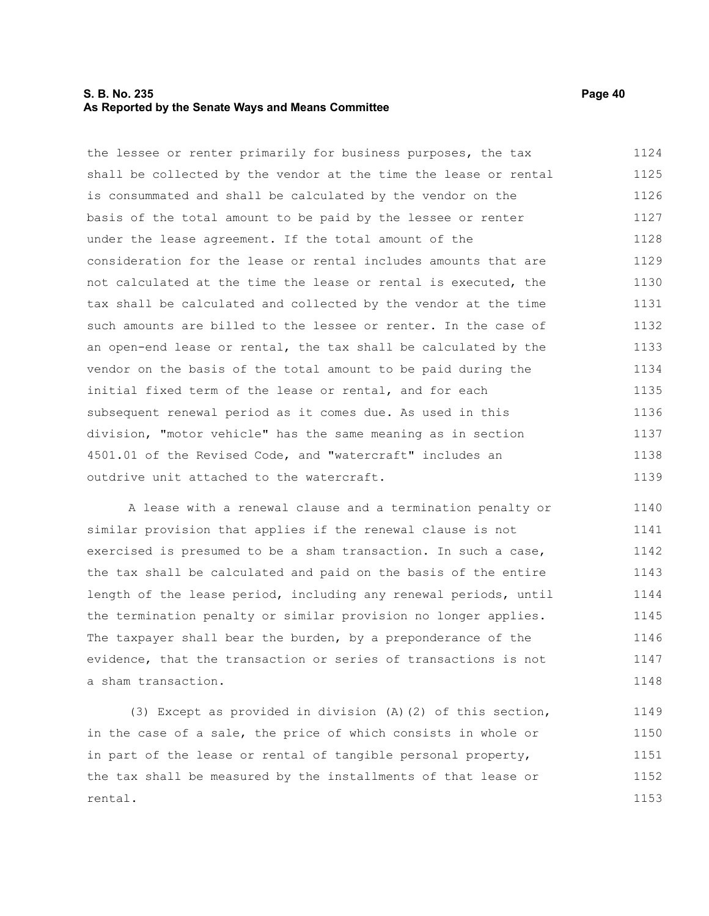#### **S. B. No. 235 Page 40 As Reported by the Senate Ways and Means Committee**

the lessee or renter primarily for business purposes, the tax shall be collected by the vendor at the time the lease or rental is consummated and shall be calculated by the vendor on the basis of the total amount to be paid by the lessee or renter under the lease agreement. If the total amount of the consideration for the lease or rental includes amounts that are not calculated at the time the lease or rental is executed, the tax shall be calculated and collected by the vendor at the time such amounts are billed to the lessee or renter. In the case of an open-end lease or rental, the tax shall be calculated by the vendor on the basis of the total amount to be paid during the initial fixed term of the lease or rental, and for each subsequent renewal period as it comes due. As used in this division, "motor vehicle" has the same meaning as in section 4501.01 of the Revised Code, and "watercraft" includes an outdrive unit attached to the watercraft. 1124 1125 1126 1127 1128 1129 1130 1131 1132 1133 1134 1135 1136 1137 1138 1139

A lease with a renewal clause and a termination penalty or similar provision that applies if the renewal clause is not exercised is presumed to be a sham transaction. In such a case, the tax shall be calculated and paid on the basis of the entire length of the lease period, including any renewal periods, until the termination penalty or similar provision no longer applies. The taxpayer shall bear the burden, by a preponderance of the evidence, that the transaction or series of transactions is not a sham transaction. 1140 1141 1142 1143 1144 1145 1146 1147 1148

(3) Except as provided in division (A)(2) of this section, in the case of a sale, the price of which consists in whole or in part of the lease or rental of tangible personal property, the tax shall be measured by the installments of that lease or rental. 1149 1150 1151 1152 1153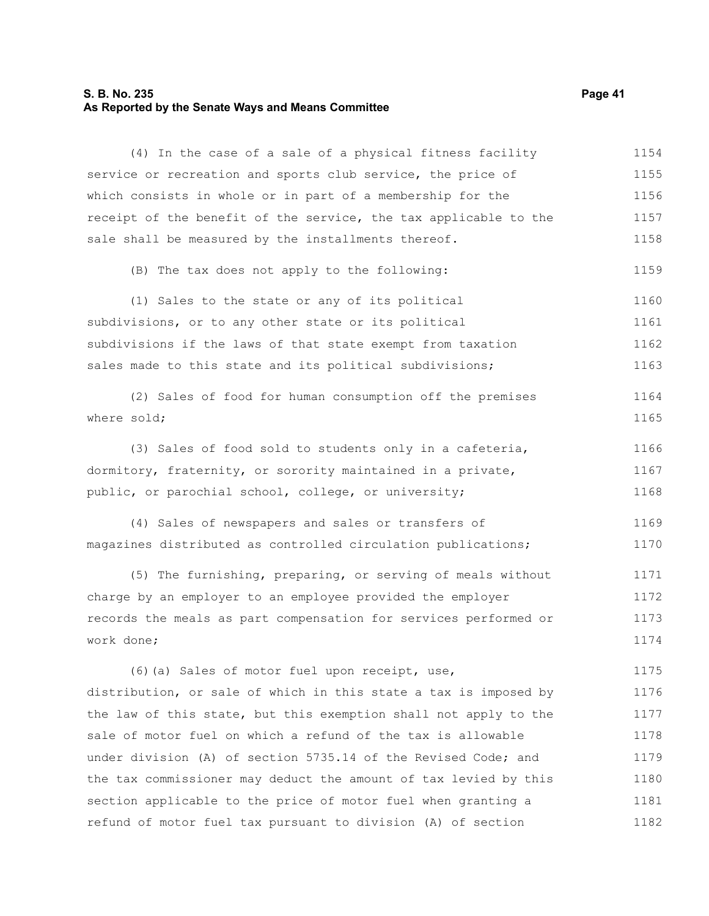# **S. B. No. 235 Page 41 As Reported by the Senate Ways and Means Committee**

| (4) In the case of a sale of a physical fitness facility         | 1154 |
|------------------------------------------------------------------|------|
| service or recreation and sports club service, the price of      | 1155 |
| which consists in whole or in part of a membership for the       | 1156 |
| receipt of the benefit of the service, the tax applicable to the | 1157 |
| sale shall be measured by the installments thereof.              | 1158 |
| (B) The tax does not apply to the following:                     | 1159 |
| (1) Sales to the state or any of its political                   | 1160 |
| subdivisions, or to any other state or its political             | 1161 |
| subdivisions if the laws of that state exempt from taxation      | 1162 |
| sales made to this state and its political subdivisions;         | 1163 |
| (2) Sales of food for human consumption off the premises         | 1164 |
| where sold;                                                      | 1165 |
| (3) Sales of food sold to students only in a cafeteria,          | 1166 |
| dormitory, fraternity, or sorority maintained in a private,      | 1167 |
| public, or parochial school, college, or university;             | 1168 |
| (4) Sales of newspapers and sales or transfers of                | 1169 |
| magazines distributed as controlled circulation publications;    | 1170 |
| (5) The furnishing, preparing, or serving of meals without       | 1171 |
| charge by an employer to an employee provided the employer       | 1172 |
| records the meals as part compensation for services performed or | 1173 |
| work done;                                                       | 1174 |
| (6) (a) Sales of motor fuel upon receipt, use,                   | 1175 |
| distribution, or sale of which in this state a tax is imposed by | 1176 |
| the law of this state, but this exemption shall not apply to the | 1177 |
| sale of motor fuel on which a refund of the tax is allowable     | 1178 |
| under division (A) of section 5735.14 of the Revised Code; and   | 1179 |
| the tax commissioner may deduct the amount of tax levied by this | 1180 |
| section applicable to the price of motor fuel when granting a    | 1181 |
| refund of motor fuel tax pursuant to division (A) of section     | 1182 |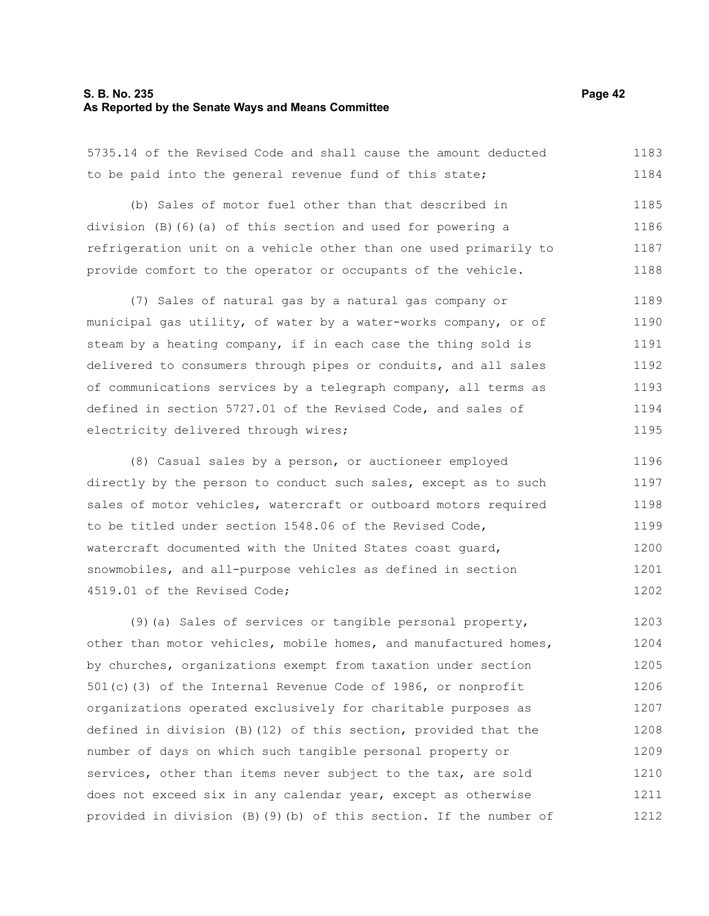#### **S. B. No. 235 Page 42 As Reported by the Senate Ways and Means Committee**

5735.14 of the Revised Code and shall cause the amount deducted to be paid into the general revenue fund of this state; 1183 1184

(b) Sales of motor fuel other than that described in division (B)(6)(a) of this section and used for powering a refrigeration unit on a vehicle other than one used primarily to provide comfort to the operator or occupants of the vehicle. 1185 1186 1187 1188

(7) Sales of natural gas by a natural gas company or municipal gas utility, of water by a water-works company, or of steam by a heating company, if in each case the thing sold is delivered to consumers through pipes or conduits, and all sales of communications services by a telegraph company, all terms as defined in section 5727.01 of the Revised Code, and sales of electricity delivered through wires; 1189 1190 1191 1192 1193 1194 1195

(8) Casual sales by a person, or auctioneer employed directly by the person to conduct such sales, except as to such sales of motor vehicles, watercraft or outboard motors required to be titled under section 1548.06 of the Revised Code, watercraft documented with the United States coast guard, snowmobiles, and all-purpose vehicles as defined in section 4519.01 of the Revised Code; 1196 1197 1198 1199 1200 1201 1202

(9)(a) Sales of services or tangible personal property, other than motor vehicles, mobile homes, and manufactured homes, by churches, organizations exempt from taxation under section 501(c)(3) of the Internal Revenue Code of 1986, or nonprofit organizations operated exclusively for charitable purposes as defined in division (B)(12) of this section, provided that the number of days on which such tangible personal property or services, other than items never subject to the tax, are sold does not exceed six in any calendar year, except as otherwise provided in division (B)(9)(b) of this section. If the number of 1203 1204 1205 1206 1207 1208 1209 1210 1211 1212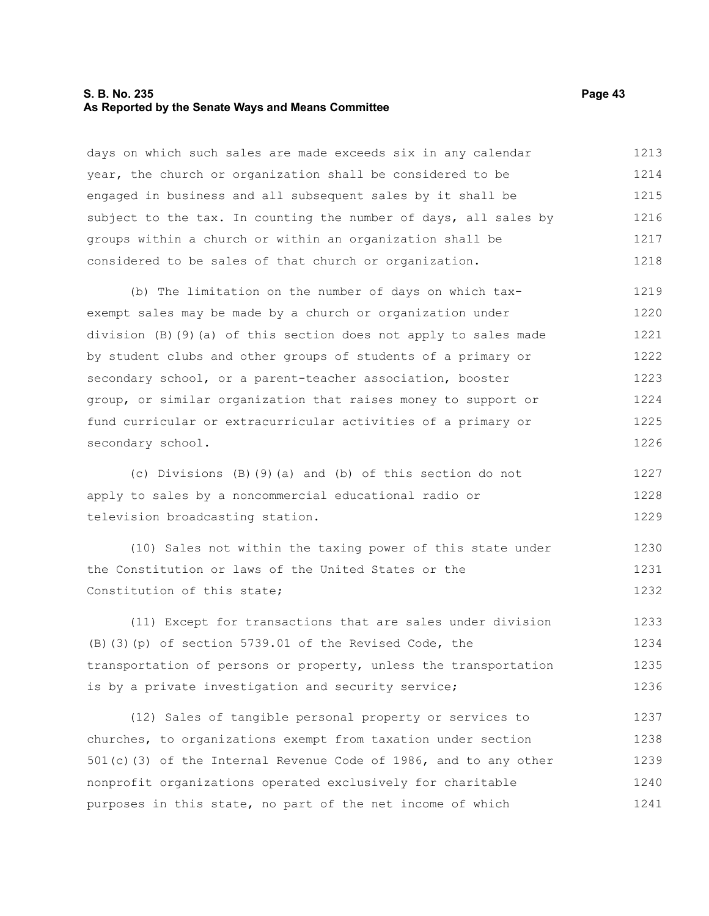#### **S. B. No. 235 Page 43 As Reported by the Senate Ways and Means Committee**

days on which such sales are made exceeds six in any calendar year, the church or organization shall be considered to be engaged in business and all subsequent sales by it shall be subject to the tax. In counting the number of days, all sales by groups within a church or within an organization shall be considered to be sales of that church or organization. 1213 1214 1215 1216 1217 1218

(b) The limitation on the number of days on which taxexempt sales may be made by a church or organization under division (B)(9)(a) of this section does not apply to sales made by student clubs and other groups of students of a primary or secondary school, or a parent-teacher association, booster group, or similar organization that raises money to support or fund curricular or extracurricular activities of a primary or secondary school. 1219 1220 1221 1222 1223 1224 1225 1226

(c) Divisions (B)(9)(a) and (b) of this section do not apply to sales by a noncommercial educational radio or television broadcasting station. 1227 1228 1229

(10) Sales not within the taxing power of this state under the Constitution or laws of the United States or the Constitution of this state; 1230 1231 1232

(11) Except for transactions that are sales under division (B)(3)(p) of section 5739.01 of the Revised Code, the transportation of persons or property, unless the transportation is by a private investigation and security service; 1233 1234 1235 1236

(12) Sales of tangible personal property or services to churches, to organizations exempt from taxation under section 501(c)(3) of the Internal Revenue Code of 1986, and to any other nonprofit organizations operated exclusively for charitable purposes in this state, no part of the net income of which 1237 1238 1239 1240 1241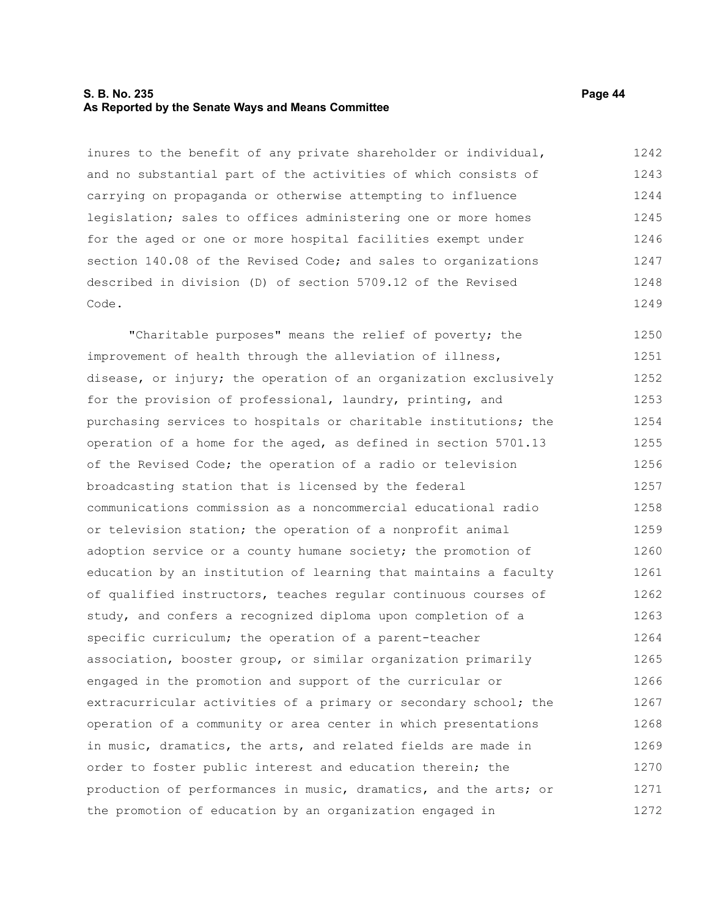#### **S. B. No. 235 Page 44 As Reported by the Senate Ways and Means Committee**

inures to the benefit of any private shareholder or individual, and no substantial part of the activities of which consists of carrying on propaganda or otherwise attempting to influence legislation; sales to offices administering one or more homes for the aged or one or more hospital facilities exempt under section 140.08 of the Revised Code; and sales to organizations described in division (D) of section 5709.12 of the Revised Code. 1242 1243 1244 1245 1246 1247 1248 1249

"Charitable purposes" means the relief of poverty; the improvement of health through the alleviation of illness, disease, or injury; the operation of an organization exclusively for the provision of professional, laundry, printing, and purchasing services to hospitals or charitable institutions; the operation of a home for the aged, as defined in section 5701.13 of the Revised Code; the operation of a radio or television broadcasting station that is licensed by the federal communications commission as a noncommercial educational radio or television station; the operation of a nonprofit animal adoption service or a county humane society; the promotion of education by an institution of learning that maintains a faculty of qualified instructors, teaches regular continuous courses of study, and confers a recognized diploma upon completion of a specific curriculum; the operation of a parent-teacher association, booster group, or similar organization primarily engaged in the promotion and support of the curricular or extracurricular activities of a primary or secondary school; the operation of a community or area center in which presentations in music, dramatics, the arts, and related fields are made in order to foster public interest and education therein; the production of performances in music, dramatics, and the arts; or the promotion of education by an organization engaged in 1250 1251 1252 1253 1254 1255 1256 1257 1258 1259 1260 1261 1262 1263 1264 1265 1266 1267 1268 1269 1270 1271 1272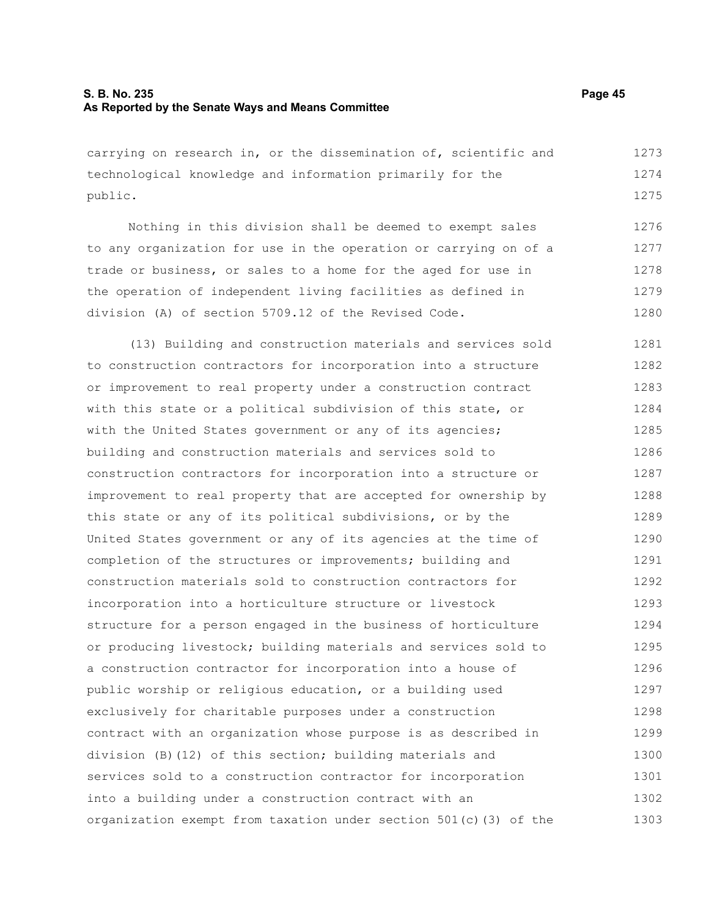#### **S. B. No. 235 Page 45 As Reported by the Senate Ways and Means Committee**

carrying on research in, or the dissemination of, scientific and technological knowledge and information primarily for the public. 1273 1274 1275

Nothing in this division shall be deemed to exempt sales to any organization for use in the operation or carrying on of a trade or business, or sales to a home for the aged for use in the operation of independent living facilities as defined in division (A) of section 5709.12 of the Revised Code. 1276 1277 1278 1279 1280

(13) Building and construction materials and services sold to construction contractors for incorporation into a structure or improvement to real property under a construction contract with this state or a political subdivision of this state, or with the United States government or any of its agencies; building and construction materials and services sold to construction contractors for incorporation into a structure or improvement to real property that are accepted for ownership by this state or any of its political subdivisions, or by the United States government or any of its agencies at the time of completion of the structures or improvements; building and construction materials sold to construction contractors for incorporation into a horticulture structure or livestock structure for a person engaged in the business of horticulture or producing livestock; building materials and services sold to a construction contractor for incorporation into a house of public worship or religious education, or a building used exclusively for charitable purposes under a construction contract with an organization whose purpose is as described in division (B)(12) of this section; building materials and services sold to a construction contractor for incorporation into a building under a construction contract with an organization exempt from taxation under section 501(c)(3) of the 1281 1282 1283 1284 1285 1286 1287 1288 1289 1290 1291 1292 1293 1294 1295 1296 1297 1298 1299 1300 1301 1302 1303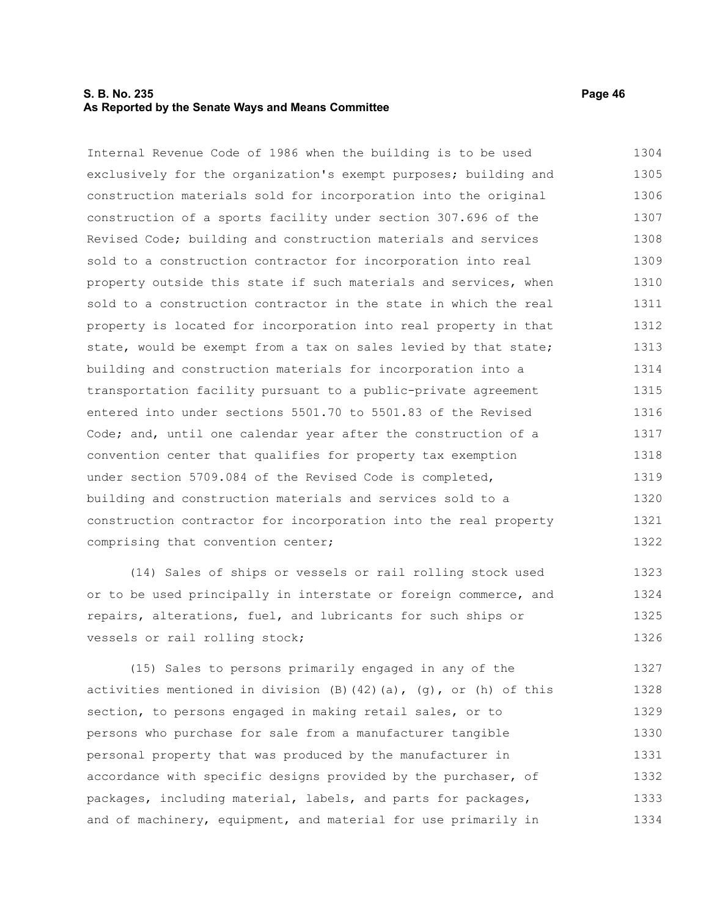#### **S. B. No. 235 Page 46 As Reported by the Senate Ways and Means Committee**

Internal Revenue Code of 1986 when the building is to be used exclusively for the organization's exempt purposes; building and construction materials sold for incorporation into the original construction of a sports facility under section 307.696 of the Revised Code; building and construction materials and services sold to a construction contractor for incorporation into real property outside this state if such materials and services, when sold to a construction contractor in the state in which the real property is located for incorporation into real property in that state, would be exempt from a tax on sales levied by that state; building and construction materials for incorporation into a transportation facility pursuant to a public-private agreement entered into under sections 5501.70 to 5501.83 of the Revised Code; and, until one calendar year after the construction of a convention center that qualifies for property tax exemption under section 5709.084 of the Revised Code is completed, building and construction materials and services sold to a construction contractor for incorporation into the real property comprising that convention center; 1304 1305 1306 1307 1308 1309 1310 1311 1312 1313 1314 1315 1316 1317 1318 1319 1320 1321 1322

(14) Sales of ships or vessels or rail rolling stock used or to be used principally in interstate or foreign commerce, and repairs, alterations, fuel, and lubricants for such ships or vessels or rail rolling stock; 1323 1324 1325 1326

(15) Sales to persons primarily engaged in any of the activities mentioned in division  $(B)$   $(42)$   $(a)$ ,  $(g)$ , or  $(h)$  of this section, to persons engaged in making retail sales, or to persons who purchase for sale from a manufacturer tangible personal property that was produced by the manufacturer in accordance with specific designs provided by the purchaser, of packages, including material, labels, and parts for packages, and of machinery, equipment, and material for use primarily in 1327 1328 1329 1330 1331 1332 1333 1334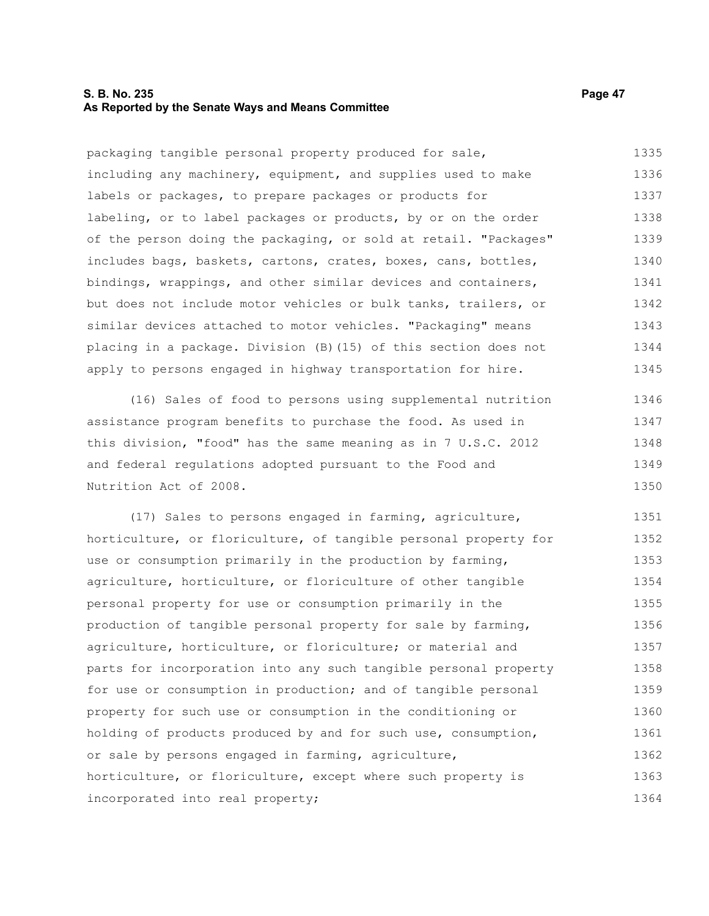#### **S. B. No. 235 Page 47 As Reported by the Senate Ways and Means Committee**

packaging tangible personal property produced for sale, including any machinery, equipment, and supplies used to make labels or packages, to prepare packages or products for labeling, or to label packages or products, by or on the order of the person doing the packaging, or sold at retail. "Packages" includes bags, baskets, cartons, crates, boxes, cans, bottles, bindings, wrappings, and other similar devices and containers, but does not include motor vehicles or bulk tanks, trailers, or similar devices attached to motor vehicles. "Packaging" means placing in a package. Division (B)(15) of this section does not apply to persons engaged in highway transportation for hire. 1335 1336 1337 1338 1339 1340 1341 1342 1343 1344 1345

(16) Sales of food to persons using supplemental nutrition assistance program benefits to purchase the food. As used in this division, "food" has the same meaning as in 7 U.S.C. 2012 and federal regulations adopted pursuant to the Food and Nutrition Act of 2008. 1346 1347 1348 1349 1350

(17) Sales to persons engaged in farming, agriculture, horticulture, or floriculture, of tangible personal property for use or consumption primarily in the production by farming, agriculture, horticulture, or floriculture of other tangible personal property for use or consumption primarily in the production of tangible personal property for sale by farming, agriculture, horticulture, or floriculture; or material and parts for incorporation into any such tangible personal property for use or consumption in production; and of tangible personal property for such use or consumption in the conditioning or holding of products produced by and for such use, consumption, or sale by persons engaged in farming, agriculture, horticulture, or floriculture, except where such property is incorporated into real property; 1351 1352 1353 1354 1355 1356 1357 1358 1359 1360 1361 1362 1363 1364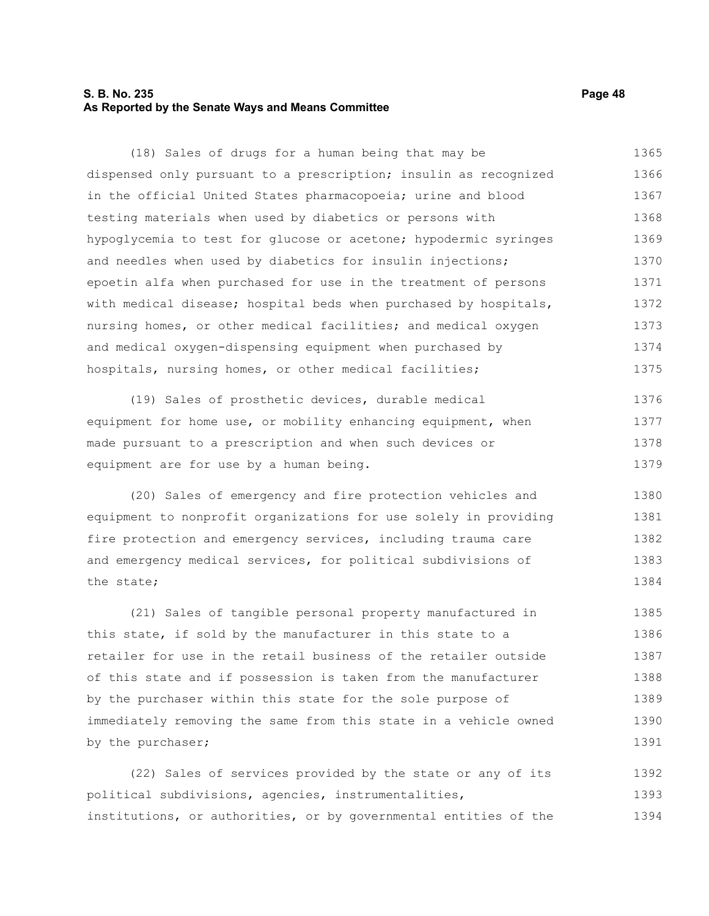#### **S. B. No. 235 Page 48 As Reported by the Senate Ways and Means Committee**

(18) Sales of drugs for a human being that may be dispensed only pursuant to a prescription; insulin as recognized in the official United States pharmacopoeia; urine and blood testing materials when used by diabetics or persons with hypoglycemia to test for glucose or acetone; hypodermic syringes and needles when used by diabetics for insulin injections; epoetin alfa when purchased for use in the treatment of persons with medical disease; hospital beds when purchased by hospitals, nursing homes, or other medical facilities; and medical oxygen and medical oxygen-dispensing equipment when purchased by hospitals, nursing homes, or other medical facilities; 1365 1366 1367 1368 1369 1370 1371 1372 1373 1374 1375

(19) Sales of prosthetic devices, durable medical equipment for home use, or mobility enhancing equipment, when made pursuant to a prescription and when such devices or equipment are for use by a human being. 1376 1377 1378 1379

(20) Sales of emergency and fire protection vehicles and equipment to nonprofit organizations for use solely in providing fire protection and emergency services, including trauma care and emergency medical services, for political subdivisions of the state; 1380 1381 1382 1383 1384

(21) Sales of tangible personal property manufactured in this state, if sold by the manufacturer in this state to a retailer for use in the retail business of the retailer outside of this state and if possession is taken from the manufacturer by the purchaser within this state for the sole purpose of immediately removing the same from this state in a vehicle owned by the purchaser; 1385 1386 1387 1388 1389 1390 1391

(22) Sales of services provided by the state or any of its political subdivisions, agencies, instrumentalities, institutions, or authorities, or by governmental entities of the 1392 1393 1394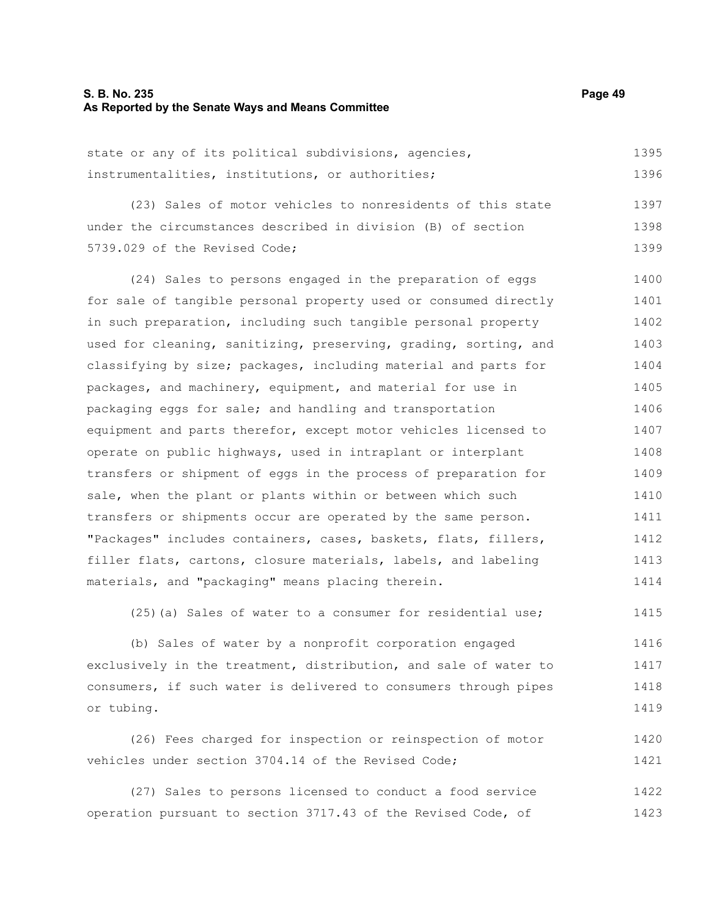#### **S. B. No. 235 Page 49 As Reported by the Senate Ways and Means Committee**

| state or any of its political subdivisions, agencies, | 1395 |
|-------------------------------------------------------|------|
| instrumentalities, institutions, or authorities;      | 1396 |

(23) Sales of motor vehicles to nonresidents of this state under the circumstances described in division (B) of section 5739.029 of the Revised Code; 1397 1398 1399

(24) Sales to persons engaged in the preparation of eggs for sale of tangible personal property used or consumed directly in such preparation, including such tangible personal property used for cleaning, sanitizing, preserving, grading, sorting, and classifying by size; packages, including material and parts for packages, and machinery, equipment, and material for use in packaging eggs for sale; and handling and transportation equipment and parts therefor, except motor vehicles licensed to operate on public highways, used in intraplant or interplant transfers or shipment of eggs in the process of preparation for sale, when the plant or plants within or between which such transfers or shipments occur are operated by the same person. "Packages" includes containers, cases, baskets, flats, fillers, filler flats, cartons, closure materials, labels, and labeling materials, and "packaging" means placing therein. 1400 1401 1402 1403 1404 1405 1406 1407 1408 1409 1410 1411 1412 1413 1414

(25)(a) Sales of water to a consumer for residential use; 1415

(b) Sales of water by a nonprofit corporation engaged exclusively in the treatment, distribution, and sale of water to consumers, if such water is delivered to consumers through pipes or tubing. 1416 1417 1418 1419

(26) Fees charged for inspection or reinspection of motor vehicles under section 3704.14 of the Revised Code; 1420 1421

(27) Sales to persons licensed to conduct a food service operation pursuant to section 3717.43 of the Revised Code, of 1422 1423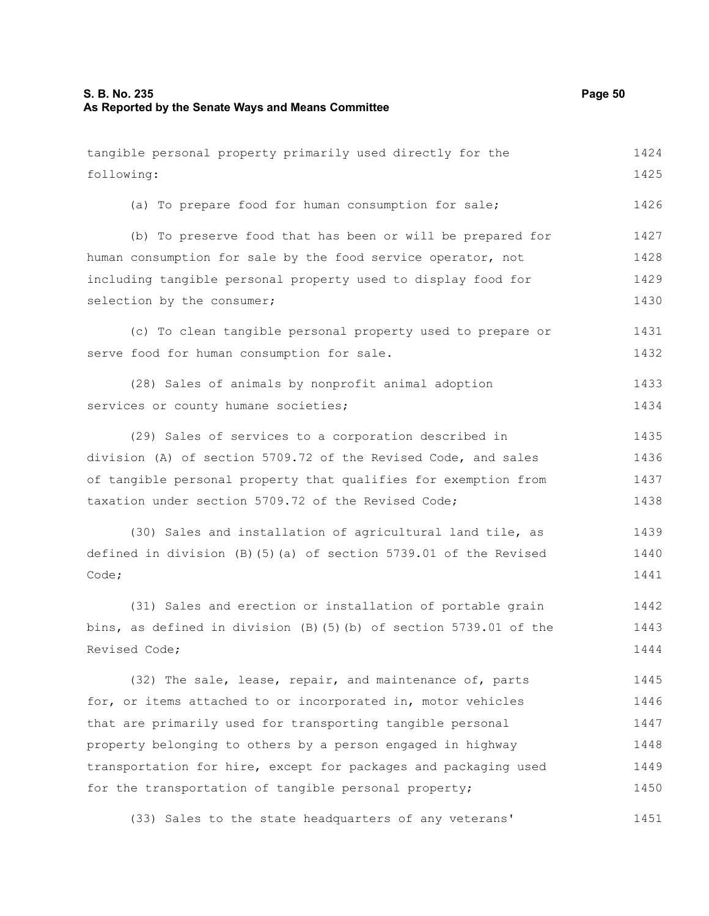tangible personal property primarily used directly for the following: (a) To prepare food for human consumption for sale; (b) To preserve food that has been or will be prepared for human consumption for sale by the food service operator, not including tangible personal property used to display food for selection by the consumer; (c) To clean tangible personal property used to prepare or serve food for human consumption for sale. (28) Sales of animals by nonprofit animal adoption services or county humane societies; (29) Sales of services to a corporation described in division (A) of section 5709.72 of the Revised Code, and sales of tangible personal property that qualifies for exemption from taxation under section 5709.72 of the Revised Code; (30) Sales and installation of agricultural land tile, as defined in division (B)(5)(a) of section 5739.01 of the Revised Code; (31) Sales and erection or installation of portable grain bins, as defined in division (B)(5)(b) of section 5739.01 of the Revised Code; (32) The sale, lease, repair, and maintenance of, parts for, or items attached to or incorporated in, motor vehicles that are primarily used for transporting tangible personal property belonging to others by a person engaged in highway transportation for hire, except for packages and packaging used for the transportation of tangible personal property; (33) Sales to the state headquarters of any veterans' 1424 1425 1426 1427 1428 1429 1430 1431 1432 1433 1434 1435 1436 1437 1438 1439 1440 1441 1442 1443 1444 1445 1446 1447 1448 1449 1450 1451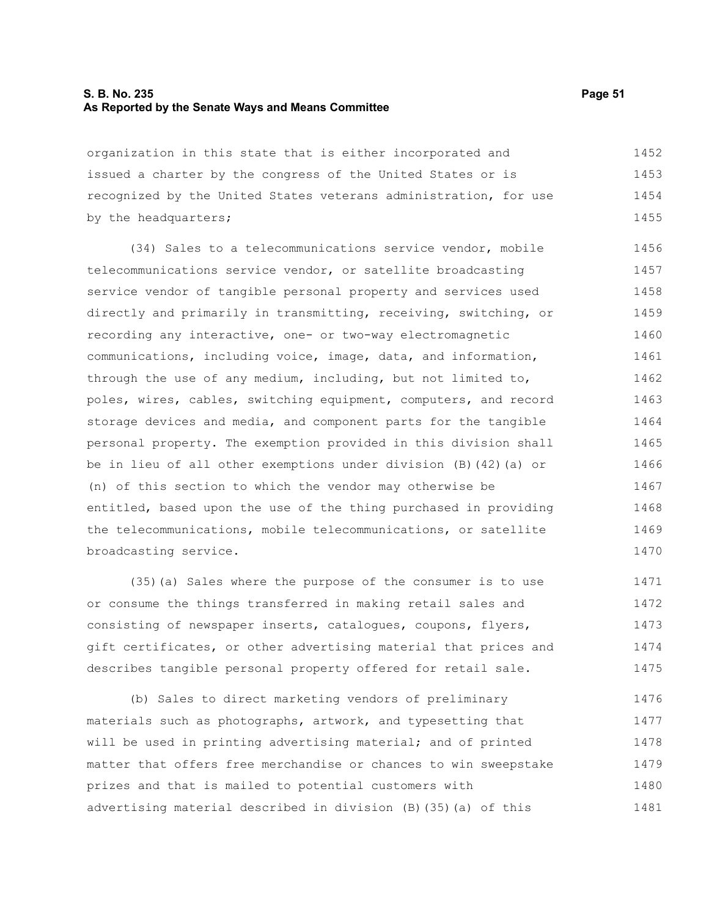#### **S. B. No. 235 Page 51 As Reported by the Senate Ways and Means Committee**

organization in this state that is either incorporated and issued a charter by the congress of the United States or is recognized by the United States veterans administration, for use by the headquarters; 1452 1453 1454 1455

(34) Sales to a telecommunications service vendor, mobile telecommunications service vendor, or satellite broadcasting service vendor of tangible personal property and services used directly and primarily in transmitting, receiving, switching, or recording any interactive, one- or two-way electromagnetic communications, including voice, image, data, and information, through the use of any medium, including, but not limited to, poles, wires, cables, switching equipment, computers, and record storage devices and media, and component parts for the tangible personal property. The exemption provided in this division shall be in lieu of all other exemptions under division (B)(42)(a) or (n) of this section to which the vendor may otherwise be entitled, based upon the use of the thing purchased in providing the telecommunications, mobile telecommunications, or satellite broadcasting service. 1456 1457 1458 1459 1460 1461 1462 1463 1464 1465 1466 1467 1468 1469 1470

(35)(a) Sales where the purpose of the consumer is to use or consume the things transferred in making retail sales and consisting of newspaper inserts, catalogues, coupons, flyers, gift certificates, or other advertising material that prices and describes tangible personal property offered for retail sale. 1471 1472 1473 1474 1475

(b) Sales to direct marketing vendors of preliminary materials such as photographs, artwork, and typesetting that will be used in printing advertising material; and of printed matter that offers free merchandise or chances to win sweepstake prizes and that is mailed to potential customers with advertising material described in division (B)(35)(a) of this 1476 1477 1478 1479 1480 1481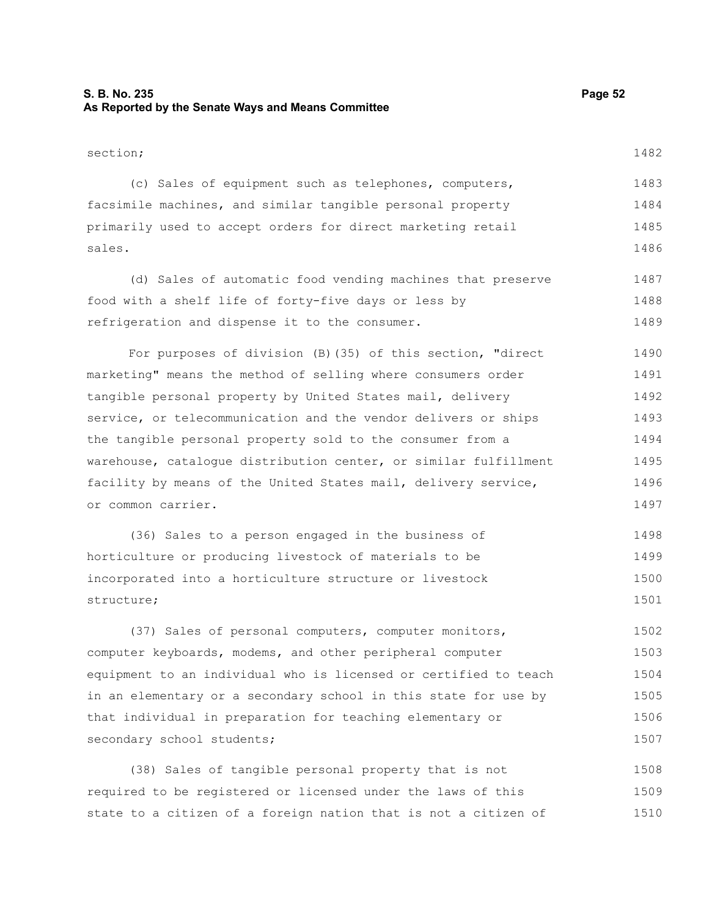### **S. B. No. 235 Page 52 As Reported by the Senate Ways and Means Committee**

| section;                                                   | 1482 |
|------------------------------------------------------------|------|
| (c) Sales of equipment such as telephones, computers,      | 1483 |
| facsimile machines, and similar tangible personal property | 1484 |

primarily used to accept orders for direct marketing retail sales. (d) Sales of automatic food vending machines that preserve 1485 1486 1487

food with a shelf life of forty-five days or less by refrigeration and dispense it to the consumer. 1488 1489

For purposes of division (B)(35) of this section, "direct marketing" means the method of selling where consumers order tangible personal property by United States mail, delivery service, or telecommunication and the vendor delivers or ships the tangible personal property sold to the consumer from a warehouse, catalogue distribution center, or similar fulfillment facility by means of the United States mail, delivery service, or common carrier. 1490 1491 1492 1493 1494 1495 1496 1497

(36) Sales to a person engaged in the business of horticulture or producing livestock of materials to be incorporated into a horticulture structure or livestock structure; 1498 1499 1500 1501

(37) Sales of personal computers, computer monitors, computer keyboards, modems, and other peripheral computer equipment to an individual who is licensed or certified to teach in an elementary or a secondary school in this state for use by that individual in preparation for teaching elementary or secondary school students; 1502 1503 1504 1505 1506 1507

(38) Sales of tangible personal property that is not required to be registered or licensed under the laws of this state to a citizen of a foreign nation that is not a citizen of 1508 1509 1510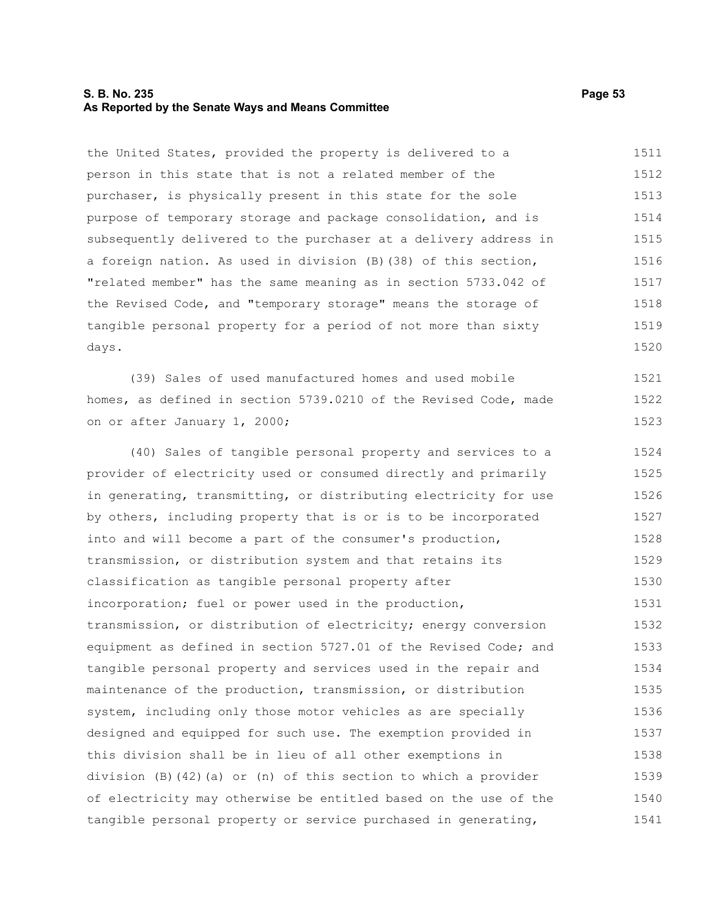#### **S. B. No. 235 Page 53 As Reported by the Senate Ways and Means Committee**

the United States, provided the property is delivered to a person in this state that is not a related member of the purchaser, is physically present in this state for the sole purpose of temporary storage and package consolidation, and is subsequently delivered to the purchaser at a delivery address in a foreign nation. As used in division (B)(38) of this section, "related member" has the same meaning as in section 5733.042 of the Revised Code, and "temporary storage" means the storage of tangible personal property for a period of not more than sixty days. (39) Sales of used manufactured homes and used mobile homes, as defined in section 5739.0210 of the Revised Code, made on or after January 1, 2000; (40) Sales of tangible personal property and services to a provider of electricity used or consumed directly and primarily in generating, transmitting, or distributing electricity for use by others, including property that is or is to be incorporated into and will become a part of the consumer's production, transmission, or distribution system and that retains its classification as tangible personal property after incorporation; fuel or power used in the production, transmission, or distribution of electricity; energy conversion equipment as defined in section 5727.01 of the Revised Code; and tangible personal property and services used in the repair and maintenance of the production, transmission, or distribution system, including only those motor vehicles as are specially designed and equipped for such use. The exemption provided in this division shall be in lieu of all other exemptions in division (B)(42)(a) or (n) of this section to which a provider of electricity may otherwise be entitled based on the use of the tangible personal property or service purchased in generating, 1511 1512 1513 1514 1515 1516 1517 1518 1519 1520 1521 1522 1523 1524 1525 1526 1527 1528 1529 1530 1531 1532 1533 1534 1535 1536 1537 1538 1539 1540 1541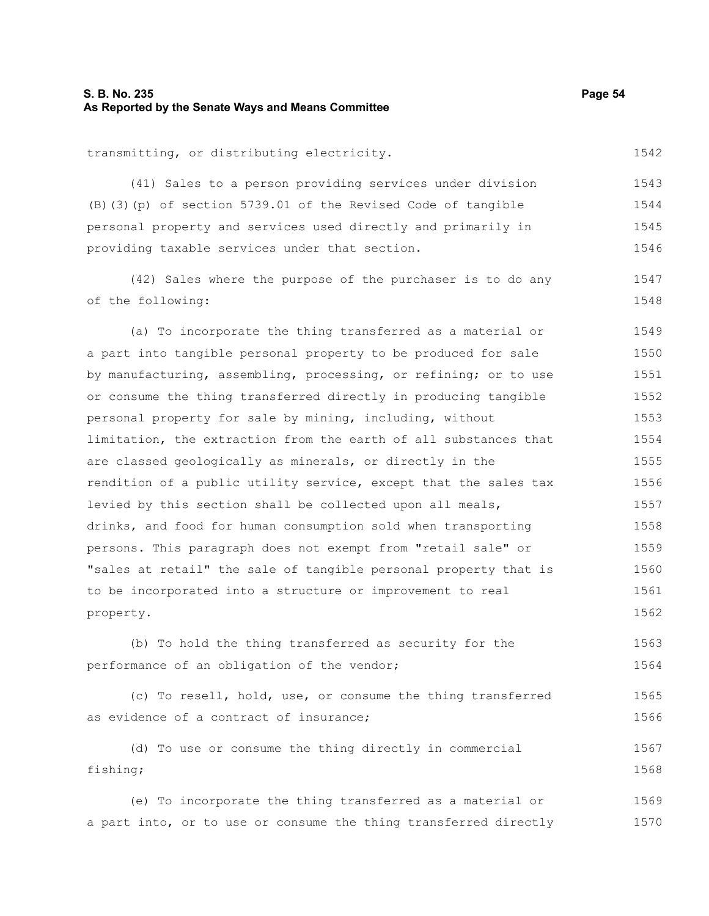#### **S. B. No. 235 Page 54 As Reported by the Senate Ways and Means Committee**

transmitting, or distributing electricity.

(41) Sales to a person providing services under division (B)(3)(p) of section 5739.01 of the Revised Code of tangible personal property and services used directly and primarily in providing taxable services under that section. 1543 1544 1545 1546

(42) Sales where the purpose of the purchaser is to do any of the following: 1547 1548

(a) To incorporate the thing transferred as a material or a part into tangible personal property to be produced for sale by manufacturing, assembling, processing, or refining; or to use or consume the thing transferred directly in producing tangible personal property for sale by mining, including, without limitation, the extraction from the earth of all substances that are classed geologically as minerals, or directly in the rendition of a public utility service, except that the sales tax levied by this section shall be collected upon all meals, drinks, and food for human consumption sold when transporting persons. This paragraph does not exempt from "retail sale" or "sales at retail" the sale of tangible personal property that is to be incorporated into a structure or improvement to real property. 1549 1550 1551 1552 1553 1554 1555 1556 1557 1558 1559 1560 1561 1562

(b) To hold the thing transferred as security for the performance of an obligation of the vendor; 1563 1564

(c) To resell, hold, use, or consume the thing transferred as evidence of a contract of insurance; 1565 1566

(d) To use or consume the thing directly in commercial fishing; 1567 1568

(e) To incorporate the thing transferred as a material or a part into, or to use or consume the thing transferred directly 1569 1570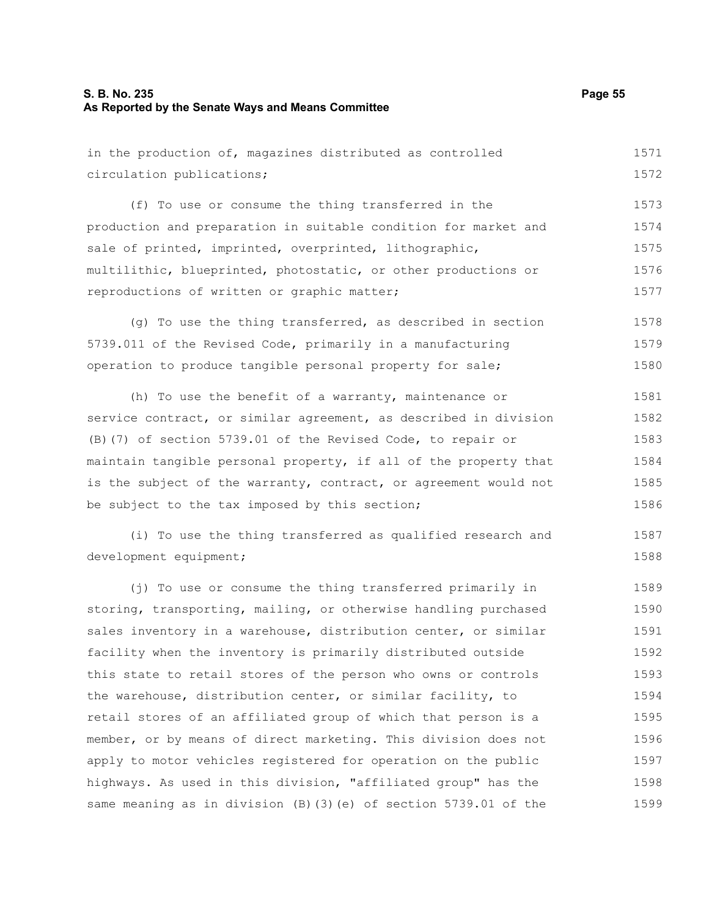## **S. B. No. 235 Page 55 As Reported by the Senate Ways and Means Committee**

| in the production of, magazines distributed as controlled        | 1571  |
|------------------------------------------------------------------|-------|
| circulation publications;                                        | 1572  |
| (f) To use or consume the thing transferred in the               | 1573  |
| production and preparation in suitable condition for market and  | 1574  |
| sale of printed, imprinted, overprinted, lithographic,           | 1575  |
| multilithic, blueprinted, photostatic, or other productions or   | 1576  |
| reproductions of written or graphic matter;                      | 1577  |
| (g) To use the thing transferred, as described in section        | 1578  |
| 5739.011 of the Revised Code, primarily in a manufacturing       | 1579  |
| operation to produce tangible personal property for sale;        | 1580  |
| (h) To use the benefit of a warranty, maintenance or             | 1581  |
| service contract, or similar agreement, as described in division | 1582  |
| (B) (7) of section 5739.01 of the Revised Code, to repair or     | 1583  |
| maintain tangible personal property, if all of the property that | 1584  |
| is the subject of the warranty, contract, or agreement would not | 1585  |
| be subject to the tax imposed by this section;                   | 1586  |
| (i) To use the thing transferred as qualified research and       | 1587  |
| development equipment;                                           | 1588  |
| (j) To use or consume the thing transferred primarily in         | 1589  |
| storing, transporting, mailing, or otherwise handling purchased  | 1590  |
| sales inventory in a warehouse, distribution center, or similar  | 1591  |
| facility when the inventory is primarily distributed outside     | 1592  |
| this state to retail stores of the person who owns or controls   | 1593  |
| the warehouse, distribution center, or similar facility, to      | 1594  |
| retail stores of an affiliated group of which that person is a   | 1595  |
| mombor ar bu moang af direct marketing. This division deep not   | 1.50C |

member, or by means of direct marketing. This division does not apply to motor vehicles registered for operation on the public highways. As used in this division, "affiliated group" has the same meaning as in division (B)(3)(e) of section 5739.01 of the 1596 1597 1598 1599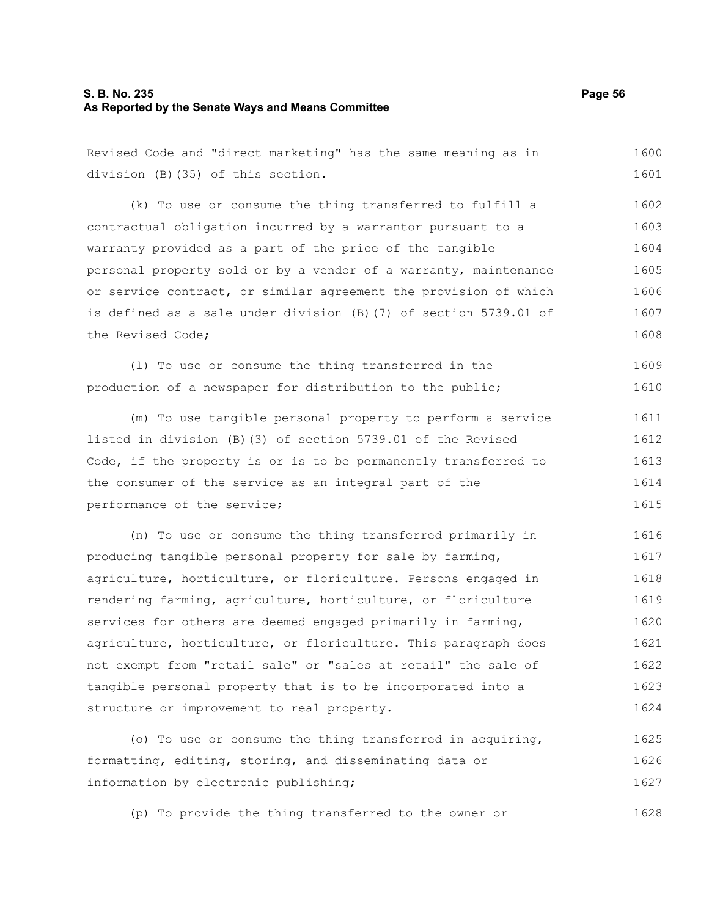#### **S. B. No. 235 Page 56 As Reported by the Senate Ways and Means Committee**

Revised Code and "direct marketing" has the same meaning as in division (B)(35) of this section. (k) To use or consume the thing transferred to fulfill a contractual obligation incurred by a warrantor pursuant to a warranty provided as a part of the price of the tangible personal property sold or by a vendor of a warranty, maintenance 1600 1601 1602 1603 1604 1605

or service contract, or similar agreement the provision of which is defined as a sale under division (B)(7) of section 5739.01 of the Revised Code; 1606 1607 1608

(l) To use or consume the thing transferred in the production of a newspaper for distribution to the public; 1609 1610

(m) To use tangible personal property to perform a service listed in division (B)(3) of section 5739.01 of the Revised Code, if the property is or is to be permanently transferred to the consumer of the service as an integral part of the performance of the service; 1611 1612 1613 1614 1615

(n) To use or consume the thing transferred primarily in producing tangible personal property for sale by farming, agriculture, horticulture, or floriculture. Persons engaged in rendering farming, agriculture, horticulture, or floriculture services for others are deemed engaged primarily in farming, agriculture, horticulture, or floriculture. This paragraph does not exempt from "retail sale" or "sales at retail" the sale of tangible personal property that is to be incorporated into a structure or improvement to real property. 1616 1617 1618 1619 1620 1621 1622 1623 1624

(o) To use or consume the thing transferred in acquiring, formatting, editing, storing, and disseminating data or information by electronic publishing; 1625 1626 1627

(p) To provide the thing transferred to the owner or 1628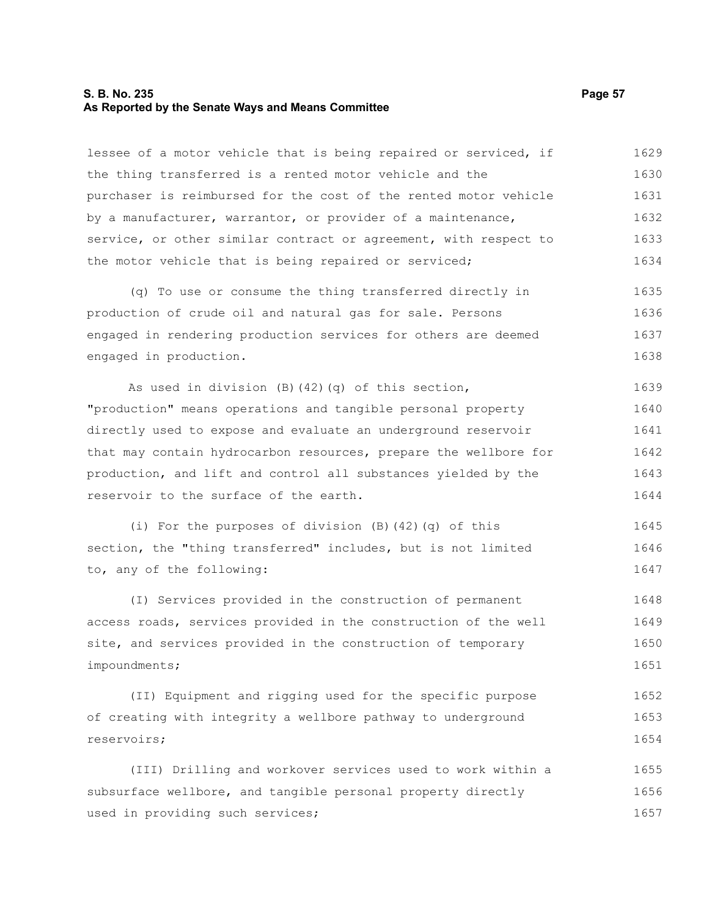#### **S. B. No. 235 Page 57 As Reported by the Senate Ways and Means Committee**

lessee of a motor vehicle that is being repaired or serviced, if the thing transferred is a rented motor vehicle and the purchaser is reimbursed for the cost of the rented motor vehicle by a manufacturer, warrantor, or provider of a maintenance, service, or other similar contract or agreement, with respect to the motor vehicle that is being repaired or serviced; 1629 1630 1631 1632 1633 1634

(q) To use or consume the thing transferred directly in production of crude oil and natural gas for sale. Persons engaged in rendering production services for others are deemed engaged in production. 1635 1636 1637 1638

As used in division (B)(42)(q) of this section, "production" means operations and tangible personal property directly used to expose and evaluate an underground reservoir that may contain hydrocarbon resources, prepare the wellbore for production, and lift and control all substances yielded by the reservoir to the surface of the earth. 1639 1640 1641 1642 1643 1644

(i) For the purposes of division (B)(42)(q) of this section, the "thing transferred" includes, but is not limited to, any of the following: 1645 1646 1647

(I) Services provided in the construction of permanent access roads, services provided in the construction of the well site, and services provided in the construction of temporary impoundments; 1648 1649 1650 1651

(II) Equipment and rigging used for the specific purpose of creating with integrity a wellbore pathway to underground reservoirs; 1652 1653 1654

(III) Drilling and workover services used to work within a subsurface wellbore, and tangible personal property directly used in providing such services; 1655 1656 1657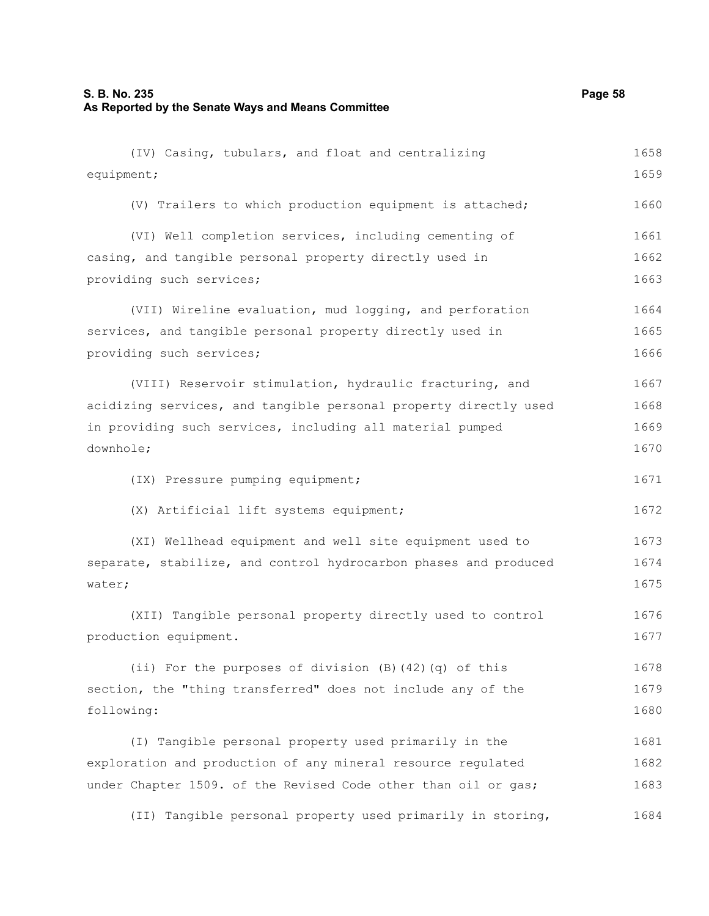| (IV) Casing, tubulars, and float and centralizing                | 1658 |
|------------------------------------------------------------------|------|
| equipment;                                                       | 1659 |
| (V) Trailers to which production equipment is attached;          | 1660 |
| (VI) Well completion services, including cementing of            | 1661 |
| casing, and tangible personal property directly used in          | 1662 |
| providing such services;                                         | 1663 |
| (VII) Wireline evaluation, mud logging, and perforation          | 1664 |
| services, and tangible personal property directly used in        | 1665 |
| providing such services;                                         | 1666 |
| (VIII) Reservoir stimulation, hydraulic fracturing, and          | 1667 |
| acidizing services, and tangible personal property directly used | 1668 |
| in providing such services, including all material pumped        | 1669 |
| downhole;                                                        | 1670 |
| (IX) Pressure pumping equipment;                                 | 1671 |
| (X) Artificial lift systems equipment;                           | 1672 |
| (XI) Wellhead equipment and well site equipment used to          | 1673 |
| separate, stabilize, and control hydrocarbon phases and produced | 1674 |
| water;                                                           | 1675 |
| (XII) Tangible personal property directly used to control        | 1676 |
| production equipment.                                            | 1677 |
| (ii) For the purposes of division (B) (42) (q) of this           | 1678 |
| section, the "thing transferred" does not include any of the     | 1679 |
| following:                                                       | 1680 |
| (I) Tangible personal property used primarily in the             | 1681 |
| exploration and production of any mineral resource regulated     | 1682 |
| under Chapter 1509. of the Revised Code other than oil or gas;   | 1683 |
| (II) Tangible personal property used primarily in storing,       | 1684 |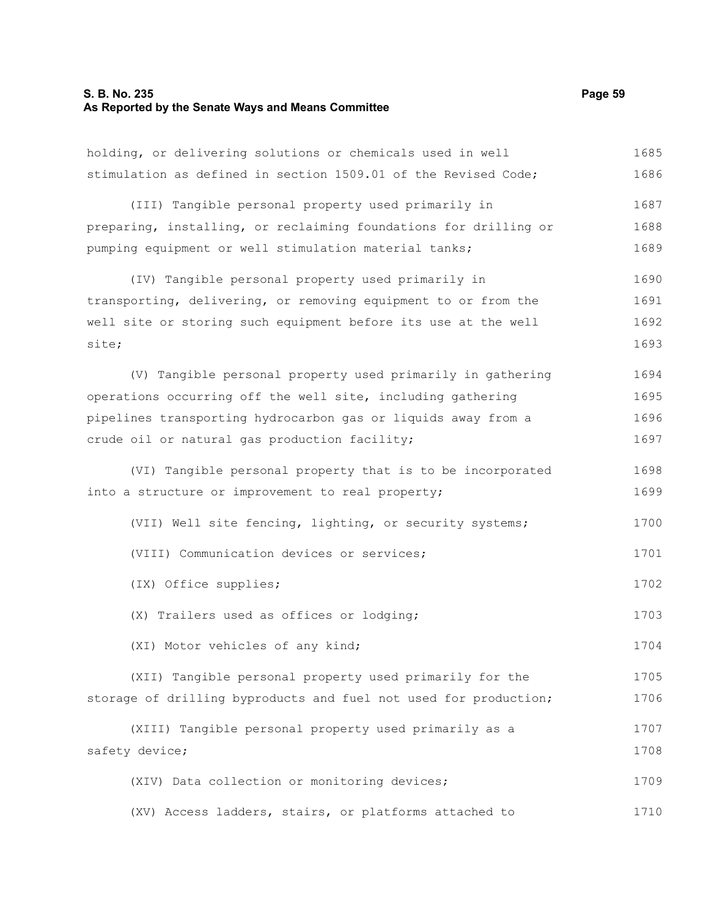#### **S. B. No. 235 Page 59 As Reported by the Senate Ways and Means Committee**

holding, or delivering solutions or chemicals used in well stimulation as defined in section 1509.01 of the Revised Code; (III) Tangible personal property used primarily in preparing, installing, or reclaiming foundations for drilling or pumping equipment or well stimulation material tanks; (IV) Tangible personal property used primarily in transporting, delivering, or removing equipment to or from the well site or storing such equipment before its use at the well site; (V) Tangible personal property used primarily in gathering operations occurring off the well site, including gathering pipelines transporting hydrocarbon gas or liquids away from a crude oil or natural gas production facility; (VI) Tangible personal property that is to be incorporated into a structure or improvement to real property; (VII) Well site fencing, lighting, or security systems; (VIII) Communication devices or services; (IX) Office supplies; (X) Trailers used as offices or lodging; (XI) Motor vehicles of any kind; (XII) Tangible personal property used primarily for the storage of drilling byproducts and fuel not used for production; (XIII) Tangible personal property used primarily as a safety device; 1685 1686 1687 1688 1689 1690 1691 1692 1693 1694 1695 1696 1697 1698 1699 1700 1701 1702 1703 1704 1705 1706 1707 1708

(XIV) Data collection or monitoring devices; (XV) Access ladders, stairs, or platforms attached to 1709 1710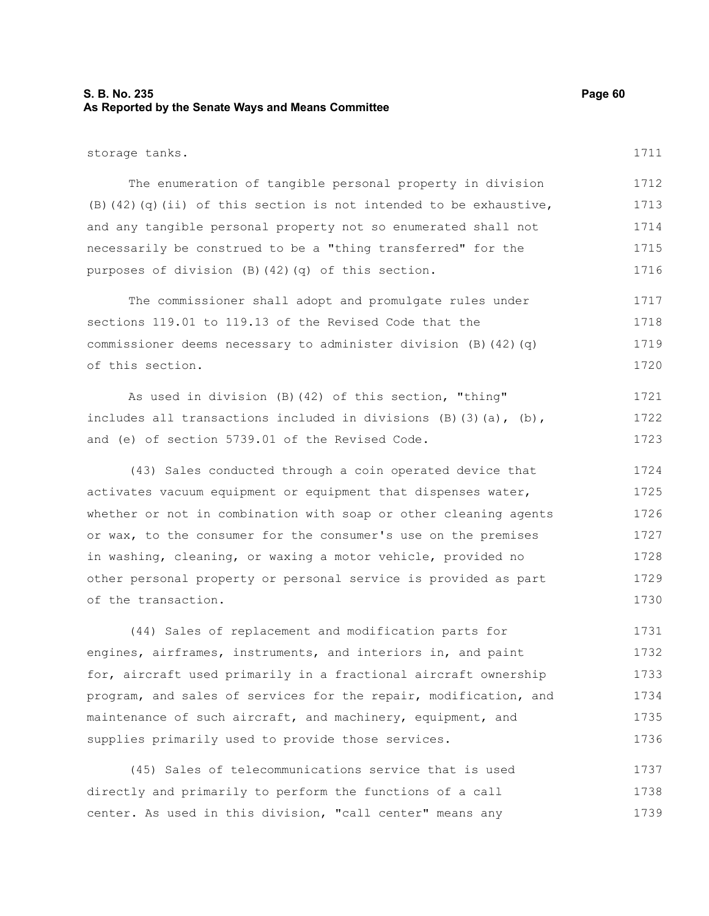### **S. B. No. 235 Page 60 As Reported by the Senate Ways and Means Committee**

#### storage tanks.

1711

| The enumeration of tangible personal property in division             | 1712 |
|-----------------------------------------------------------------------|------|
| $(B)$ (42) (q) (ii) of this section is not intended to be exhaustive, | 1713 |
| and any tangible personal property not so enumerated shall not        | 1714 |
| necessarily be construed to be a "thing transferred" for the          | 1715 |
| purposes of division $(B)$ $(42)$ $(q)$ of this section.              | 1716 |

The commissioner shall adopt and promulgate rules under sections 119.01 to 119.13 of the Revised Code that the commissioner deems necessary to administer division (B)(42)(q) of this section. 1717 1718 1719 1720

As used in division (B)(42) of this section, "thing" includes all transactions included in divisions  $(B)$  (3)(a),  $(b)$ , and (e) of section 5739.01 of the Revised Code. 1721 1722 1723

(43) Sales conducted through a coin operated device that activates vacuum equipment or equipment that dispenses water, whether or not in combination with soap or other cleaning agents or wax, to the consumer for the consumer's use on the premises in washing, cleaning, or waxing a motor vehicle, provided no other personal property or personal service is provided as part of the transaction. 1724 1725 1726 1727 1728 1729 1730

(44) Sales of replacement and modification parts for engines, airframes, instruments, and interiors in, and paint for, aircraft used primarily in a fractional aircraft ownership program, and sales of services for the repair, modification, and maintenance of such aircraft, and machinery, equipment, and supplies primarily used to provide those services. 1731 1732 1733 1734 1735 1736

(45) Sales of telecommunications service that is used directly and primarily to perform the functions of a call center. As used in this division, "call center" means any 1737 1738 1739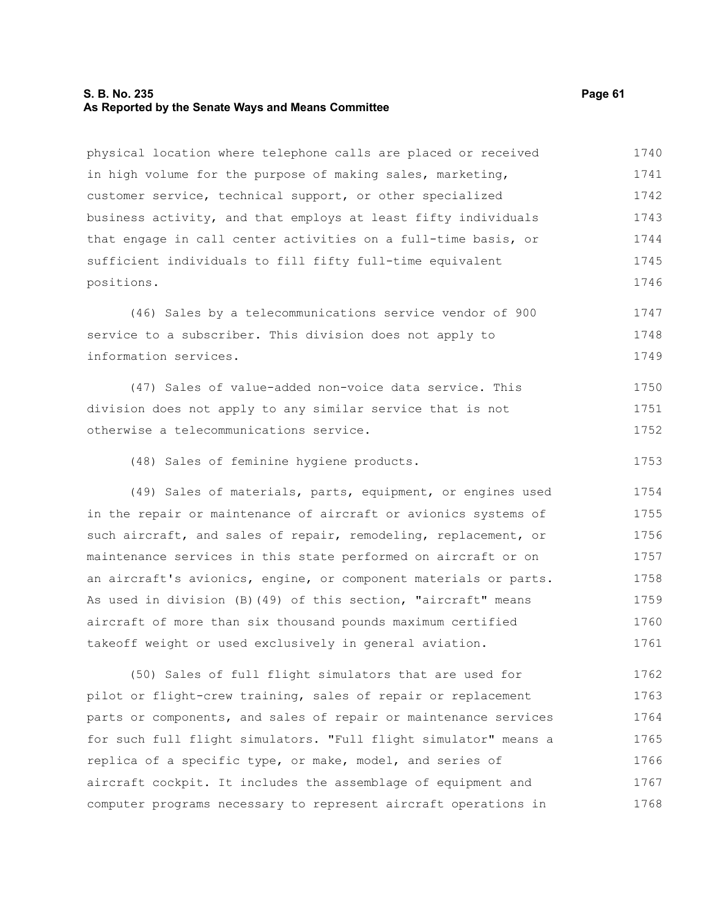#### **S. B. No. 235 Page 61 As Reported by the Senate Ways and Means Committee**

physical location where telephone calls are placed or received in high volume for the purpose of making sales, marketing, customer service, technical support, or other specialized business activity, and that employs at least fifty individuals that engage in call center activities on a full-time basis, or sufficient individuals to fill fifty full-time equivalent positions. 1740 1741 1742 1743 1744 1745 1746

(46) Sales by a telecommunications service vendor of 900 service to a subscriber. This division does not apply to information services. 1747 1748 1749

(47) Sales of value-added non-voice data service. This division does not apply to any similar service that is not otherwise a telecommunications service. 1750 1751 1752

(48) Sales of feminine hygiene products. 1753

(49) Sales of materials, parts, equipment, or engines used in the repair or maintenance of aircraft or avionics systems of such aircraft, and sales of repair, remodeling, replacement, or maintenance services in this state performed on aircraft or on an aircraft's avionics, engine, or component materials or parts. As used in division (B)(49) of this section, "aircraft" means aircraft of more than six thousand pounds maximum certified takeoff weight or used exclusively in general aviation. 1754 1755 1756 1757 1758 1759 1760 1761

(50) Sales of full flight simulators that are used for pilot or flight-crew training, sales of repair or replacement parts or components, and sales of repair or maintenance services for such full flight simulators. "Full flight simulator" means a replica of a specific type, or make, model, and series of aircraft cockpit. It includes the assemblage of equipment and computer programs necessary to represent aircraft operations in 1762 1763 1764 1765 1766 1767 1768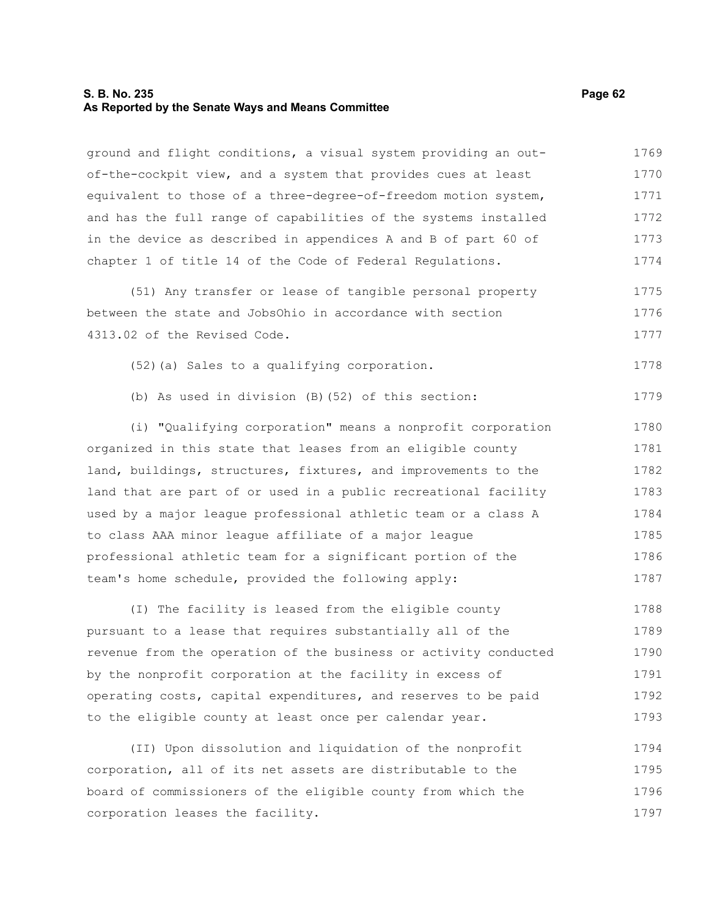#### **S. B. No. 235 Page 62 As Reported by the Senate Ways and Means Committee**

ground and flight conditions, a visual system providing an outof-the-cockpit view, and a system that provides cues at least equivalent to those of a three-degree-of-freedom motion system, and has the full range of capabilities of the systems installed in the device as described in appendices A and B of part 60 of chapter 1 of title 14 of the Code of Federal Regulations. 1769 1770 1771 1772 1773 1774

(51) Any transfer or lease of tangible personal property between the state and JobsOhio in accordance with section 4313.02 of the Revised Code. 1775 1776 1777

(52)(a) Sales to a qualifying corporation. 1778

(b) As used in division (B)(52) of this section: 1779

(i) "Qualifying corporation" means a nonprofit corporation organized in this state that leases from an eligible county land, buildings, structures, fixtures, and improvements to the land that are part of or used in a public recreational facility used by a major league professional athletic team or a class A to class AAA minor league affiliate of a major league professional athletic team for a significant portion of the team's home schedule, provided the following apply: 1780 1781 1782 1783 1784 1785 1786 1787

(I) The facility is leased from the eligible county pursuant to a lease that requires substantially all of the revenue from the operation of the business or activity conducted by the nonprofit corporation at the facility in excess of operating costs, capital expenditures, and reserves to be paid to the eligible county at least once per calendar year. 1788 1789 1790 1791 1792 1793

(II) Upon dissolution and liquidation of the nonprofit corporation, all of its net assets are distributable to the board of commissioners of the eligible county from which the corporation leases the facility. 1794 1795 1796 1797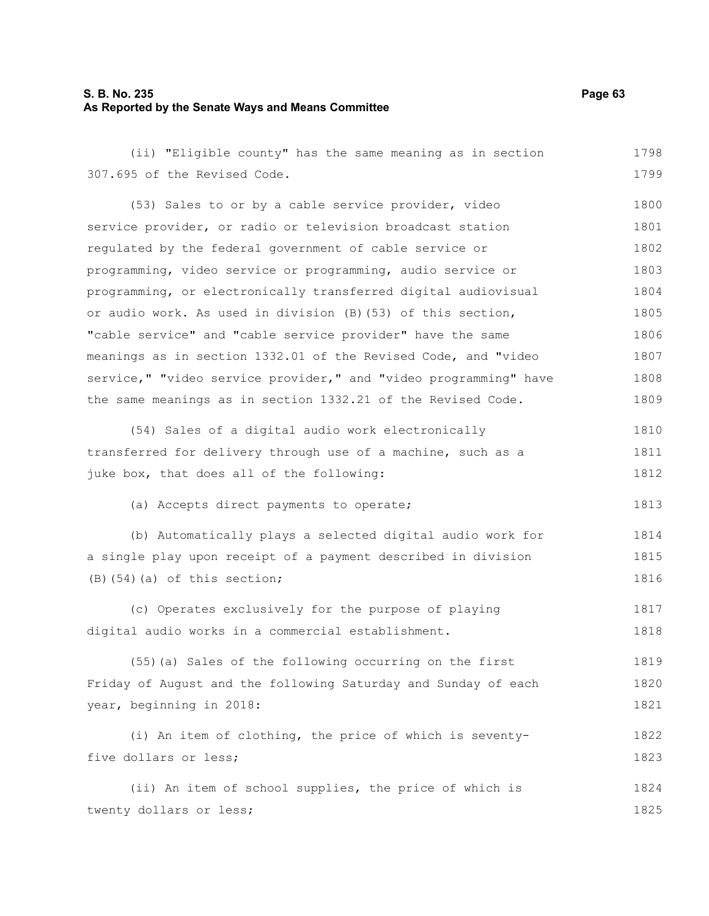#### **S. B. No. 235 Page 63 As Reported by the Senate Ways and Means Committee**

(ii) "Eligible county" has the same meaning as in section 307.695 of the Revised Code. 1798 1799

(53) Sales to or by a cable service provider, video service provider, or radio or television broadcast station regulated by the federal government of cable service or programming, video service or programming, audio service or programming, or electronically transferred digital audiovisual or audio work. As used in division (B)(53) of this section, "cable service" and "cable service provider" have the same meanings as in section 1332.01 of the Revised Code, and "video service," "video service provider," and "video programming" have the same meanings as in section 1332.21 of the Revised Code. 1800 1801 1802 1803 1804 1805 1806 1807 1808 1809

| (54) Sales of a digital audio work electronically            | 1810 |
|--------------------------------------------------------------|------|
| transferred for delivery through use of a machine, such as a | 1811 |
| juke box, that does all of the following:                    | 1812 |

(a) Accepts direct payments to operate;

```
(b) Automatically plays a selected digital audio work for
a single play upon receipt of a payment described in division
(B)(54)(a) of this section;
                                                                           1814
                                                                           1815
                                                                           1816
```
(c) Operates exclusively for the purpose of playing digital audio works in a commercial establishment. 1817 1818

(55)(a) Sales of the following occurring on the first Friday of August and the following Saturday and Sunday of each year, beginning in 2018: 1819 1820 1821

```
(i) An item of clothing, the price of which is seventy-
five dollars or less; 
                                                                             1822
                                                                             1823
```
(ii) An item of school supplies, the price of which is twenty dollars or less; 1824 1825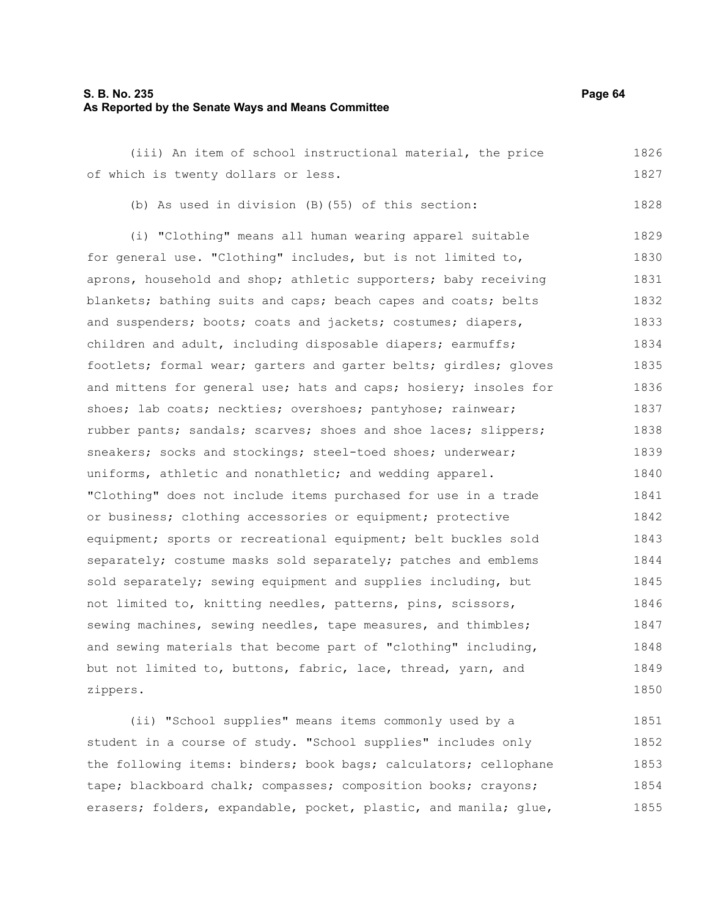#### **S. B. No. 235 Page 64 As Reported by the Senate Ways and Means Committee**

(iii) An item of school instructional material, the price of which is twenty dollars or less. 1826 1827

(b) As used in division (B)(55) of this section:

(i) "Clothing" means all human wearing apparel suitable for general use. "Clothing" includes, but is not limited to, aprons, household and shop; athletic supporters; baby receiving blankets; bathing suits and caps; beach capes and coats; belts and suspenders; boots; coats and jackets; costumes; diapers, children and adult, including disposable diapers; earmuffs; footlets; formal wear; garters and garter belts; girdles; gloves and mittens for general use; hats and caps; hosiery; insoles for shoes; lab coats; neckties; overshoes; pantyhose; rainwear; rubber pants; sandals; scarves; shoes and shoe laces; slippers; sneakers; socks and stockings; steel-toed shoes; underwear; uniforms, athletic and nonathletic; and wedding apparel. "Clothing" does not include items purchased for use in a trade or business; clothing accessories or equipment; protective equipment; sports or recreational equipment; belt buckles sold separately; costume masks sold separately; patches and emblems sold separately; sewing equipment and supplies including, but not limited to, knitting needles, patterns, pins, scissors, sewing machines, sewing needles, tape measures, and thimbles; and sewing materials that become part of "clothing" including, but not limited to, buttons, fabric, lace, thread, yarn, and zippers. 1829 1830 1831 1832 1833 1834 1835 1836 1837 1838 1839 1840 1841 1842 1843 1844 1845 1846 1847 1848 1849 1850

(ii) "School supplies" means items commonly used by a student in a course of study. "School supplies" includes only the following items: binders; book bags; calculators; cellophane tape; blackboard chalk; compasses; composition books; crayons; erasers; folders, expandable, pocket, plastic, and manila; glue, 1851 1852 1853 1854 1855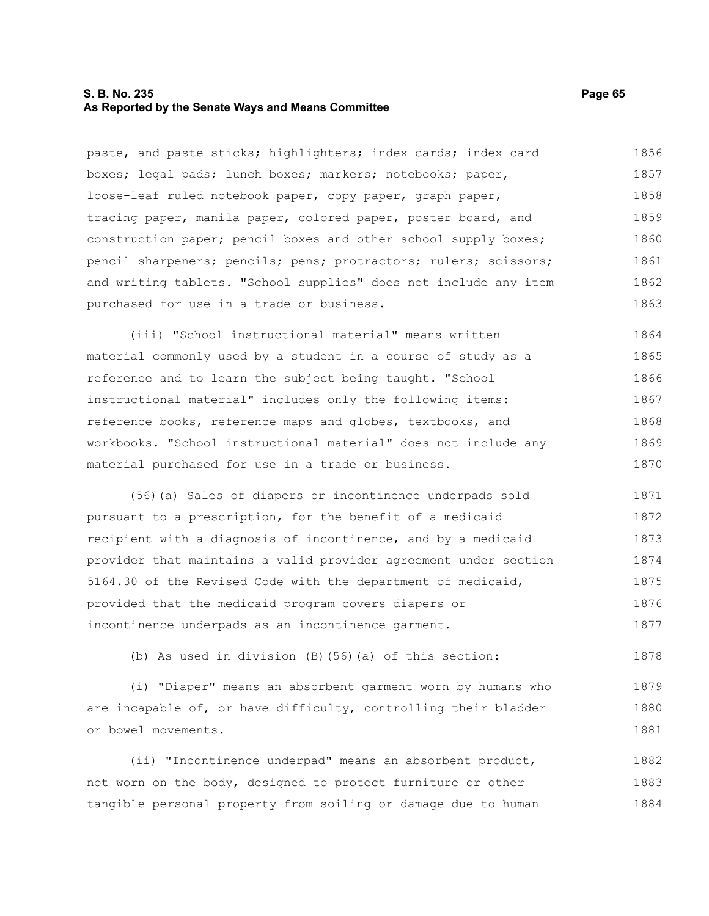#### **S. B. No. 235 Page 65 As Reported by the Senate Ways and Means Committee**

paste, and paste sticks; highlighters; index cards; index card boxes; legal pads; lunch boxes; markers; notebooks; paper, loose-leaf ruled notebook paper, copy paper, graph paper, tracing paper, manila paper, colored paper, poster board, and construction paper; pencil boxes and other school supply boxes; pencil sharpeners; pencils; pens; protractors; rulers; scissors; and writing tablets. "School supplies" does not include any item purchased for use in a trade or business. 1856 1857 1858 1859 1860 1861 1862 1863

(iii) "School instructional material" means written material commonly used by a student in a course of study as a reference and to learn the subject being taught. "School instructional material" includes only the following items: reference books, reference maps and globes, textbooks, and workbooks. "School instructional material" does not include any material purchased for use in a trade or business. 1864 1865 1866 1867 1868 1869 1870

(56)(a) Sales of diapers or incontinence underpads sold pursuant to a prescription, for the benefit of a medicaid recipient with a diagnosis of incontinence, and by a medicaid provider that maintains a valid provider agreement under section 5164.30 of the Revised Code with the department of medicaid, provided that the medicaid program covers diapers or incontinence underpads as an incontinence garment. 1871 1872 1873 1874 1875 1876 1877

(b) As used in division (B)(56)(a) of this section:

(i) "Diaper" means an absorbent garment worn by humans who are incapable of, or have difficulty, controlling their bladder or bowel movements. 1879 1880 1881

(ii) "Incontinence underpad" means an absorbent product, not worn on the body, designed to protect furniture or other tangible personal property from soiling or damage due to human 1882 1883 1884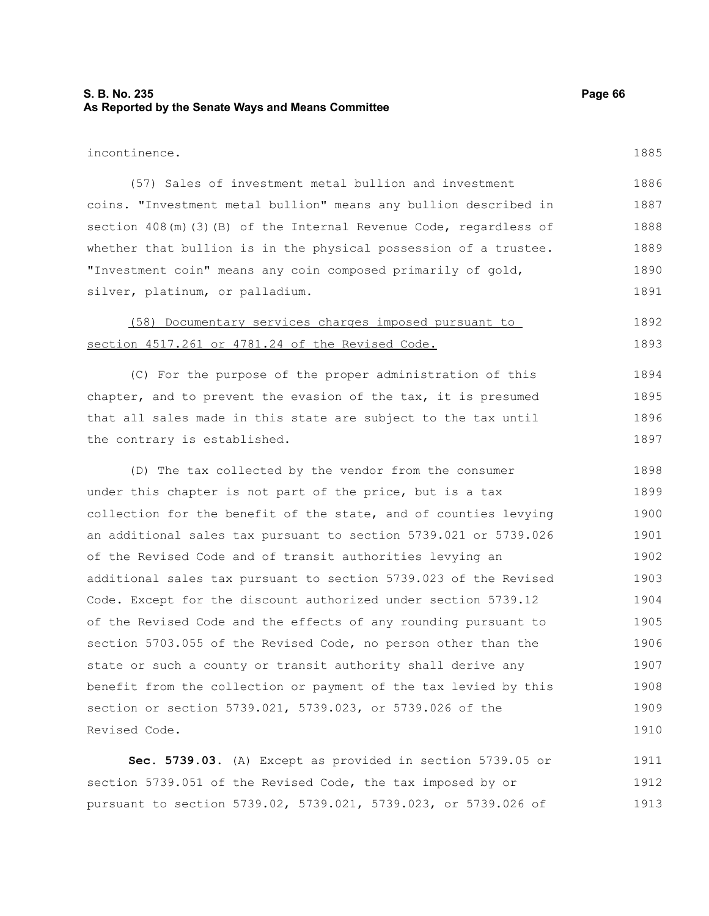### **S. B. No. 235 Page 66 As Reported by the Senate Ways and Means Committee**

incontinence.

1885

| (57) Sales of investment metal bullion and investment               | 1886 |
|---------------------------------------------------------------------|------|
| coins. "Investment metal bullion" means any bullion described in    | 1887 |
| section $408(m)(3)$ (B) of the Internal Revenue Code, regardless of | 1888 |
| whether that bullion is in the physical possession of a trustee.    | 1889 |
| "Investment coin" means any coin composed primarily of gold,        | 1890 |
| silver, platinum, or palladium.                                     | 1891 |

#### (58) Documentary services charges imposed pursuant to section 4517.261 or 4781.24 of the Revised Code. 1892 1893

(C) For the purpose of the proper administration of this chapter, and to prevent the evasion of the tax, it is presumed that all sales made in this state are subject to the tax until the contrary is established. 1894 1895 1896 1897

(D) The tax collected by the vendor from the consumer under this chapter is not part of the price, but is a tax collection for the benefit of the state, and of counties levying an additional sales tax pursuant to section 5739.021 or 5739.026 of the Revised Code and of transit authorities levying an additional sales tax pursuant to section 5739.023 of the Revised Code. Except for the discount authorized under section 5739.12 of the Revised Code and the effects of any rounding pursuant to section 5703.055 of the Revised Code, no person other than the state or such a county or transit authority shall derive any benefit from the collection or payment of the tax levied by this section or section 5739.021, 5739.023, or 5739.026 of the Revised Code. 1898 1899 1900 1901 1902 1903 1904 1905 1906 1907 1908 1909 1910

**Sec. 5739.03.** (A) Except as provided in section 5739.05 or section 5739.051 of the Revised Code, the tax imposed by or pursuant to section 5739.02, 5739.021, 5739.023, or 5739.026 of 1911 1912 1913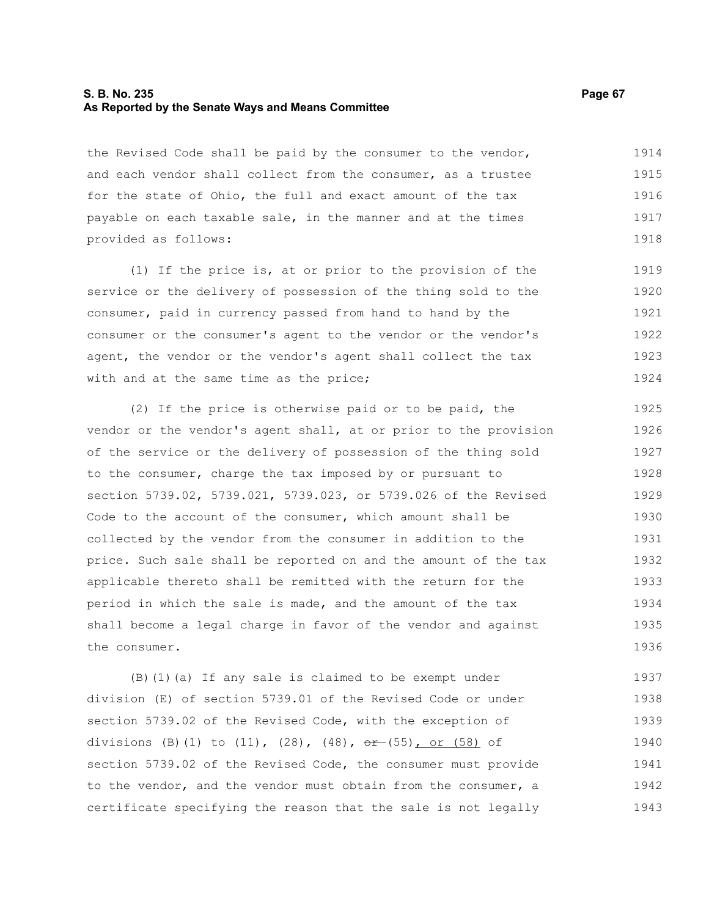#### **S. B. No. 235 Page 67 As Reported by the Senate Ways and Means Committee**

the Revised Code shall be paid by the consumer to the vendor, and each vendor shall collect from the consumer, as a trustee for the state of Ohio, the full and exact amount of the tax payable on each taxable sale, in the manner and at the times provided as follows: 1914 1915 1916 1917 1918

(1) If the price is, at or prior to the provision of the service or the delivery of possession of the thing sold to the consumer, paid in currency passed from hand to hand by the consumer or the consumer's agent to the vendor or the vendor's agent, the vendor or the vendor's agent shall collect the tax with and at the same time as the price; 1919 1920 1921 1922 1923 1924

(2) If the price is otherwise paid or to be paid, the vendor or the vendor's agent shall, at or prior to the provision of the service or the delivery of possession of the thing sold to the consumer, charge the tax imposed by or pursuant to section 5739.02, 5739.021, 5739.023, or 5739.026 of the Revised Code to the account of the consumer, which amount shall be collected by the vendor from the consumer in addition to the price. Such sale shall be reported on and the amount of the tax applicable thereto shall be remitted with the return for the period in which the sale is made, and the amount of the tax shall become a legal charge in favor of the vendor and against the consumer. 1925 1926 1927 1928 1929 1930 1931 1932 1933 1934 1935 1936

(B)(1)(a) If any sale is claimed to be exempt under division (E) of section 5739.01 of the Revised Code or under section 5739.02 of the Revised Code, with the exception of divisions (B)(1) to  $(11)$ ,  $(28)$ ,  $(48)$ ,  $\theta$   $\theta$  +  $(55)$ , or  $(58)$  of section 5739.02 of the Revised Code, the consumer must provide to the vendor, and the vendor must obtain from the consumer, a certificate specifying the reason that the sale is not legally 1937 1938 1939 1940 1941 1942 1943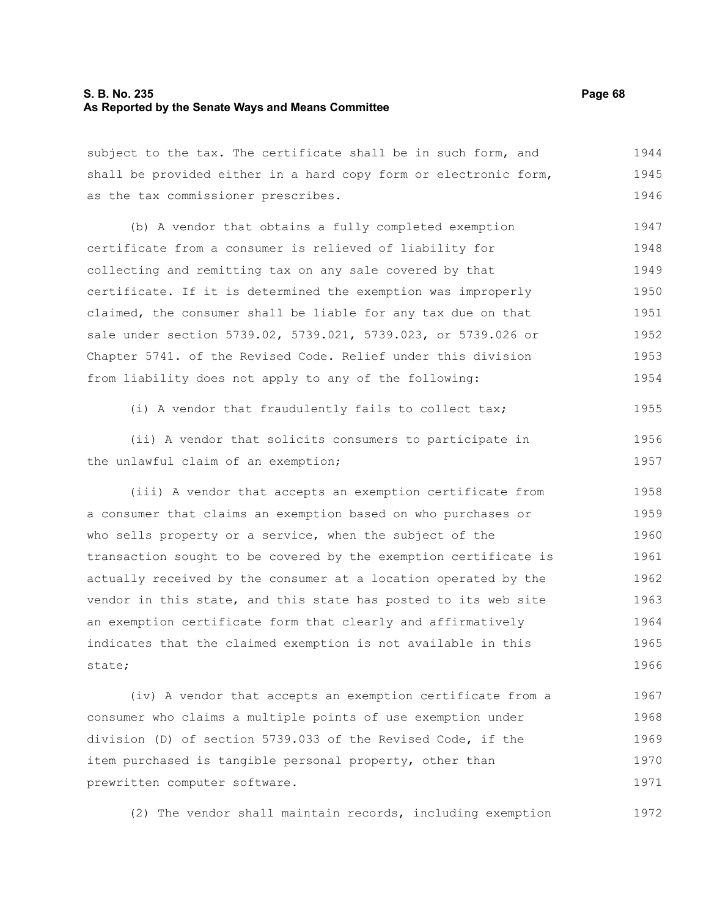#### **S. B. No. 235 Page 68 As Reported by the Senate Ways and Means Committee**

subject to the tax. The certificate shall be in such form, and shall be provided either in a hard copy form or electronic form, as the tax commissioner prescribes. 1944 1945 1946

(b) A vendor that obtains a fully completed exemption certificate from a consumer is relieved of liability for collecting and remitting tax on any sale covered by that certificate. If it is determined the exemption was improperly claimed, the consumer shall be liable for any tax due on that sale under section 5739.02, 5739.021, 5739.023, or 5739.026 or Chapter 5741. of the Revised Code. Relief under this division from liability does not apply to any of the following: 1947 1948 1949 1950 1951 1952 1953 1954

(i) A vendor that fraudulently fails to collect tax; 1955

(ii) A vendor that solicits consumers to participate in the unlawful claim of an exemption; 1956 1957

(iii) A vendor that accepts an exemption certificate from a consumer that claims an exemption based on who purchases or who sells property or a service, when the subject of the transaction sought to be covered by the exemption certificate is actually received by the consumer at a location operated by the vendor in this state, and this state has posted to its web site an exemption certificate form that clearly and affirmatively indicates that the claimed exemption is not available in this state; 1958 1959 1960 1961 1962 1963 1964 1965 1966

(iv) A vendor that accepts an exemption certificate from a consumer who claims a multiple points of use exemption under division (D) of section 5739.033 of the Revised Code, if the item purchased is tangible personal property, other than prewritten computer software. 1967 1968 1969 1970 1971

(2) The vendor shall maintain records, including exemption 1972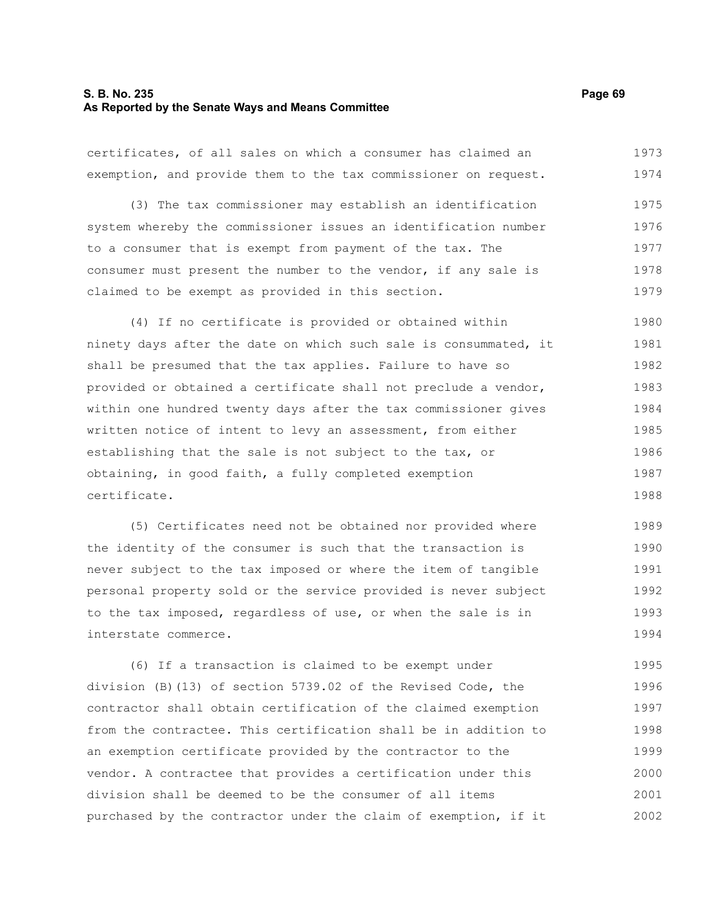#### **S. B. No. 235 Page 69 As Reported by the Senate Ways and Means Committee**

certificates, of all sales on which a consumer has claimed an exemption, and provide them to the tax commissioner on request. 1973 1974

(3) The tax commissioner may establish an identification system whereby the commissioner issues an identification number to a consumer that is exempt from payment of the tax. The consumer must present the number to the vendor, if any sale is claimed to be exempt as provided in this section. 1975 1976 1977 1978 1979

(4) If no certificate is provided or obtained within ninety days after the date on which such sale is consummated, it shall be presumed that the tax applies. Failure to have so provided or obtained a certificate shall not preclude a vendor, within one hundred twenty days after the tax commissioner gives written notice of intent to levy an assessment, from either establishing that the sale is not subject to the tax, or obtaining, in good faith, a fully completed exemption certificate. 1980 1981 1982 1983 1984 1985 1986 1987 1988

(5) Certificates need not be obtained nor provided where the identity of the consumer is such that the transaction is never subject to the tax imposed or where the item of tangible personal property sold or the service provided is never subject to the tax imposed, regardless of use, or when the sale is in interstate commerce. 1989 1990 1991 1992 1993 1994

(6) If a transaction is claimed to be exempt under division (B)(13) of section 5739.02 of the Revised Code, the contractor shall obtain certification of the claimed exemption from the contractee. This certification shall be in addition to an exemption certificate provided by the contractor to the vendor. A contractee that provides a certification under this division shall be deemed to be the consumer of all items purchased by the contractor under the claim of exemption, if it 1995 1996 1997 1998 1999 2000 2001 2002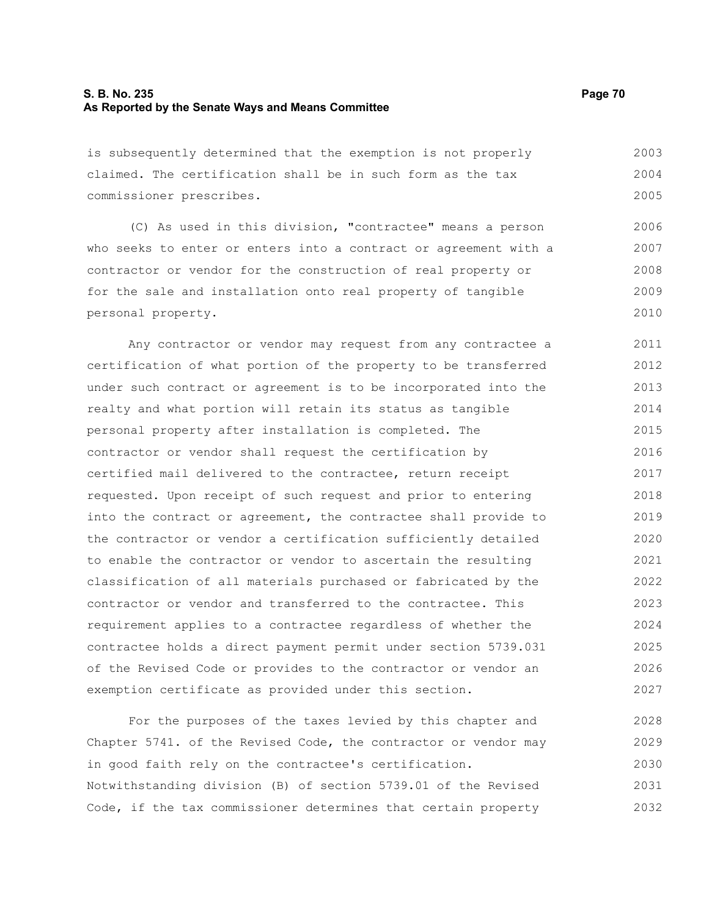#### **S. B. No. 235 Page 70 As Reported by the Senate Ways and Means Committee**

is subsequently determined that the exemption is not properly claimed. The certification shall be in such form as the tax commissioner prescribes. 2003 2004 2005

(C) As used in this division, "contractee" means a person who seeks to enter or enters into a contract or agreement with a contractor or vendor for the construction of real property or for the sale and installation onto real property of tangible personal property. 2006 2007 2008 2009 2010

Any contractor or vendor may request from any contractee a certification of what portion of the property to be transferred under such contract or agreement is to be incorporated into the realty and what portion will retain its status as tangible personal property after installation is completed. The contractor or vendor shall request the certification by certified mail delivered to the contractee, return receipt requested. Upon receipt of such request and prior to entering into the contract or agreement, the contractee shall provide to the contractor or vendor a certification sufficiently detailed to enable the contractor or vendor to ascertain the resulting classification of all materials purchased or fabricated by the contractor or vendor and transferred to the contractee. This requirement applies to a contractee regardless of whether the contractee holds a direct payment permit under section 5739.031 of the Revised Code or provides to the contractor or vendor an exemption certificate as provided under this section. 2011 2012 2013 2014 2015 2016 2017 2018 2019 2020 2021 2022 2023 2024 2025 2026 2027

For the purposes of the taxes levied by this chapter and Chapter 5741. of the Revised Code, the contractor or vendor may in good faith rely on the contractee's certification. Notwithstanding division (B) of section 5739.01 of the Revised Code, if the tax commissioner determines that certain property 2028 2029 2030 2031 2032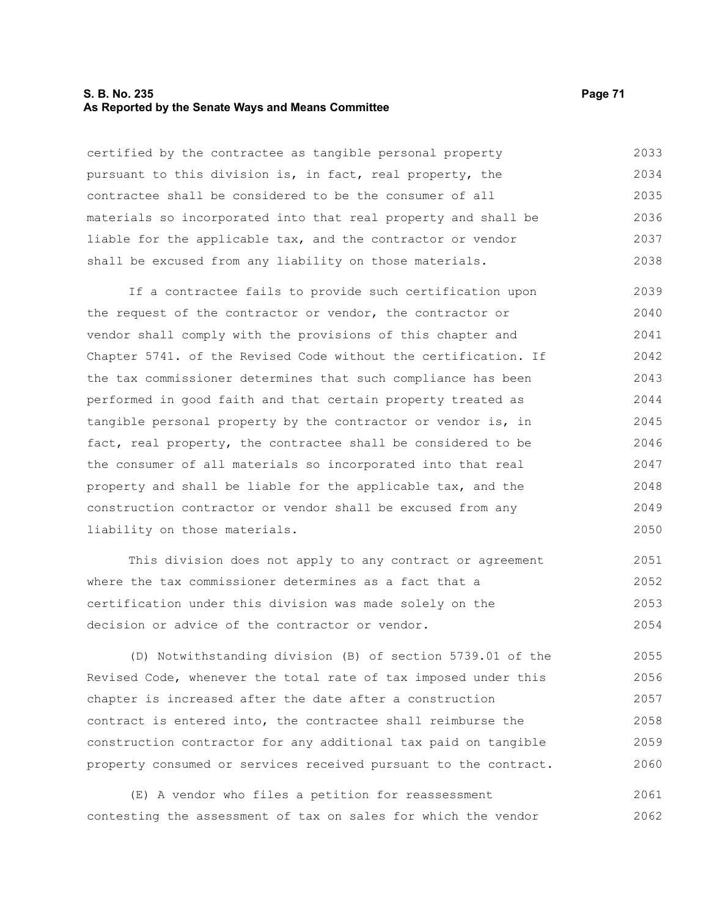#### **S. B. No. 235 Page 71 As Reported by the Senate Ways and Means Committee**

certified by the contractee as tangible personal property pursuant to this division is, in fact, real property, the contractee shall be considered to be the consumer of all materials so incorporated into that real property and shall be liable for the applicable tax, and the contractor or vendor shall be excused from any liability on those materials. 2033 2034 2035 2036 2037 2038

If a contractee fails to provide such certification upon the request of the contractor or vendor, the contractor or vendor shall comply with the provisions of this chapter and Chapter 5741. of the Revised Code without the certification. If the tax commissioner determines that such compliance has been performed in good faith and that certain property treated as tangible personal property by the contractor or vendor is, in fact, real property, the contractee shall be considered to be the consumer of all materials so incorporated into that real property and shall be liable for the applicable tax, and the construction contractor or vendor shall be excused from any liability on those materials. 2039 2040 2041 2042 2043 2044 2045 2046 2047 2048 2049 2050

This division does not apply to any contract or agreement where the tax commissioner determines as a fact that a certification under this division was made solely on the decision or advice of the contractor or vendor. 2051 2052 2053 2054

(D) Notwithstanding division (B) of section 5739.01 of the Revised Code, whenever the total rate of tax imposed under this chapter is increased after the date after a construction contract is entered into, the contractee shall reimburse the construction contractor for any additional tax paid on tangible property consumed or services received pursuant to the contract. 2055 2056 2057 2058 2059 2060

(E) A vendor who files a petition for reassessment contesting the assessment of tax on sales for which the vendor 2061 2062